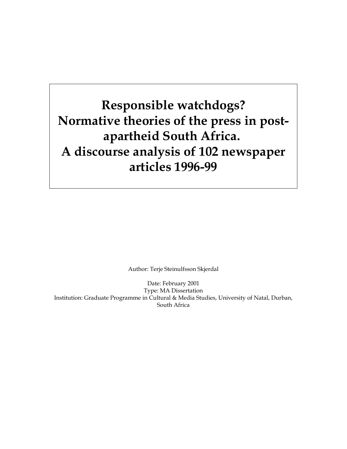**Responsible watchdogs? Normative theories of the press in postapartheid South Africa. A discourse analysis of 102 newspaper articles 1996-99** 

Author: Terje Steinulfsson Skjerdal

Date: February 2001 Type: MA Dissertation Institution: Graduate Programme in Cultural & Media Studies, University of Natal, Durban, South Africa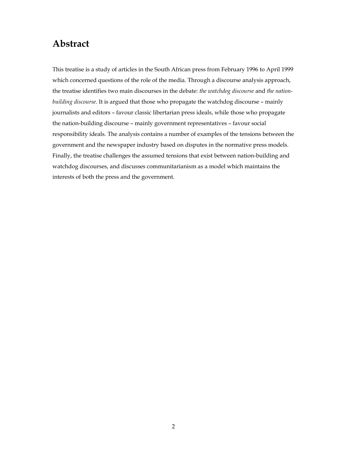## **Abstract**

This treatise is a study of articles in the South African press from February 1996 to April 1999 which concerned questions of the role of the media. Through a discourse analysis approach, the treatise identifies two main discourses in the debate: *the watchdog discourse* and *the nationbuilding discourse*. It is argued that those who propagate the watchdog discourse – mainly journalists and editors – favour classic libertarian press ideals, while those who propagate the nation-building discourse – mainly government representatives – favour social responsibility ideals. The analysis contains a number of examples of the tensions between the government and the newspaper industry based on disputes in the normative press models. Finally, the treatise challenges the assumed tensions that exist between nation-building and watchdog discourses, and discusses communitarianism as a model which maintains the interests of both the press and the government.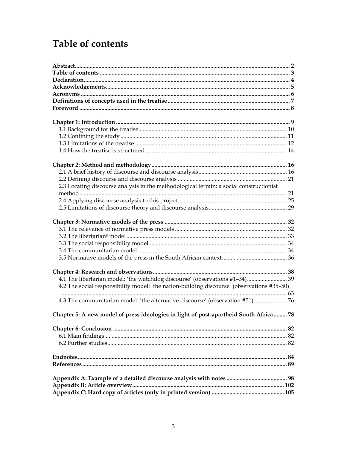# **Table of contents**

| 2.3 Locating discourse analysis in the methodological terrain: a social constructionist    |  |
|--------------------------------------------------------------------------------------------|--|
|                                                                                            |  |
|                                                                                            |  |
|                                                                                            |  |
|                                                                                            |  |
|                                                                                            |  |
|                                                                                            |  |
|                                                                                            |  |
|                                                                                            |  |
|                                                                                            |  |
|                                                                                            |  |
| 4.1 The libertarian model: 'the watchdog discourse' (observations #1-34) 39                |  |
| 4.2 The social responsibility model: 'the nation-building discourse' (observations #35–50) |  |
|                                                                                            |  |
| 4.3 The communitarian model: 'the alternative discourse' (observation #51)  76             |  |
| Chapter 5: A new model of press ideologies in light of post-apartheid South Africa  78     |  |
|                                                                                            |  |
|                                                                                            |  |
|                                                                                            |  |
|                                                                                            |  |
|                                                                                            |  |
|                                                                                            |  |
|                                                                                            |  |
|                                                                                            |  |
|                                                                                            |  |
|                                                                                            |  |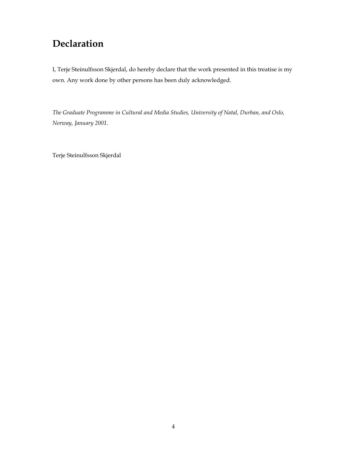## **Declaration**

I, Terje Steinulfsson Skjerdal, do hereby declare that the work presented in this treatise is my own. Any work done by other persons has been duly acknowledged.

*The Graduate Programme in Cultural and Media Studies, University of Natal, Durban, and Oslo, Norway, January 2001.* 

Terje Steinulfsson Skjerdal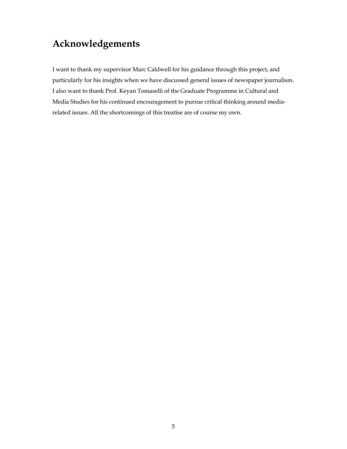## **Acknowledgements**

I want to thank my supervisor Marc Caldwell for his guidance through this project, and particularly for his insights when we have discussed general issues of newspaper journalism. I also want to thank Prof. Keyan Tomaselli of the Graduate Programme in Cultural and Media Studies for his continued encouragement to pursue critical thinking around mediarelated issues. All the shortcomings of this treatise are of course my own.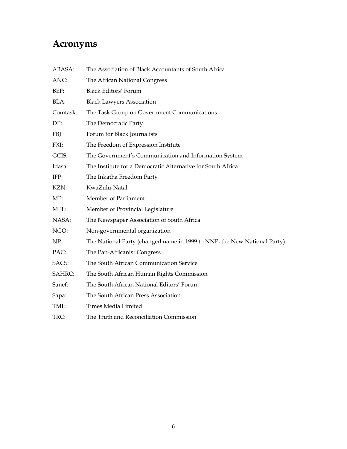# **Acronyms**

| ABASA:        | The Association of Black Accountants of South Africa                     |
|---------------|--------------------------------------------------------------------------|
| ANC:          | The African National Congress                                            |
| BEF:          | <b>Black Editors' Forum</b>                                              |
| BLA:          | <b>Black Lawyers Association</b>                                         |
| Comtask:      | The Task Group on Government Communications                              |
| DP:           | The Democratic Party                                                     |
| FBJ:          | Forum for Black Journalists                                              |
| FXI:          | The Freedom of Expression Institute                                      |
| GCIS:         | The Government's Communication and Information System                    |
| Idasa:        | The Institute for a Democratic Alternative for South Africa              |
| IFP:          | The Inkatha Freedom Party                                                |
| KZN:          | KwaZulu-Natal                                                            |
| MP:           | Member of Parliament                                                     |
| MPL:          | Member of Provincial Legislature                                         |
| NASA:         | The Newspaper Association of South Africa                                |
| NGO:          | Non-governmental organization                                            |
| NP:           | The National Party (changed name in 1999 to NNP, the New National Party) |
| PAC:          | The Pan-Africanist Congress                                              |
| SACS:         | The South African Communication Service                                  |
| <b>SAHRC:</b> | The South African Human Rights Commission                                |
| Sanef:        | The South African National Editors' Forum                                |
| Sapa:         | The South African Press Association                                      |
| TML:          | Times Media Limited                                                      |
| TRC:          | The Truth and Reconciliation Commission                                  |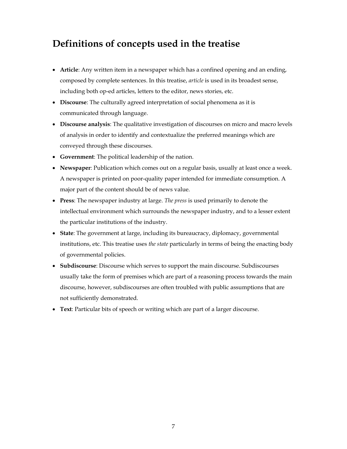## **Definitions of concepts used in the treatise**

- **Article**: Any written item in a newspaper which has a confined opening and an ending, composed by complete sentences. In this treatise, *article* is used in its broadest sense, including both op-ed articles, letters to the editor, news stories, etc.
- **Discourse**: The culturally agreed interpretation of social phenomena as it is communicated through language.
- **Discourse analysis**: The qualitative investigation of discourses on micro and macro levels of analysis in order to identify and contextualize the preferred meanings which are conveyed through these discourses.
- **Government**: The political leadership of the nation.
- **Newspaper**: Publication which comes out on a regular basis, usually at least once a week. A newspaper is printed on poor-quality paper intended for immediate consumption. A major part of the content should be of news value.
- **Press**: The newspaper industry at large. *The press* is used primarily to denote the intellectual environment which surrounds the newspaper industry, and to a lesser extent the particular institutions of the industry.
- **State**: The government at large, including its bureaucracy, diplomacy, governmental institutions, etc. This treatise uses *the state* particularly in terms of being the enacting body of governmental policies.
- **Subdiscourse**: Discourse which serves to support the main discourse. Subdiscourses usually take the form of premises which are part of a reasoning process towards the main discourse, however, subdiscourses are often troubled with public assumptions that are not sufficiently demonstrated.
- **Text**: Particular bits of speech or writing which are part of a larger discourse.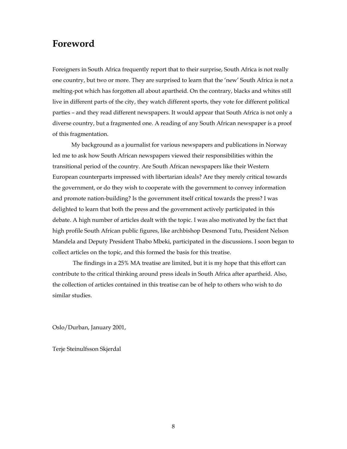### **Foreword**

Foreigners in South Africa frequently report that to their surprise, South Africa is not really one country, but two or more. They are surprised to learn that the 'new' South Africa is not a melting-pot which has forgotten all about apartheid. On the contrary, blacks and whites still live in different parts of the city, they watch different sports, they vote for different political parties – and they read different newspapers. It would appear that South Africa is not only a diverse country, but a fragmented one. A reading of any South African newspaper is a proof of this fragmentation.

 My background as a journalist for various newspapers and publications in Norway led me to ask how South African newspapers viewed their responsibilities within the transitional period of the country. Are South African newspapers like their Western European counterparts impressed with libertarian ideals? Are they merely critical towards the government, or do they wish to cooperate with the government to convey information and promote nation-building? Is the government itself critical towards the press? I was delighted to learn that both the press and the government actively participated in this debate. A high number of articles dealt with the topic. I was also motivated by the fact that high profile South African public figures, like archbishop Desmond Tutu, President Nelson Mandela and Deputy President Thabo Mbeki, participated in the discussions. I soon began to collect articles on the topic, and this formed the basis for this treatise.

 The findings in a 25% MA treatise are limited, but it is my hope that this effort can contribute to the critical thinking around press ideals in South Africa after apartheid. Also, the collection of articles contained in this treatise can be of help to others who wish to do similar studies.

Oslo/Durban, January 2001,

Terje Steinulfsson Skjerdal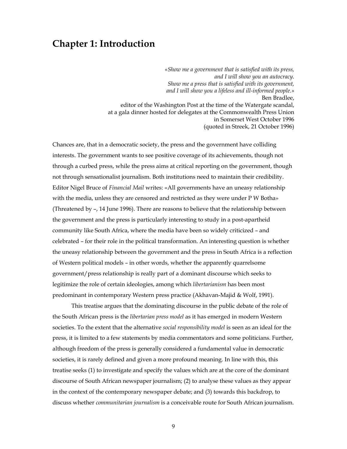### **Chapter 1: Introduction**

*«Show me a government that is satisfied with its press, and I will show you an autocracy. Show me a press that is satisfied with its government, and I will show you a lifeless and ill-informed people.»*  Ben Bradlee, editor of the Washington Post at the time of the Watergate scandal, at a gala dinner hosted for delegates at the Commonwealth Press Union in Somerset West October 1996 (quoted in Streek, 21 October 1996)

Chances are, that in a democratic society, the press and the government have colliding interests. The government wants to see positive coverage of its achievements, though not through a curbed press, while the press aims at critical reporting on the government, though not through sensationalist journalism. Both institutions need to maintain their credibility. Editor Nigel Bruce of *Financial Mail* writes: «All governments have an uneasy relationship with the media, unless they are censored and restricted as they were under P W Botha» (Threatened by –, 14 June 1996). There are reasons to believe that the relationship between the government and the press is particularly interesting to study in a post-apartheid community like South Africa, where the media have been so widely criticized – and celebrated – for their role in the political transformation. An interesting question is whether the uneasy relationship between the government and the press in South Africa is a reflection of Western political models – in other words, whether the apparently quarrelsome government/press relationship is really part of a dominant discourse which seeks to legitimize the role of certain ideologies, among which *libertarianism* has been most predominant in contemporary Western press practice (Akhavan-Majid & Wolf, 1991).

This treatise argues that the dominating discourse in the public debate of the role of the South African press is the *libertarian press model* as it has emerged in modern Western societies. To the extent that the alternative *social responsibility model* is seen as an ideal for the press, it is limited to a few statements by media commentators and some politicians. Further, although freedom of the press is generally considered a fundamental value in democratic societies, it is rarely defined and given a more profound meaning. In line with this, this treatise seeks (1) to investigate and specify the values which are at the core of the dominant discourse of South African newspaper journalism; (2) to analyse these values as they appear in the context of the contemporary newspaper debate; and (3) towards this backdrop, to discuss whether *communitarian journalism* is a conceivable route for South African journalism.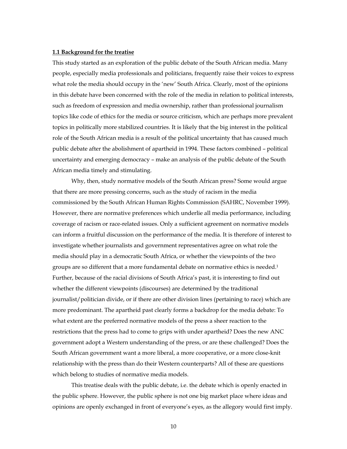#### **1.1 Background for the treatise**

This study started as an exploration of the public debate of the South African media. Many people, especially media professionals and politicians, frequently raise their voices to express what role the media should occupy in the 'new' South Africa. Clearly, most of the opinions in this debate have been concerned with the role of the media in relation to political interests, such as freedom of expression and media ownership, rather than professional journalism topics like code of ethics for the media or source criticism, which are perhaps more prevalent topics in politically more stabilized countries. It is likely that the big interest in the political role of the South African media is a result of the political uncertainty that has caused much public debate after the abolishment of apartheid in 1994. These factors combined – political uncertainty and emerging democracy – make an analysis of the public debate of the South African media timely and stimulating.

Why, then, study normative models of the South African press? Some would argue that there are more pressing concerns, such as the study of racism in the media commissioned by the South African Human Rights Commission (SAHRC, November 1999). However, there are normative preferences which underlie all media performance, including coverage of racism or race-related issues. Only a sufficient agreement on normative models can inform a fruitful discussion on the performance of the media. It is therefore of interest to investigate whether journalists and government representatives agree on what role the media should play in a democratic South Africa, or whether the viewpoints of the two groups are so different that a more fundamental debate on normative ethics is needed.1 Further, because of the racial divisions of South Africa's past, it is interesting to find out whether the different viewpoints (discourses) are determined by the traditional journalist/politician divide, or if there are other division lines (pertaining to race) which are more predominant. The apartheid past clearly forms a backdrop for the media debate: To what extent are the preferred normative models of the press a sheer reaction to the restrictions that the press had to come to grips with under apartheid? Does the new ANC government adopt a Western understanding of the press, or are these challenged? Does the South African government want a more liberal, a more cooperative, or a more close-knit relationship with the press than do their Western counterparts? All of these are questions which belong to studies of normative media models.

This treatise deals with the public debate, i.e. the debate which is openly enacted in the public sphere. However, the public sphere is not one big market place where ideas and opinions are openly exchanged in front of everyone's eyes, as the allegory would first imply.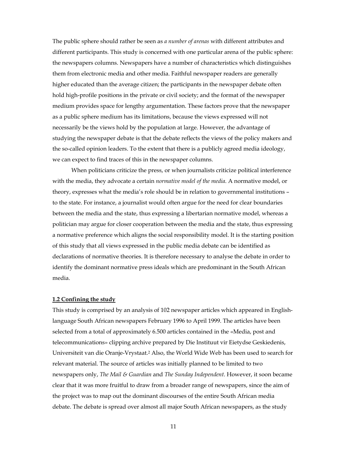The public sphere should rather be seen as *a number of arenas* with different attributes and different participants. This study is concerned with one particular arena of the public sphere: the newspapers columns. Newspapers have a number of characteristics which distinguishes them from electronic media and other media. Faithful newspaper readers are generally higher educated than the average citizen; the participants in the newspaper debate often hold high-profile positions in the private or civil society; and the format of the newspaper medium provides space for lengthy argumentation. These factors prove that the newspaper as a public sphere medium has its limitations, because the views expressed will not necessarily be the views hold by the population at large. However, the advantage of studying the newspaper debate is that the debate reflects the views of the policy makers and the so-called opinion leaders. To the extent that there is a publicly agreed media ideology, we can expect to find traces of this in the newspaper columns.

When politicians criticize the press, or when journalists criticize political interference with the media, they advocate a certain *normative model of the media*. A normative model, or theory, expresses what the media's role should be in relation to governmental institutions – to the state. For instance, a journalist would often argue for the need for clear boundaries between the media and the state, thus expressing a libertarian normative model, whereas a politician may argue for closer cooperation between the media and the state, thus expressing a normative preference which aligns the social responsibility model. It is the starting position of this study that all views expressed in the public media debate can be identified as declarations of normative theories. It is therefore necessary to analyse the debate in order to identify the dominant normative press ideals which are predominant in the South African media.

#### **1.2 Confining the study**

This study is comprised by an analysis of 102 newspaper articles which appeared in Englishlanguage South African newspapers February 1996 to April 1999. The articles have been selected from a total of approximately 6.500 articles contained in the «Media, post and telecommunications» clipping archive prepared by Die Instituut vir Eietydse Geskiedenis, Universiteit van die Oranje-Vrystaat.2 Also, the World Wide Web has been used to search for relevant material. The source of articles was initially planned to be limited to two newspapers only, *The Mail & Guardian* and *The Sunday Independent*. However, it soon became clear that it was more fruitful to draw from a broader range of newspapers, since the aim of the project was to map out the dominant discourses of the entire South African media debate. The debate is spread over almost all major South African newspapers, as the study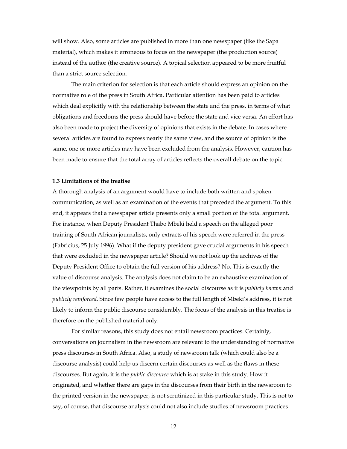will show. Also, some articles are published in more than one newspaper (like the Sapa material), which makes it erroneous to focus on the newspaper (the production source) instead of the author (the creative source). A topical selection appeared to be more fruitful than a strict source selection.

The main criterion for selection is that each article should express an opinion on the normative role of the press in South Africa. Particular attention has been paid to articles which deal explicitly with the relationship between the state and the press, in terms of what obligations and freedoms the press should have before the state and vice versa. An effort has also been made to project the diversity of opinions that exists in the debate. In cases where several articles are found to express nearly the same view, and the source of opinion is the same, one or more articles may have been excluded from the analysis. However, caution has been made to ensure that the total array of articles reflects the overall debate on the topic.

#### **1.3 Limitations of the treatise**

A thorough analysis of an argument would have to include both written and spoken communication, as well as an examination of the events that preceded the argument. To this end, it appears that a newspaper article presents only a small portion of the total argument. For instance, when Deputy President Thabo Mbeki held a speech on the alleged poor training of South African journalists, only extracts of his speech were referred in the press (Fabricius, 25 July 1996). What if the deputy president gave crucial arguments in his speech that were excluded in the newspaper article? Should we not look up the archives of the Deputy President Office to obtain the full version of his address? No. This is exactly the value of discourse analysis. The analysis does not claim to be an exhaustive examination of the viewpoints by all parts. Rather, it examines the social discourse as it is *publicly known* and *publicly reinforced*. Since few people have access to the full length of Mbeki's address, it is not likely to inform the public discourse considerably. The focus of the analysis in this treatise is therefore on the published material only.

For similar reasons, this study does not entail newsroom practices. Certainly, conversations on journalism in the newsroom are relevant to the understanding of normative press discourses in South Africa. Also, a study of newsroom talk (which could also be a discourse analysis) could help us discern certain discourses as well as the flaws in these discourses. But again, it is the *public discourse* which is at stake in this study. How it originated, and whether there are gaps in the discourses from their birth in the newsroom to the printed version in the newspaper, is not scrutinized in this particular study. This is not to say, of course, that discourse analysis could not also include studies of newsroom practices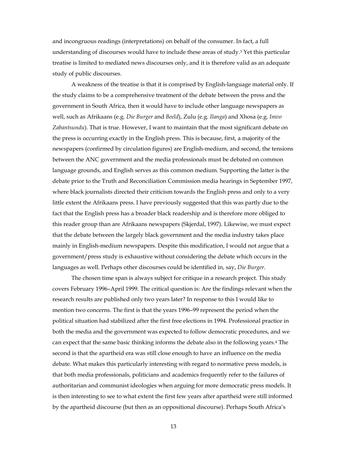and incongruous readings (interpretations) on behalf of the consumer. In fact, a full understanding of discourses would have to include these areas of study.3 Yet this particular treatise is limited to mediated news discourses only, and it is therefore valid as an adequate study of public discourses.

A weakness of the treatise is that it is comprised by English-language material only. If the study claims to be a comprehensive treatment of the debate between the press and the government in South Africa, then it would have to include other language newspapers as well, such as Afrikaans (e.g. *Die Burger* and *Beeld*), Zulu (e.g. *Ilanga*) and Xhosa (e.g. *Imvo Zabantsundu*). That is true. However, I want to maintain that the most significant debate on the press is occurring exactly in the English press. This is because, first, a majority of the newspapers (confirmed by circulation figures) are English-medium, and second, the tensions between the ANC government and the media professionals must be debated on common language grounds, and English serves as this common medium. Supporting the latter is the debate prior to the Truth and Reconciliation Commission media hearings in September 1997, where black journalists directed their criticism towards the English press and only to a very little extent the Afrikaans press. I have previously suggested that this was partly due to the fact that the English press has a broader black readership and is therefore more obliged to this reader group than are Afrikaans newspapers (Skjerdal, 1997). Likewise, we must expect that the debate between the largely black government and the media industry takes place mainly in English-medium newspapers. Despite this modification, I would not argue that a government/press study is exhaustive without considering the debate which occurs in the languages as well. Perhaps other discourses could be identified in, say, *Die Burger*.

The chosen time span is always subject for critique in a research project. This study covers February 1996–April 1999. The critical question is: Are the findings relevant when the research results are published only two years later? In response to this I would like to mention two concerns. The first is that the years 1996–99 represent the period when the political situation had stabilized after the first free elections in 1994. Professional practice in both the media and the government was expected to follow democratic procedures, and we can expect that the same basic thinking informs the debate also in the following years.4 The second is that the apartheid era was still close enough to have an influence on the media debate. What makes this particularly interesting with regard to normative press models, is that both media professionals, politicians and academics frequently refer to the failures of authoritarian and communist ideologies when arguing for more democratic press models. It is then interesting to see to what extent the first few years after apartheid were still informed by the apartheid discourse (but then as an oppositional discourse). Perhaps South Africa's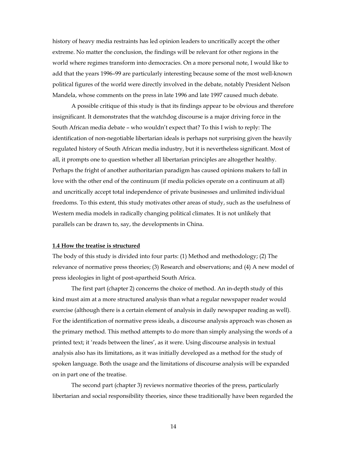history of heavy media restraints has led opinion leaders to uncritically accept the other extreme. No matter the conclusion, the findings will be relevant for other regions in the world where regimes transform into democracies. On a more personal note, I would like to add that the years 1996–99 are particularly interesting because some of the most well-known political figures of the world were directly involved in the debate, notably President Nelson Mandela, whose comments on the press in late 1996 and late 1997 caused much debate.

A possible critique of this study is that its findings appear to be obvious and therefore insignificant. It demonstrates that the watchdog discourse is a major driving force in the South African media debate – who wouldn't expect that? To this I wish to reply: The identification of non-negotiable libertarian ideals is perhaps not surprising given the heavily regulated history of South African media industry, but it is nevertheless significant. Most of all, it prompts one to question whether all libertarian principles are altogether healthy. Perhaps the fright of another authoritarian paradigm has caused opinions makers to fall in love with the other end of the continuum (if media policies operate on a continuum at all) and uncritically accept total independence of private businesses and unlimited individual freedoms. To this extent, this study motivates other areas of study, such as the usefulness of Western media models in radically changing political climates. It is not unlikely that parallels can be drawn to, say, the developments in China.

#### **1.4 How the treatise is structured**

The body of this study is divided into four parts: (1) Method and methodology; (2) The relevance of normative press theories; (3) Research and observations; and (4) A new model of press ideologies in light of post-apartheid South Africa.

The first part (chapter 2) concerns the choice of method. An in-depth study of this kind must aim at a more structured analysis than what a regular newspaper reader would exercise (although there is a certain element of analysis in daily newspaper reading as well). For the identification of normative press ideals, a discourse analysis approach was chosen as the primary method. This method attempts to do more than simply analysing the words of a printed text; it 'reads between the lines', as it were. Using discourse analysis in textual analysis also has its limitations, as it was initially developed as a method for the study of spoken language. Both the usage and the limitations of discourse analysis will be expanded on in part one of the treatise.

The second part (chapter 3) reviews normative theories of the press, particularly libertarian and social responsibility theories, since these traditionally have been regarded the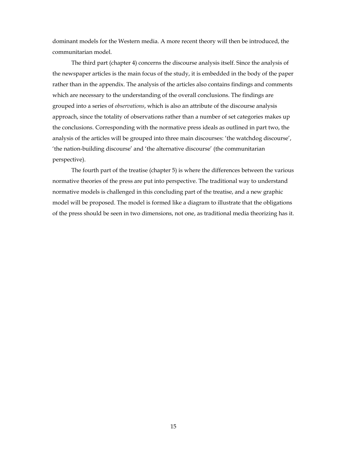dominant models for the Western media. A more recent theory will then be introduced, the communitarian model.

The third part (chapter 4) concerns the discourse analysis itself. Since the analysis of the newspaper articles is the main focus of the study, it is embedded in the body of the paper rather than in the appendix. The analysis of the articles also contains findings and comments which are necessary to the understanding of the overall conclusions. The findings are grouped into a series of *observations*, which is also an attribute of the discourse analysis approach, since the totality of observations rather than a number of set categories makes up the conclusions. Corresponding with the normative press ideals as outlined in part two, the analysis of the articles will be grouped into three main discourses: 'the watchdog discourse', 'the nation-building discourse' and 'the alternative discourse' (the communitarian perspective).

The fourth part of the treatise (chapter 5) is where the differences between the various normative theories of the press are put into perspective. The traditional way to understand normative models is challenged in this concluding part of the treatise, and a new graphic model will be proposed. The model is formed like a diagram to illustrate that the obligations of the press should be seen in two dimensions, not one, as traditional media theorizing has it.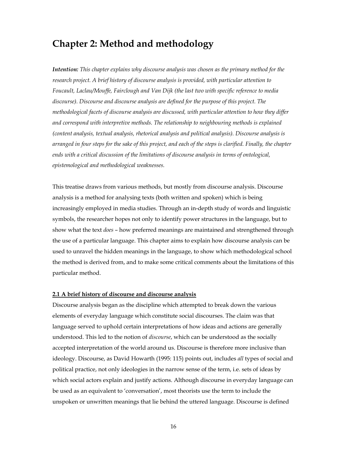## **Chapter 2: Method and methodology**

*Intention: This chapter explains why discourse analysis was chosen as the primary method for the research project. A brief history of discourse analysis is provided, with particular attention to Foucault, Laclau/Mouffe, Fairclough and Van Dijk (the last two with specific reference to media discourse). Discourse and discourse analysis are defined for the purpose of this project. The methodological facets of discourse analysis are discussed, with particular attention to how they differ and correspond with interpretive methods. The relationship to neighbouring methods is explained (content analysis, textual analysis, rhetorical analysis and political analysis). Discourse analysis is arranged in four steps for the sake of this project, and each of the steps is clarified. Finally, the chapter ends with a critical discussion of the limitations of discourse analysis in terms of ontological, epistemological and methodological weaknesses.*

This treatise draws from various methods, but mostly from discourse analysis. Discourse analysis is a method for analysing texts (both written and spoken) which is being increasingly employed in media studies. Through an in-depth study of words and linguistic symbols, the researcher hopes not only to identify power structures in the language, but to show what the text *does* – how preferred meanings are maintained and strengthened through the use of a particular language. This chapter aims to explain how discourse analysis can be used to unravel the hidden meanings in the language, to show which methodological school the method is derived from, and to make some critical comments about the limitations of this particular method.

#### **2.1 A brief history of discourse and discourse analysis**

Discourse analysis began as the discipline which attempted to break down the various elements of everyday language which constitute social discourses. The claim was that language served to uphold certain interpretations of how ideas and actions are generally understood. This led to the notion of *discourse*, which can be understood as the socially accepted interpretation of the world around us. Discourse is therefore more inclusive than ideology. Discourse, as David Howarth (1995: 115) points out, includes *all* types of social and political practice, not only ideologies in the narrow sense of the term, i.e. sets of ideas by which social actors explain and justify actions. Although discourse in everyday language can be used as an equivalent to 'conversation', most theorists use the term to include the unspoken or unwritten meanings that lie behind the uttered language. Discourse is defined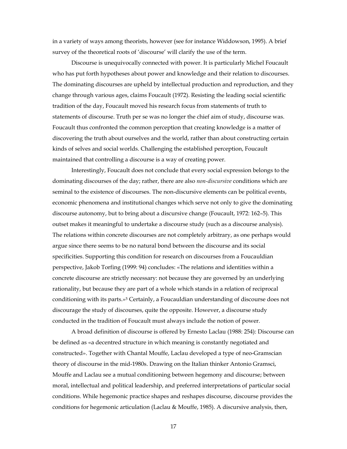in a variety of ways among theorists, however (see for instance Widdowson, 1995). A brief survey of the theoretical roots of 'discourse' will clarify the use of the term.

Discourse is unequivocally connected with power. It is particularly Michel Foucault who has put forth hypotheses about power and knowledge and their relation to discourses. The dominating discourses are upheld by intellectual production and reproduction, and they change through various ages, claims Foucault (1972). Resisting the leading social scientific tradition of the day, Foucault moved his research focus from statements of truth to statements of discourse. Truth per se was no longer the chief aim of study, discourse was. Foucault thus confronted the common perception that creating knowledge is a matter of discovering the truth about ourselves and the world, rather than about constructing certain kinds of selves and social worlds. Challenging the established perception, Foucault maintained that controlling a discourse is a way of creating power.

Interestingly, Foucault does not conclude that every social expression belongs to the dominating discourses of the day; rather, there are also *non-discursive* conditions which are seminal to the existence of discourses. The non-discursive elements can be political events, economic phenomena and institutional changes which serve not only to give the dominating discourse autonomy, but to bring about a discursive change (Foucault, 1972: 162–5). This outset makes it meaningful to undertake a discourse study (such as a discourse analysis). The relations within concrete discourses are not completely arbitrary, as one perhaps would argue since there seems to be no natural bond between the discourse and its social specificities. Supporting this condition for research on discourses from a Foucauldian perspective, Jakob Torfing (1999: 94) concludes: «The relations and identities within a concrete discourse are strictly necessary: not because they are governed by an underlying rationality, but because they are part of a whole which stands in a relation of reciprocal conditioning with its parts.»5 Certainly, a Foucauldian understanding of discourse does not discourage the study of discourses, quite the opposite. However, a discourse study conducted in the tradition of Foucault must always include the notion of power.

A broad definition of discourse is offered by Ernesto Laclau (1988: 254): Discourse can be defined as «a decentred structure in which meaning is constantly negotiated and constructed». Together with Chantal Mouffe, Laclau developed a type of neo-Gramscian theory of discourse in the mid-1980s. Drawing on the Italian thinker Antonio Gramsci, Mouffe and Laclau see a mutual conditioning between hegemony and discourse; between moral, intellectual and political leadership, and preferred interpretations of particular social conditions. While hegemonic practice shapes and reshapes discourse, discourse provides the conditions for hegemonic articulation (Laclau & Mouffe, 1985). A discursive analysis, then,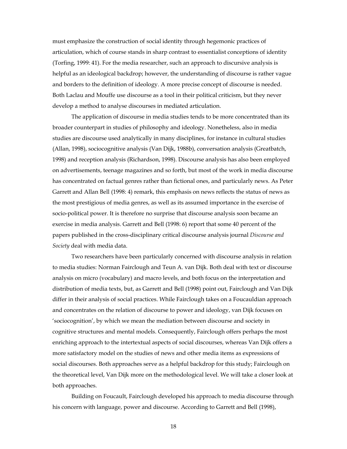must emphasize the construction of social identity through hegemonic practices of articulation, which of course stands in sharp contrast to essentialist conceptions of identity (Torfing, 1999: 41). For the media researcher, such an approach to discursive analysis is helpful as an ideological backdrop; however, the understanding of discourse is rather vague and borders to the definition of ideology. A more precise concept of discourse is needed. Both Laclau and Mouffe use discourse as a tool in their political criticism, but they never develop a method to analyse discourses in mediated articulation.

The application of discourse in media studies tends to be more concentrated than its broader counterpart in studies of philosophy and ideology. Nonetheless, also in media studies are discourse used analytically in many disciplines, for instance in cultural studies (Allan, 1998), sociocognitive analysis (Van Dijk, 1988b), conversation analysis (Greatbatch, 1998) and reception analysis (Richardson, 1998). Discourse analysis has also been employed on advertisements, teenage magazines and so forth, but most of the work in media discourse has concentrated on factual genres rather than fictional ones, and particularly news. As Peter Garrett and Allan Bell (1998: 4) remark, this emphasis on news reflects the status of news as the most prestigious of media genres, as well as its assumed importance in the exercise of socio-political power. It is therefore no surprise that discourse analysis soon became an exercise in media analysis. Garrett and Bell (1998: 6) report that some 40 percent of the papers published in the cross-disciplinary critical discourse analysis journal *Discourse and Society* deal with media data.

Two researchers have been particularly concerned with discourse analysis in relation to media studies: Norman Fairclough and Teun A. van Dijk. Both deal with text or discourse analysis on micro (vocabulary) and macro levels, and both focus on the interpretation and distribution of media texts, but, as Garrett and Bell (1998) point out, Fairclough and Van Dijk differ in their analysis of social practices. While Fairclough takes on a Foucauldian approach and concentrates on the relation of discourse to power and ideology, van Dijk focuses on 'sociocognition', by which we mean the mediation between discourse and society in cognitive structures and mental models. Consequently, Fairclough offers perhaps the most enriching approach to the intertextual aspects of social discourses, whereas Van Dijk offers a more satisfactory model on the studies of news and other media items as expressions of social discourses. Both approaches serve as a helpful backdrop for this study; Fairclough on the theoretical level, Van Dijk more on the methodological level. We will take a closer look at both approaches.

Building on Foucault, Fairclough developed his approach to media discourse through his concern with language, power and discourse. According to Garrett and Bell (1998),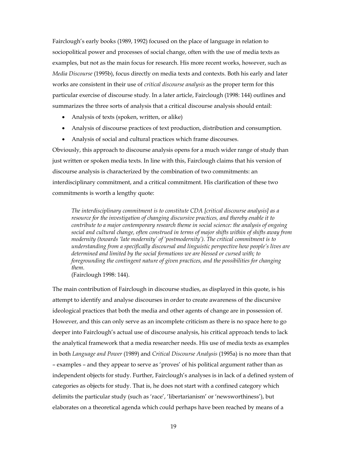Fairclough's early books (1989, 1992) focused on the place of language in relation to sociopolitical power and processes of social change, often with the use of media texts as examples, but not as the main focus for research. His more recent works, however, such as *Media Discourse* (1995b), focus directly on media texts and contexts. Both his early and later works are consistent in their use of *critical discourse analysis* as the proper term for this particular exercise of discourse study. In a later article, Fairclough (1998: 144) outlines and summarizes the three sorts of analysis that a critical discourse analysis should entail:

- Analysis of texts (spoken, written, or alike)
- Analysis of discourse practices of text production, distribution and consumption.
- Analysis of social and cultural practices which frame discourses.

Obviously, this approach to discourse analysis opens for a much wider range of study than just written or spoken media texts. In line with this, Fairclough claims that his version of discourse analysis is characterized by the combination of two commitments: an interdisciplinary commitment, and a critical commitment. His clarification of these two commitments is worth a lengthy quote:

*The interdisciplinary commitment is to constitute CDA [critical discourse analysis] as a resource for the investigation of changing discursive practices, and thereby enable it to contribute to a major contemporary research theme in social science: the analysis of ongoing social and cultural change, often construed in terms of major shifts within of shifts away from modernity (towards 'late modernity' of 'postmodernity'). The critical commitment is to understanding from a specifically discoursal and linguistic perspective how people's lives are determined and limited by the social formations we are blessed or cursed with; to foregrounding the contingent nature of given practices, and the possibilities for changing them.* 

(Fairclough 1998: 144).

The main contribution of Fairclough in discourse studies, as displayed in this quote, is his attempt to identify and analyse discourses in order to create awareness of the discursive ideological practices that both the media and other agents of change are in possession of. However, and this can only serve as an incomplete criticism as there is no space here to go deeper into Fairclough's actual use of discourse analysis, his critical approach tends to lack the analytical framework that a media researcher needs. His use of media texts as examples in both *Language and Power* (1989) and *Critical Discourse Analysis* (1995a) is no more than that – examples – and they appear to serve as 'proves' of his political argument rather than as independent objects for study. Further, Fairclough's analyses is in lack of a defined system of categories as objects for study. That is, he does not start with a confined category which delimits the particular study (such as 'race', 'libertarianism' or 'newsworthiness'), but elaborates on a theoretical agenda which could perhaps have been reached by means of a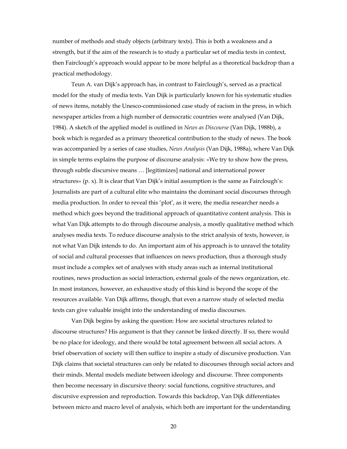number of methods and study objects (arbitrary texts). This is both a weakness and a strength, but if the aim of the research is to study a particular set of media texts in context, then Fairclough's approach would appear to be more helpful as a theoretical backdrop than a practical methodology.

Teun A. van Dijk's approach has, in contrast to Fairclough's, served as a practical model for the study of media texts. Van Dijk is particularly known for his systematic studies of news items, notably the Unesco-commissioned case study of racism in the press, in which newspaper articles from a high number of democratic countries were analysed (Van Dijk, 1984). A sketch of the applied model is outlined in *News as Discourse* (Van Dijk, 1988b), a book which is regarded as a primary theoretical contribution to the study of news. The book was accompanied by a series of case studies, *News Analysis* (Van Dijk, 1988a), where Van Dijk in simple terms explains the purpose of discourse analysis: «We try to show how the press, through subtle discursive means … [legitimizes] national and international power structures» (p. x). It is clear that Van Dijk's initial assumption is the same as Fairclough's: Journalists are part of a cultural elite who maintains the dominant social discourses through media production. In order to reveal this 'plot', as it were, the media researcher needs a method which goes beyond the traditional approach of quantitative content analysis. This is what Van Dijk attempts to do through discourse analysis, a mostly qualitative method which analyses media texts. To reduce discourse analysis to the strict analysis of texts, however, is not what Van Dijk intends to do. An important aim of his approach is to unravel the totality of social and cultural processes that influences on news production, thus a thorough study must include a complex set of analyses with study areas such as internal institutional routines, news production as social interaction, external goals of the news organization, etc. In most instances, however, an exhaustive study of this kind is beyond the scope of the resources available. Van Dijk affirms, though, that even a narrow study of selected media texts can give valuable insight into the understanding of media discourses.

Van Dijk begins by asking the question: How are societal structures related to discourse structures? His argument is that they cannot be linked directly. If so, there would be no place for ideology, and there would be total agreement between all social actors. A brief observation of society will then suffice to inspire a study of discursive production. Van Dijk claims that societal structures can only be related to discourses through social actors and their minds. Mental models mediate between ideology and discourse. Three components then become necessary in discursive theory: social functions, cognitive structures, and discursive expression and reproduction. Towards this backdrop, Van Dijk differentiates between micro and macro level of analysis, which both are important for the understanding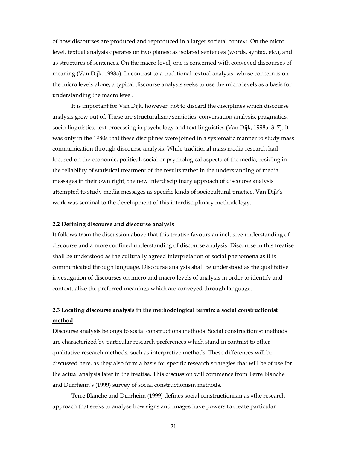of how discourses are produced and reproduced in a larger societal context. On the micro level, textual analysis operates on two planes: as isolated sentences (words, syntax, etc.), and as structures of sentences. On the macro level, one is concerned with conveyed discourses of meaning (Van Dijk, 1998a). In contrast to a traditional textual analysis, whose concern is on the micro levels alone, a typical discourse analysis seeks to use the micro levels as a basis for understanding the macro level.

It is important for Van Dijk, however, not to discard the disciplines which discourse analysis grew out of. These are structuralism/semiotics, conversation analysis, pragmatics, socio-linguistics, text processing in psychology and text linguistics (Van Dijk, 1998a: 3–7). It was only in the 1980s that these disciplines were joined in a systematic manner to study mass communication through discourse analysis. While traditional mass media research had focused on the economic, political, social or psychological aspects of the media, residing in the reliability of statistical treatment of the results rather in the understanding of media messages in their own right, the new interdisciplinary approach of discourse analysis attempted to study media messages as specific kinds of sociocultural practice. Van Dijk's work was seminal to the development of this interdisciplinary methodology.

#### **2.2 Defining discourse and discourse analysis**

It follows from the discussion above that this treatise favours an inclusive understanding of discourse and a more confined understanding of discourse analysis. Discourse in this treatise shall be understood as the culturally agreed interpretation of social phenomena as it is communicated through language. Discourse analysis shall be understood as the qualitative investigation of discourses on micro and macro levels of analysis in order to identify and contextualize the preferred meanings which are conveyed through language.

### **2.3 Locating discourse analysis in the methodological terrain: a social constructionist method**

Discourse analysis belongs to social constructions methods. Social constructionist methods are characterized by particular research preferences which stand in contrast to other qualitative research methods, such as interpretive methods. These differences will be discussed here, as they also form a basis for specific research strategies that will be of use for the actual analysis later in the treatise. This discussion will commence from Terre Blanche and Durrheim's (1999) survey of social constructionism methods.

Terre Blanche and Durrheim (1999) defines social constructionism as «the research approach that seeks to analyse how signs and images have powers to create particular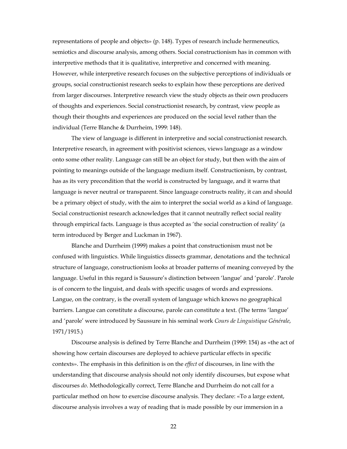representations of people and objects» (p. 148). Types of research include hermeneutics, semiotics and discourse analysis, among others. Social constructionism has in common with interpretive methods that it is qualitative, interpretive and concerned with meaning. However, while interpretive research focuses on the subjective perceptions of individuals or groups, social constructionist research seeks to explain how these perceptions are derived from larger discourses. Interpretive research view the study objects as their own producers of thoughts and experiences. Social constructionist research, by contrast, view people as though their thoughts and experiences are produced on the social level rather than the individual (Terre Blanche & Durrheim, 1999: 148).

The view of language is different in interpretive and social constructionist research. Interpretive research, in agreement with positivist sciences, views language as a window onto some other reality. Language can still be an object for study, but then with the aim of pointing to meanings outside of the language medium itself. Constructionism, by contrast, has as its very precondition that the world is constructed by language, and it warns that language is never neutral or transparent. Since language constructs reality, it can and should be a primary object of study, with the aim to interpret the social world as a kind of language. Social constructionist research acknowledges that it cannot neutrally reflect social reality through empirical facts. Language is thus accepted as 'the social construction of reality' (a term introduced by Berger and Luckman in 1967).

Blanche and Durrheim (1999) makes a point that constructionism must not be confused with linguistics. While linguistics dissects grammar, denotations and the technical structure of language, constructionism looks at broader patterns of meaning conveyed by the language. Useful in this regard is Saussure's distinction between 'langue' and 'parole'. Parole is of concern to the linguist, and deals with specific usages of words and expressions. Langue, on the contrary, is the overall system of language which knows no geographical barriers. Langue can constitute a discourse, parole can constitute a text. (The terms 'langue' and 'parole' were introduced by Saussure in his seminal work *Cours de Linguistique Générale*, 1971/1915.)

Discourse analysis is defined by Terre Blanche and Durrheim (1999: 154) as «the act of showing how certain discourses are deployed to achieve particular effects in specific contexts». The emphasis in this definition is on the *effect* of discourses, in line with the understanding that discourse analysis should not only identify discourses, but expose what discourses *do*. Methodologically correct, Terre Blanche and Durrheim do not call for a particular method on how to exercise discourse analysis. They declare: «To a large extent, discourse analysis involves a way of reading that is made possible by our immersion in a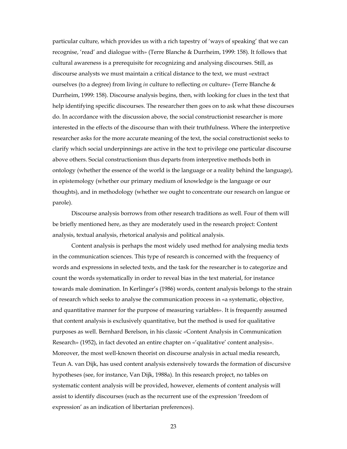particular culture, which provides us with a rich tapestry of 'ways of speaking' that we can recognise, 'read' and dialogue with» (Terre Blanche & Durrheim, 1999: 158). It follows that cultural awareness is a prerequisite for recognizing and analysing discourses. Still, as discourse analysts we must maintain a critical distance to the text, we must «extract ourselves (to a degree) from living *in* culture to reflecting *on* culture» (Terre Blanche & Durrheim, 1999: 158). Discourse analysis begins, then, with looking for clues in the text that help identifying specific discourses. The researcher then goes on to ask what these discourses do. In accordance with the discussion above, the social constructionist researcher is more interested in the effects of the discourse than with their truthfulness. Where the interpretive researcher asks for the more accurate meaning of the text, the social constructionist seeks to clarify which social underpinnings are active in the text to privilege one particular discourse above others. Social constructionism thus departs from interpretive methods both in ontology (whether the essence of the world is the language or a reality behind the language), in epistemology (whether our primary medium of knowledge is the language or our thoughts), and in methodology (whether we ought to concentrate our research on langue or parole).

Discourse analysis borrows from other research traditions as well. Four of them will be briefly mentioned here, as they are moderately used in the research project: Content analysis, textual analysis, rhetorical analysis and political analysis.

Content analysis is perhaps the most widely used method for analysing media texts in the communication sciences. This type of research is concerned with the frequency of words and expressions in selected texts, and the task for the researcher is to categorize and count the words systematically in order to reveal bias in the text material, for instance towards male domination. In Kerlinger's (1986) words, content analysis belongs to the strain of research which seeks to analyse the communication process in «a systematic, objective, and quantitative manner for the purpose of measuring variables». It is frequently assumed that content analysis is exclusively quantitative, but the method is used for qualitative purposes as well. Bernhard Berelson, in his classic «Content Analysis in Communication Research» (1952), in fact devoted an entire chapter on «'qualitative' content analysis». Moreover, the most well-known theorist on discourse analysis in actual media research, Teun A. van Dijk, has used content analysis extensively towards the formation of discursive hypotheses (see, for instance, Van Dijk, 1988a). In this research project, no tables on systematic content analysis will be provided, however, elements of content analysis will assist to identify discourses (such as the recurrent use of the expression 'freedom of expression' as an indication of libertarian preferences).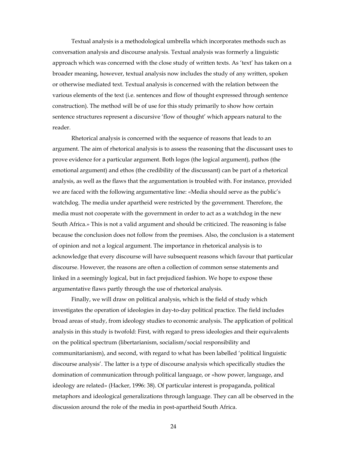Textual analysis is a methodological umbrella which incorporates methods such as conversation analysis and discourse analysis. Textual analysis was formerly a linguistic approach which was concerned with the close study of written texts. As 'text' has taken on a broader meaning, however, textual analysis now includes the study of any written, spoken or otherwise mediated text. Textual analysis is concerned with the relation between the various elements of the text (i.e. sentences and flow of thought expressed through sentence construction). The method will be of use for this study primarily to show how certain sentence structures represent a discursive 'flow of thought' which appears natural to the reader.

Rhetorical analysis is concerned with the sequence of reasons that leads to an argument. The aim of rhetorical analysis is to assess the reasoning that the discussant uses to prove evidence for a particular argument. Both logos (the logical argument), pathos (the emotional argument) and ethos (the credibility of the discussant) can be part of a rhetorical analysis, as well as the flaws that the argumentation is troubled with. For instance, provided we are faced with the following argumentative line: «Media should serve as the public's watchdog. The media under apartheid were restricted by the government. Therefore, the media must not cooperate with the government in order to act as a watchdog in the new South Africa.» This is not a valid argument and should be criticized. The reasoning is false because the conclusion does not follow from the premises. Also, the conclusion is a statement of opinion and not a logical argument. The importance in rhetorical analysis is to acknowledge that every discourse will have subsequent reasons which favour that particular discourse. However, the reasons are often a collection of common sense statements and linked in a seemingly logical, but in fact prejudiced fashion. We hope to expose these argumentative flaws partly through the use of rhetorical analysis.

Finally, we will draw on political analysis, which is the field of study which investigates the operation of ideologies in day-to-day political practice. The field includes broad areas of study, from ideology studies to economic analysis. The application of political analysis in this study is twofold: First, with regard to press ideologies and their equivalents on the political spectrum (libertarianism, socialism/social responsibility and communitarianism), and second, with regard to what has been labelled 'political linguistic discourse analysis'. The latter is a type of discourse analysis which specifically studies the domination of communication through political language, or «how power, language, and ideology are related» (Hacker, 1996: 38). Of particular interest is propaganda, political metaphors and ideological generalizations through language. They can all be observed in the discussion around the role of the media in post-apartheid South Africa.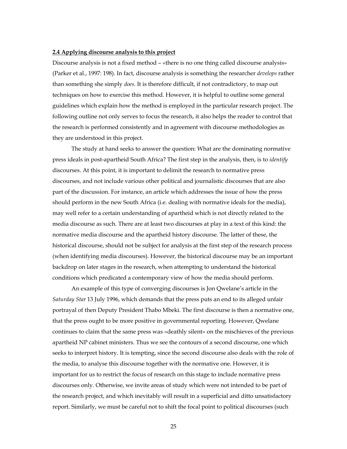#### **2.4 Applying discourse analysis to this project**

Discourse analysis is not a fixed method – «there is no one thing called discourse analysis» (Parker et al., 1997: 198). In fact, discourse analysis is something the researcher *develops* rather than something she simply *does*. It is therefore difficult, if not contradictory, to map out techniques on how to exercise this method. However, it is helpful to outline some general guidelines which explain how the method is employed in the particular research project. The following outline not only serves to focus the research, it also helps the reader to control that the research is performed consistently and in agreement with discourse methodologies as they are understood in this project.

The study at hand seeks to answer the question: What are the dominating normative press ideals in post-apartheid South Africa? The first step in the analysis, then, is to *identify* discourses. At this point, it is important to delimit the research to normative press discourses, and not include various other political and journalistic discourses that are also part of the discussion. For instance, an article which addresses the issue of how the press should perform in the new South Africa (i.e. dealing with normative ideals for the media), may well refer to a certain understanding of apartheid which is not directly related to the media discourse as such. There are at least two discourses at play in a text of this kind: the normative media discourse and the apartheid history discourse. The latter of these, the historical discourse, should not be subject for analysis at the first step of the research process (when identifying media discourses). However, the historical discourse may be an important backdrop on later stages in the research, when attempting to understand the historical conditions which predicated a contemporary view of how the media should perform.

An example of this type of converging discourses is Jon Qwelane's article in the *Saturday Star* 13 July 1996, which demands that the press puts an end to its alleged unfair portrayal of then Deputy President Thabo Mbeki. The first discourse is then a normative one, that the press ought to be more positive in governmental reporting. However, Qwelane continues to claim that the same press was «deathly silent» on the mischieves of the previous apartheid NP cabinet ministers. Thus we see the contours of a second discourse, one which seeks to interpret history. It is tempting, since the second discourse also deals with the role of the media, to analyse this discourse together with the normative one. However, it is important for us to restrict the focus of research on this stage to include normative press discourses only. Otherwise, we invite areas of study which were not intended to be part of the research project, and which inevitably will result in a superficial and ditto unsatisfactory report. Similarly, we must be careful not to shift the focal point to political discourses (such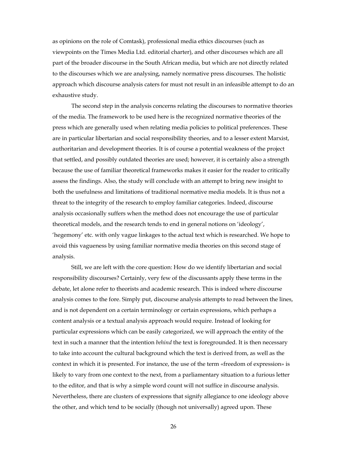as opinions on the role of Comtask), professional media ethics discourses (such as viewpoints on the Times Media Ltd. editorial charter), and other discourses which are all part of the broader discourse in the South African media, but which are not directly related to the discourses which we are analysing, namely normative press discourses. The holistic approach which discourse analysis caters for must not result in an infeasible attempt to do an exhaustive study.

The second step in the analysis concerns relating the discourses to normative theories of the media. The framework to be used here is the recognized normative theories of the press which are generally used when relating media policies to political preferences. These are in particular libertarian and social responsibility theories, and to a lesser extent Marxist, authoritarian and development theories. It is of course a potential weakness of the project that settled, and possibly outdated theories are used; however, it is certainly also a strength because the use of familiar theoretical frameworks makes it easier for the reader to critically assess the findings. Also, the study will conclude with an attempt to bring new insight to both the usefulness and limitations of traditional normative media models. It is thus not a threat to the integrity of the research to employ familiar categories. Indeed, discourse analysis occasionally suffers when the method does not encourage the use of particular theoretical models, and the research tends to end in general notions on 'ideology', 'hegemony' etc. with only vague linkages to the actual text which is researched. We hope to avoid this vagueness by using familiar normative media theories on this second stage of analysis.

Still, we are left with the core question: How do we identify libertarian and social responsibility discourses? Certainly, very few of the discussants apply these terms in the debate, let alone refer to theorists and academic research. This is indeed where discourse analysis comes to the fore. Simply put, discourse analysis attempts to read between the lines, and is not dependent on a certain terminology or certain expressions, which perhaps a content analysis or a textual analysis approach would require. Instead of looking for particular expressions which can be easily categorized, we will approach the entity of the text in such a manner that the intention *behind* the text is foregrounded. It is then necessary to take into account the cultural background which the text is derived from, as well as the context in which it is presented. For instance, the use of the term «freedom of expression» is likely to vary from one context to the next, from a parliamentary situation to a furious letter to the editor, and that is why a simple word count will not suffice in discourse analysis. Nevertheless, there are clusters of expressions that signify allegiance to one ideology above the other, and which tend to be socially (though not universally) agreed upon. These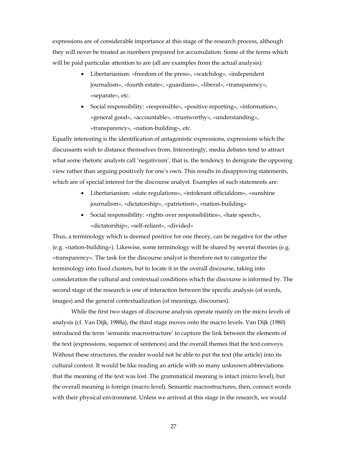expressions are of considerable importance at this stage of the research process, although they will never be treated as numbers prepared for accumulation. Some of the terms which will be paid particular attention to are (all are examples from the actual analysis):

- Libertarianism: «freedom of the press», «watchdog», «independent journalism», «fourth estate», «guardians», «liberal», «transparency», «separate», etc.
- Social responsibility: «responsible», «positive reporting», «information», «general good», «accountable», «trustworthy», «understanding», «transparency», «nation-building», etc.

Equally interesting is the identification of antagonistic expressions, expressions which the discussants wish to distance themselves from. Interestingly, media debates tend to attract what some rhetoric analysts call 'negativism', that is, the tendency to denigrate the opposing view rather than arguing positively for one's own. This results in disapproving statements, which are of special interest for the discourse analyst. Examples of such statements are:

- Libertarianism: «state regulations», «intolerant officialdom», «sunshine journalism», «dictatorship», «patriotism», «nation-building»
- Social responsibility: «rights over responsibilities», «hate speech», «dictatorship», «self-reliant», «divided»

Thus, a terminology which is deemed positive for one theory, can be negative for the other (e.g. «nation-building»). Likewise, some terminology will be shared by several theories (e.g. «transparency». The task for the discourse analyst is therefore not to categorize the terminology into fixed clusters, but to locate it in the overall discourse, taking into consideration the cultural and contextual conditions which the discourse is informed by. The second stage of the research is one of interaction between the specific analysis (of words, images) and the general contextualization (of meanings, discourses).

While the first two stages of discourse analysis operate mainly on the micro levels of analysis (cf. Van Dijk, 1988a), the third stage moves onto the macro levels. Van Dijk (1980) introduced the term 'semantic macrostructure' to capture the link between the elements of the text (expressions, sequence of sentences) and the overall themes that the text conveys. Without these structures, the reader would not be able to put the text (the article) into its cultural context. It would be like reading an article with so many unknown abbreviations that the meaning of the text was lost. The grammatical meaning is intact (micro level), but the overall meaning is foreign (macro level). Semantic macrostructures, then, connect words with their physical environment. Unless we arrived at this stage in the research, we would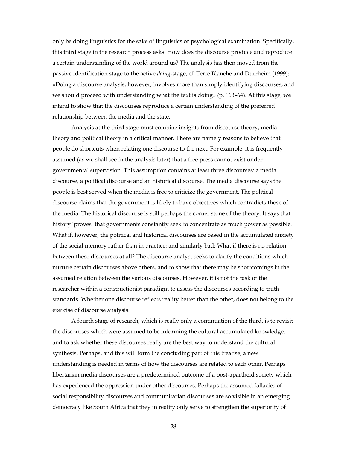only be doing linguistics for the sake of linguistics or psychological examination. Specifically, this third stage in the research process asks: How does the discourse produce and reproduce a certain understanding of the world around us? The analysis has then moved from the passive identification stage to the active *doing*-stage, cf. Terre Blanche and Durrheim (1999): «Doing a discourse analysis, however, involves more than simply identifying discourses, and we should proceed with understanding what the text is doing» (p. 163–64). At this stage, we intend to show that the discourses reproduce a certain understanding of the preferred relationship between the media and the state.

Analysis at the third stage must combine insights from discourse theory, media theory and political theory in a critical manner. There are namely reasons to believe that people do shortcuts when relating one discourse to the next. For example, it is frequently assumed (as we shall see in the analysis later) that a free press cannot exist under governmental supervision. This assumption contains at least three discourses: a media discourse, a political discourse and an historical discourse. The media discourse says the people is best served when the media is free to criticize the government. The political discourse claims that the government is likely to have objectives which contradicts those of the media. The historical discourse is still perhaps the corner stone of the theory: It says that history 'proves' that governments constantly seek to concentrate as much power as possible. What if, however, the political and historical discourses are based in the accumulated anxiety of the social memory rather than in practice; and similarly bad: What if there is no relation between these discourses at all? The discourse analyst seeks to clarify the conditions which nurture certain discourses above others, and to show that there may be shortcomings in the assumed relation between the various discourses. However, it is not the task of the researcher within a constructionist paradigm to assess the discourses according to truth standards. Whether one discourse reflects reality better than the other, does not belong to the exercise of discourse analysis.

A fourth stage of research, which is really only a continuation of the third, is to revisit the discourses which were assumed to be informing the cultural accumulated knowledge, and to ask whether these discourses really are the best way to understand the cultural synthesis. Perhaps, and this will form the concluding part of this treatise, a new understanding is needed in terms of how the discourses are related to each other. Perhaps libertarian media discourses are a predetermined outcome of a post-apartheid society which has experienced the oppression under other discourses. Perhaps the assumed fallacies of social responsibility discourses and communitarian discourses are so visible in an emerging democracy like South Africa that they in reality only serve to strengthen the superiority of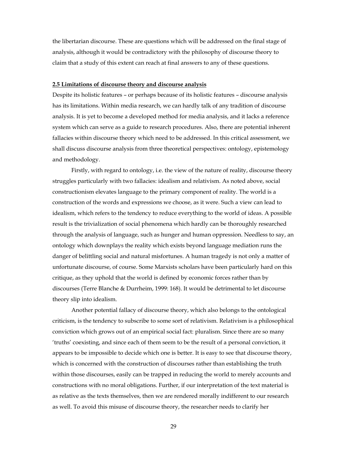the libertarian discourse. These are questions which will be addressed on the final stage of analysis, although it would be contradictory with the philosophy of discourse theory to claim that a study of this extent can reach at final answers to any of these questions.

#### **2.5 Limitations of discourse theory and discourse analysis**

Despite its holistic features – or perhaps because of its holistic features – discourse analysis has its limitations. Within media research, we can hardly talk of any tradition of discourse analysis. It is yet to become a developed method for media analysis, and it lacks a reference system which can serve as a guide to research procedures. Also, there are potential inherent fallacies within discourse theory which need to be addressed. In this critical assessment, we shall discuss discourse analysis from three theoretical perspectives: ontology, epistemology and methodology.

Firstly, with regard to ontology, i.e. the view of the nature of reality, discourse theory struggles particularly with two fallacies: idealism and relativism. As noted above, social constructionism elevates language to the primary component of reality. The world is a construction of the words and expressions we choose, as it were. Such a view can lead to idealism, which refers to the tendency to reduce everything to the world of ideas. A possible result is the trivialization of social phenomena which hardly can be thoroughly researched through the analysis of language, such as hunger and human oppression. Needless to say, an ontology which downplays the reality which exists beyond language mediation runs the danger of belittling social and natural misfortunes. A human tragedy is not only a matter of unfortunate discourse, of course. Some Marxists scholars have been particularly hard on this critique, as they uphold that the world is defined by economic forces rather than by discourses (Terre Blanche & Durrheim, 1999: 168). It would be detrimental to let discourse theory slip into idealism.

Another potential fallacy of discourse theory, which also belongs to the ontological criticism, is the tendency to subscribe to some sort of relativism. Relativism is a philosophical conviction which grows out of an empirical social fact: pluralism. Since there are so many 'truths' coexisting, and since each of them seem to be the result of a personal conviction, it appears to be impossible to decide which one is better. It is easy to see that discourse theory, which is concerned with the construction of discourses rather than establishing the truth within those discourses, easily can be trapped in reducing the world to merely accounts and constructions with no moral obligations. Further, if our interpretation of the text material is as relative as the texts themselves, then we are rendered morally indifferent to our research as well. To avoid this misuse of discourse theory, the researcher needs to clarify her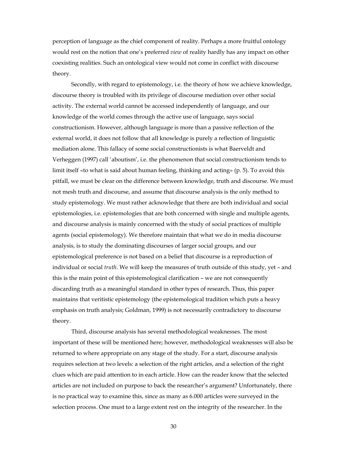perception of language as the chief component of reality. Perhaps a more fruitful ontology would rest on the notion that one's preferred *view* of reality hardly has any impact on other coexisting realities. Such an ontological view would not come in conflict with discourse theory.

Secondly, with regard to epistemology, i.e. the theory of how we achieve knowledge, discourse theory is troubled with its privilege of discourse mediation over other social activity. The external world cannot be accessed independently of language, and our knowledge of the world comes through the active use of language, says social constructionism. However, although language is more than a passive reflection of the external world, it does not follow that all knowledge is purely a reflection of linguistic mediation alone. This fallacy of some social constructionists is what Baerveldt and Verheggen (1997) call 'aboutism', i.e. the phenomenon that social constructionism tends to limit itself «to what is said about human feeling, thinking and acting» (p. 5). To avoid this pitfall, we must be clear on the difference between knowledge, truth and discourse. We must not mesh truth and discourse, and assume that discourse analysis is the only method to study epistemology. We must rather acknowledge that there are both individual and social epistemologies, i.e. epistemologies that are both concerned with single and multiple agents, and discourse analysis is mainly concerned with the study of social practices of multiple agents (social epistemology). We therefore maintain that what we do in media discourse analysis, is to study the dominating discourses of larger social groups, and our epistemological preference is not based on a belief that discourse is a reproduction of individual or social *truth*. We will keep the measures of truth outside of this study, yet – and this is the main point of this epistemological clarification – we are not consequently discarding truth as a meaningful standard in other types of research. Thus, this paper maintains that veritistic epistemology (the epistemological tradition which puts a heavy emphasis on truth analysis; Goldman, 1999) is not necessarily contradictory to discourse theory.

Third, discourse analysis has several methodological weaknesses. The most important of these will be mentioned here; however, methodological weaknesses will also be returned to where appropriate on any stage of the study. For a start, discourse analysis requires selection at two levels: a selection of the right articles, and a selection of the right clues which are paid attention to in each article. How can the reader know that the selected articles are not included on purpose to back the researcher's argument? Unfortunately, there is no practical way to examine this, since as many as 6.000 articles were surveyed in the selection process. One must to a large extent rest on the integrity of the researcher. In the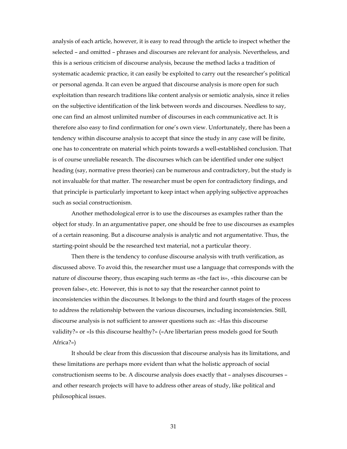analysis of each article, however, it is easy to read through the article to inspect whether the selected – and omitted – phrases and discourses are relevant for analysis. Nevertheless, and this is a serious criticism of discourse analysis, because the method lacks a tradition of systematic academic practice, it can easily be exploited to carry out the researcher's political or personal agenda. It can even be argued that discourse analysis is more open for such exploitation than research traditions like content analysis or semiotic analysis, since it relies on the subjective identification of the link between words and discourses. Needless to say, one can find an almost unlimited number of discourses in each communicative act. It is therefore also easy to find confirmation for one's own view. Unfortunately, there has been a tendency within discourse analysis to accept that since the study in any case will be finite, one has to concentrate on material which points towards a well-established conclusion. That is of course unreliable research. The discourses which can be identified under one subject heading (say, normative press theories) can be numerous and contradictory, but the study is not invaluable for that matter. The researcher must be open for contradictory findings, and that principle is particularly important to keep intact when applying subjective approaches such as social constructionism.

Another methodological error is to use the discourses as examples rather than the object for study. In an argumentative paper, one should be free to use discourses as examples of a certain reasoning. But a discourse analysis is analytic and not argumentative. Thus, the starting-point should be the researched text material, not a particular theory.

Then there is the tendency to confuse discourse analysis with truth verification, as discussed above. To avoid this, the researcher must use a language that corresponds with the nature of discourse theory, thus escaping such terms as «the fact is», «this discourse can be proven false», etc. However, this is not to say that the researcher cannot point to inconsistencies within the discourses. It belongs to the third and fourth stages of the process to address the relationship between the various discourses, including inconsistencies. Still, discourse analysis is not sufficient to answer questions such as: «Has this discourse validity?» or «Is this discourse healthy?» («Are libertarian press models good for South Africa?»)

It should be clear from this discussion that discourse analysis has its limitations, and these limitations are perhaps more evident than what the holistic approach of social constructionism seems to be. A discourse analysis does exactly that – analyses discourses – and other research projects will have to address other areas of study, like political and philosophical issues.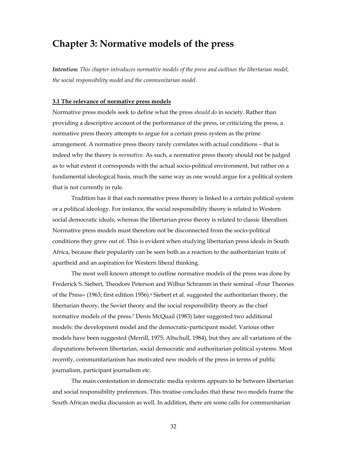## **Chapter 3: Normative models of the press**

*Intention: This chapter introduces normative models of the press and outlines the libertarian model, the social responsibility model and the communitarian model.*

#### **3.1 The relevance of normative press models**

Normative press models seek to define what the press *should do* in society. Rather than providing a descriptive account of the performance of the press, or criticizing the press, a normative press theory attempts to argue for a certain press system as the prime arrangement. A normative press theory rarely correlates with actual conditions – that is indeed why the theory is *normative*. As such, a normative press theory should not be judged as to what extent it corresponds with the actual socio-political environment, but rather on a fundamental ideological basis, much the same way as one would argue for a political system that is not currently in rule.

Tradition has it that each normative press theory is linked to a certain political system or a political ideology. For instance, the social responsibility theory is related to Western social democratic ideals, whereas the libertarian press theory is related to classic liberalism. Normative press models must therefore not be disconnected from the socio-political conditions they grew out of. This is evident when studying libertarian press ideals in South Africa, because their popularity can be seen both as a reaction to the authoritarian traits of apartheid and an aspiration for Western liberal thinking.

 The most well-known attempt to outline normative models of the press was done by Frederick S. Siebert, Theodore Peterson and Wilbur Schramm in their seminal «Four Theories of the Press» (1963; first edition 1956).<sup>6</sup> Siebert et al. suggested the authoritarian theory, the libertarian theory, the Soviet theory and the social responsibility theory as the chief normative models of the press.7 Denis McQuail (1983) later suggested two additional models: the development model and the democratic-participant model. Various other models have been suggested (Merrill, 1975; Altschull, 1984), but they are all variations of the disputations between libertarian, social democratic and authoritarian political systems. Most recently, communitarianism has motivated new models of the press in terms of public journalism, participant journalism etc.

 The main contestation in democratic media systems appears to be between libertarian and social responsibility preferences. This treatise concludes that these two models frame the South African media discussion as well. In addition, there are some calls for communitarian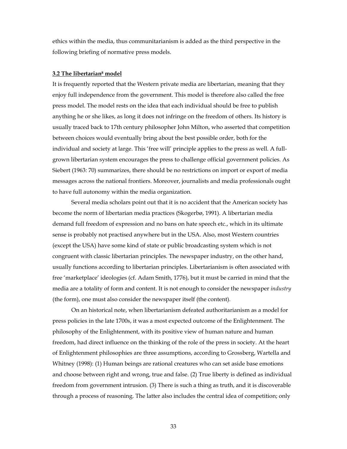ethics within the media, thus communitarianism is added as the third perspective in the following briefing of normative press models.

#### **3.2 The libertarian8 model**

It is frequently reported that the Western private media are libertarian, meaning that they enjoy full independence from the government. This model is therefore also called the free press model. The model rests on the idea that each individual should be free to publish anything he or she likes, as long it does not infringe on the freedom of others. Its history is usually traced back to 17th century philosopher John Milton, who asserted that competition between choices would eventually bring about the best possible order, both for the individual and society at large. This 'free will' principle applies to the press as well. A fullgrown libertarian system encourages the press to challenge official government policies. As Siebert (1963: 70) summarizes, there should be no restrictions on import or export of media messages across the national frontiers. Moreover, journalists and media professionals ought to have full autonomy within the media organization.

 Several media scholars point out that it is no accident that the American society has become the norm of libertarian media practices (Skogerbø, 1991). A libertarian media demand full freedom of expression and no bans on hate speech etc., which in its ultimate sense is probably not practised anywhere but in the USA. Also, most Western countries (except the USA) have some kind of state or public broadcasting system which is not congruent with classic libertarian principles. The newspaper industry, on the other hand, usually functions according to libertarian principles. Libertarianism is often associated with free 'marketplace' ideologies (cf. Adam Smith, 1776), but it must be carried in mind that the media are a totality of form and content. It is not enough to consider the newspaper *industry* (the form), one must also consider the newspaper itself (the content).

 On an historical note, when libertarianism defeated authoritarianism as a model for press policies in the late 1700s, it was a most expected outcome of the Enlightenment. The philosophy of the Enlightenment, with its positive view of human nature and human freedom, had direct influence on the thinking of the role of the press in society. At the heart of Enlightenment philosophies are three assumptions, according to Grossberg, Wartella and Whitney (1998): (1) Human beings are rational creatures who can set aside base emotions and choose between right and wrong, true and false. (2) True liberty is defined as individual freedom from government intrusion. (3) There is such a thing as truth, and it is discoverable through a process of reasoning. The latter also includes the central idea of competition; only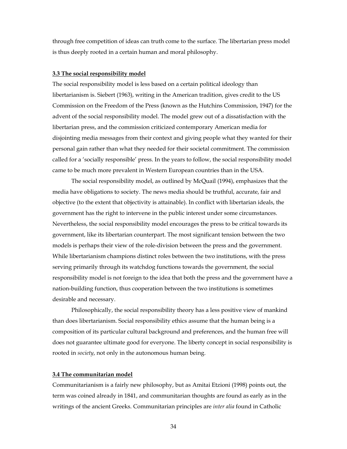through free competition of ideas can truth come to the surface. The libertarian press model is thus deeply rooted in a certain human and moral philosophy.

#### **3.3 The social responsibility model**

The social responsibility model is less based on a certain political ideology than libertarianism is. Siebert (1963), writing in the American tradition, gives credit to the US Commission on the Freedom of the Press (known as the Hutchins Commission, 1947) for the advent of the social responsibility model. The model grew out of a dissatisfaction with the libertarian press, and the commission criticized contemporary American media for disjointing media messages from their context and giving people what they wanted for their personal gain rather than what they needed for their societal commitment. The commission called for a 'socially responsible' press. In the years to follow, the social responsibility model came to be much more prevalent in Western European countries than in the USA.

 The social responsibility model, as outlined by McQuail (1994), emphasizes that the media have obligations to society. The news media should be truthful, accurate, fair and objective (to the extent that objectivity is attainable). In conflict with libertarian ideals, the government has the right to intervene in the public interest under some circumstances. Nevertheless, the social responsibility model encourages the press to be critical towards its government, like its libertarian counterpart. The most significant tension between the two models is perhaps their view of the role-division between the press and the government. While libertarianism champions distinct roles between the two institutions, with the press serving primarily through its watchdog functions towards the government, the social responsibility model is not foreign to the idea that both the press and the government have a nation-building function, thus cooperation between the two institutions is sometimes desirable and necessary.

 Philosophically, the social responsibility theory has a less positive view of mankind than does libertarianism. Social responsibility ethics assume that the human being is a composition of its particular cultural background and preferences, and the human free will does not guarantee ultimate good for everyone. The liberty concept in social responsibility is rooted in *society*, not only in the autonomous human being.

#### **3.4 The communitarian model**

Communitarianism is a fairly new philosophy, but as Amitai Etzioni (1998) points out, the term was coined already in 1841, and communitarian thoughts are found as early as in the writings of the ancient Greeks. Communitarian principles are *inter alia* found in Catholic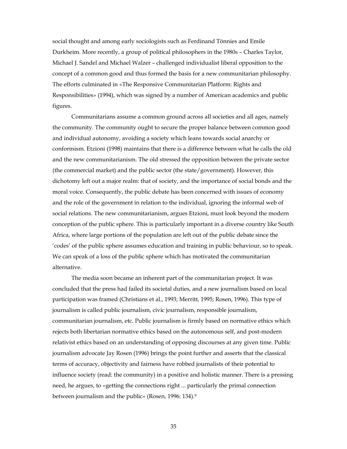social thought and among early sociologists such as Ferdinand Tönnies and Emile Durkheim. More recently, a group of political philosophers in the 1980s – Charles Taylor, Michael J. Sandel and Michael Walzer – challenged individualist liberal opposition to the concept of a common good and thus formed the basis for a new communitarian philosophy. The efforts culminated in «The Responsive Communitarian Platform: Rights and Responsibilities» (1994), which was signed by a number of American academics and public figures.

 Communitarians assume a common ground across all societies and all ages, namely the community. The community ought to secure the proper balance between common good and individual autonomy, avoiding a society which leans towards social anarchy or conformism. Etzioni (1998) maintains that there is a difference between what he calls the old and the new communitarianism. The old stressed the opposition between the private sector (the commercial market) and the public sector (the state/government). However, this dichotomy left out a major realm: that of society, and the importance of social bonds and the moral voice. Consequently, the public debate has been concerned with issues of economy and the role of the government in relation to the individual, ignoring the informal web of social relations. The new communitarianism, argues Etzioni, must look beyond the modern conception of the public sphere. This is particularly important in a diverse country like South Africa, where large portions of the population are left out of the public debate since the 'codes' of the public sphere assumes education and training in public behaviour, so to speak. We can speak of a loss of the public sphere which has motivated the communitarian alternative.

 The media soon became an inherent part of the communitarian project. It was concluded that the press had failed its societal duties, and a new journalism based on local participation was framed (Christians et al., 1993; Merritt, 1995; Rosen, 1996). This type of journalism is called public journalism, civic journalism, responsible journalism, communitarian journalism, etc. Public journalism is firmly based on normative ethics which rejects both libertarian normative ethics based on the autonomous self, and post-modern relativist ethics based on an understanding of opposing discourses at any given time. Public journalism advocate Jay Rosen (1996) brings the point further and asserts that the classical terms of accuracy, objectivity and fairness have robbed journalists of their potential to influence society (read: the community) in a positive and holistic manner. There is a pressing need, he argues, to «getting the connections right ... particularly the primal connection between journalism and the public» (Rosen, 1996: 134).9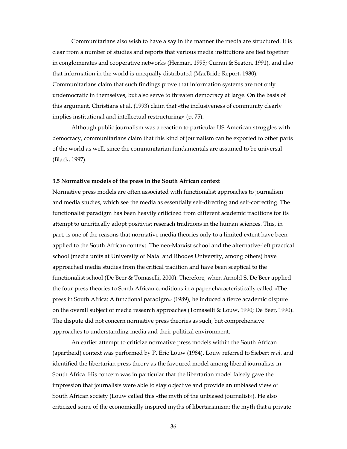Communitarians also wish to have a say in the manner the media are structured. It is clear from a number of studies and reports that various media institutions are tied together in conglomerates and cooperative networks (Herman, 1995; Curran & Seaton, 1991), and also that information in the world is unequally distributed (MacBride Report, 1980). Communitarians claim that such findings prove that information systems are not only undemocratic in themselves, but also serve to threaten democracy at large. On the basis of this argument, Christians et al. (1993) claim that «the inclusiveness of community clearly implies institutional and intellectual restructuring» (p. 75).

Although public journalism was a reaction to particular US American struggles with democracy, communitarians claim that this kind of journalism can be exported to other parts of the world as well, since the communitarian fundamentals are assumed to be universal (Black, 1997).

#### **3.5 Normative models of the press in the South African context**

Normative press models are often associated with functionalist approaches to journalism and media studies, which see the media as essentially self-directing and self-correcting. The functionalist paradigm has been heavily criticized from different academic traditions for its attempt to uncritically adopt positivist reserach traditions in the human sciences. This, in part, is one of the reasons that normative media theories only to a limited extent have been applied to the South African context. The neo-Marxist school and the alternative-left practical school (media units at University of Natal and Rhodes University, among others) have approached media studies from the critical tradition and have been sceptical to the functionalist school (De Beer & Tomaselli, 2000). Therefore, when Arnold S. De Beer applied the four press theories to South African conditions in a paper characteristically called «The press in South Africa: A functional paradigm» (1989), he induced a fierce academic dispute on the overall subject of media research approaches (Tomaselli & Louw, 1990; De Beer, 1990). The dispute did not concern normative press theories as such, but comprehensive approaches to understanding media and their political environment.

 An earlier attempt to criticize normative press models within the South African (apartheid) context was performed by P. Eric Louw (1984). Louw referred to Siebert *et al*. and identified the libertarian press theory as the favoured model among liberal journalists in South Africa. His concern was in particular that the libertarian model falsely gave the impression that journalists were able to stay objective and provide an unbiased view of South African society (Louw called this «the myth of the unbiased journalist»). He also criticized some of the economically inspired myths of libertarianism: the myth that a private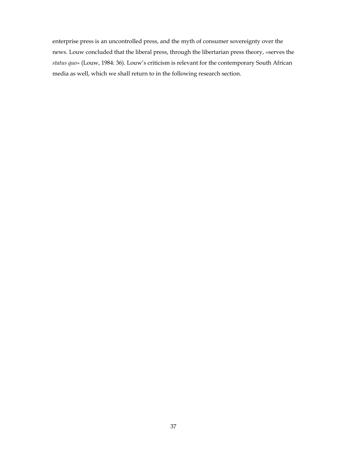enterprise press is an uncontrolled press, and the myth of consumer sovereignty over the news. Louw concluded that the liberal press, through the libertarian press theory, «serves the *status quo*» (Louw, 1984: 36). Louw's criticism is relevant for the contemporary South African media as well, which we shall return to in the following research section.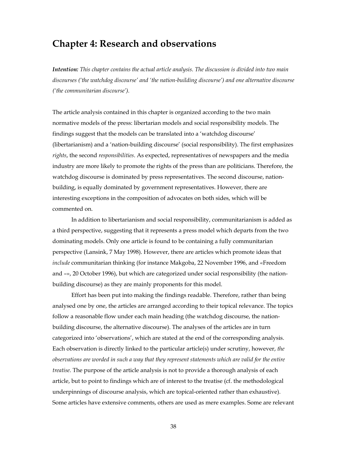# **Chapter 4: Research and observations**

*Intention: This chapter contains the actual article analysis. The discussion is divided into two main discourses ('the watchdog discourse' and 'the nation-building discourse') and one alternative discourse ('the communitarian discourse').*

The article analysis contained in this chapter is organized according to the two main normative models of the press: libertarian models and social responsibility models. The findings suggest that the models can be translated into a 'watchdog discourse' (libertarianism) and a 'nation-building discourse' (social responsibility). The first emphasizes *rights*, the second *responsibilities*. As expected, representatives of newspapers and the media industry are more likely to promote the rights of the press than are politicians. Therefore, the watchdog discourse is dominated by press representatives. The second discourse, nationbuilding, is equally dominated by government representatives. However, there are interesting exceptions in the composition of advocates on both sides, which will be commented on.

In addition to libertarianism and social responsibility, communitarianism is added as a third perspective, suggesting that it represents a press model which departs from the two dominating models. Only one article is found to be containing a fully communitarian perspective (Lansink, 7 May 1998). However, there are articles which promote ideas that *include* communitarian thinking (for instance Makgoba, 22 November 1996, and «Freedom and –», 20 October 1996), but which are categorized under social responsibility (the nationbuilding discourse) as they are mainly proponents for this model.

Effort has been put into making the findings readable. Therefore, rather than being analysed one by one, the articles are arranged according to their topical relevance. The topics follow a reasonable flow under each main heading (the watchdog discourse, the nationbuilding discourse, the alternative discourse). The analyses of the articles are in turn categorized into 'observations', which are stated at the end of the corresponding analysis. Each observation is directly linked to the particular article(s) under scrutiny, however, *the observations are worded in such a way that they represent statements which are valid for the entire treatise*. The purpose of the article analysis is not to provide a thorough analysis of each article, but to point to findings which are of interest to the treatise (cf. the methodological underpinnings of discourse analysis, which are topical-oriented rather than exhaustive). Some articles have extensive comments, others are used as mere examples. Some are relevant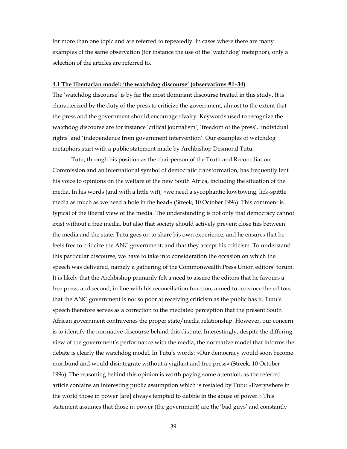for more than one topic and are referred to repeatedly. In cases where there are many examples of the same observation (for instance the use of the 'watchdog' metaphor), only a selection of the articles are referred to.

### **4.1 The libertarian model: 'the watchdog discourse' (observations #1–34)**

The 'watchdog discourse' is by far the most dominant discourse treated in this study. It is characterized by the duty of the press to criticize the government, almost to the extent that the press and the government should encourage rivalry. Keywords used to recognize the watchdog discourse are for instance 'critical journalism', 'freedom of the press', 'individual rights' and 'independence from government intervention'. Our examples of watchdog metaphors start with a public statement made by Archbishop Desmond Tutu.

Tutu, through his position as the chairperson of the Truth and Reconciliation Commission and an international symbol of democratic transformation, has frequently lent his voice to opinions on the welfare of the new South Africa, including the situation of the media. In his words (and with a little wit), «we need a sycophantic kowtowing, lick-spittle media as much as we need a hole in the head» (Streek, 10 October 1996). This comment is typical of the liberal view of the media. The understanding is not only that democracy cannot exist without a free media, but also that society should actively prevent close ties between the media and the state. Tutu goes on to share his own experience, and he ensures that he feels free to criticize the ANC government, and that they accept his criticism. To understand this particular discourse, we have to take into consideration the occasion on which the speech was delivered, namely a gathering of the Commonwealth Press Union editors' forum. It is likely that the Archbishop primarily felt a need to assure the editors that he favours a free press, and second, in line with his reconciliation function, aimed to convince the editors that the ANC government is not so poor at receiving criticism as the public has it. Tutu's speech therefore serves as a correction to the mediated perception that the present South African government contravenes the proper state/media relationship. However, our concern is to identify the normative discourse behind this dispute. Interestingly, despite the differing view of the government's performance with the media, the normative model that informs the debate is clearly the watchdog model. In Tutu's words: «Our democracy would soon become moribund and would disintegrate without a vigilant and free press» (Streek, 10 October 1996). The reasoning behind this opinion is worth paying some attention, as the referred article contains an interesting public assumption which is restated by Tutu: «Everywhere in the world those in power [are] always tempted to dabble in the abuse of power.» This statement assumes that those in power (the government) are the 'bad guys' and constantly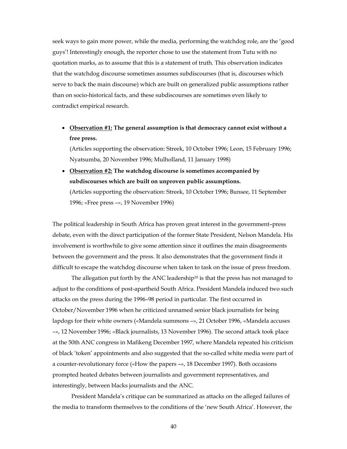seek ways to gain more power, while the media, performing the watchdog role, are the 'good guys'! Interestingly enough, the reporter chose to use the statement from Tutu with no quotation marks, as to assume that this is a statement of truth. This observation indicates that the watchdog discourse sometimes assumes subdiscourses (that is, discourses which serve to back the main discourse) which are built on generalized public assumptions rather than on socio-historical facts, and these subdiscourses are sometimes even likely to contradict empirical research.

• **Observation #1: The general assumption is that democracy cannot exist without a free press.** 

(Articles supporting the observation: Streek, 10 October 1996; Leon, 15 February 1996; Nyatsumba, 20 November 1996; Mulholland, 11 January 1998)

• **Observation #2: The watchdog discourse is sometimes accompanied by subdiscourses which are built on unproven public assumptions.** (Articles supporting the observation: Streek, 10 October 1996; Bunsee, 11 September

1996; «Free press –», 19 November 1996)

The political leadership in South Africa has proven great interest in the government–press debate, even with the direct participation of the former State President, Nelson Mandela. His involvement is worthwhile to give some attention since it outlines the main disagreements between the government and the press. It also demonstrates that the government finds it difficult to escape the watchdog discourse when taken to task on the issue of press freedom.

The allegation put forth by the ANC leadership<sup>10</sup> is that the press has not managed to adjust to the conditions of post-apartheid South Africa. President Mandela induced two such attacks on the press during the 1996–98 period in particular. The first occurred in October/November 1996 when he criticized unnamed senior black journalists for being lapdogs for their white owners («Mandela summons –», 21 October 1996, «Mandela accuses –», 12 November 1996; «Black journalists, 13 November 1996). The second attack took place at the 50th ANC congress in Mafikeng December 1997, where Mandela repeated his criticism of black 'token' appointments and also suggested that the so-called white media were part of a counter-revolutionary force («How the papers –», 18 December 1997). Both occasions prompted heated debates between journalists and government representatives, and interestingly, between blacks journalists and the ANC.

President Mandela's critique can be summarized as attacks on the alleged failures of the media to transform themselves to the conditions of the 'new South Africa'. However, the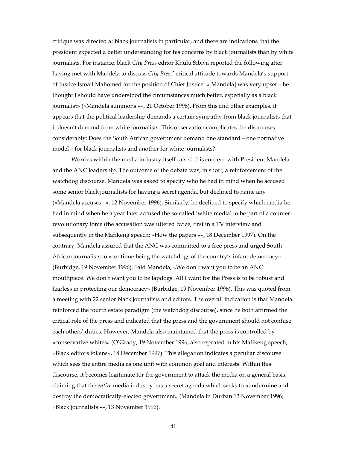critique was directed at black journalists in particular, and there are indications that the president expected a better understanding for his concerns by black journalists than by white journalists. For instance, black *City Press* editor Khulu Sibiya reported the following after having met with Mandela to discuss *City Press*' critical attitude towards Mandela's support of Justice Ismail Mahomed for the position of Chief Justice: «[Mandela] was very upset – he thought I should have understood the circumstances much better, especially as a black journalist» («Mandela summons –», 21 October 1996). From this and other examples, it appears that the political leadership demands a certain sympathy from black journalists that it doesn't demand from white journalists. This observation complicates the discourses considerably: Does the South African government demand one standard – one normative model – for black journalists and another for white journalists?<sup>11</sup>

Worries within the media industry itself raised this concern with President Mandela and the ANC leadership. The outcome of the debate was, in short, a reinforcement of the watchdog discourse. Mandela was asked to specify who he had in mind when he accused some senior black journalists for having a secret agenda, but declined to name any («Mandela accuses –», 12 November 1996). Similarly, he declined to specify which media he had in mind when he a year later accused the so-called 'white media' to be part of a counterrevolutionary force (the accusation was uttered twice, first in a TV interview and subsequently in the Mafikeng speech; «How the papers –», 18 December 1997). On the contrary, Mandela assured that the ANC was committed to a free press and urged South African journalists to «continue being the watchdogs of the country's infant democracy» (Burbidge, 19 November 1996). Said Mandela, «We don't want you to be an ANC mouthpiece. We don't want you to be lapdogs. All I want for the Press is to be robust and fearless in protecting our democracy» (Burbidge, 19 November 1996). This was quoted from a meeting with 22 senior black journalists and editors. The overall indication is that Mandela reinforced the fourth estate paradigm (the watchdog discourse), since he both affirmed the critical role of the press and indicated that the press and the government should not confuse each others' duties. However, Mandela also maintained that the press is controlled by «conservative whites» (O'Grady, 19 November 1996; also repeated in his Mafikeng speech, «Black editors tokens», 18 December 1997). This allegation indicates a peculiar discourse which sees the entire media as one unit with common goal and interests. Within this discourse, it becomes legitimate for the government to attack the media on a general basis, claiming that the *entire* media industry has a secret agenda which seeks to «undermine and destroy the democratically-elected government» (Mandela in Durban 13 November 1996; «Black journalists –», 13 November 1996).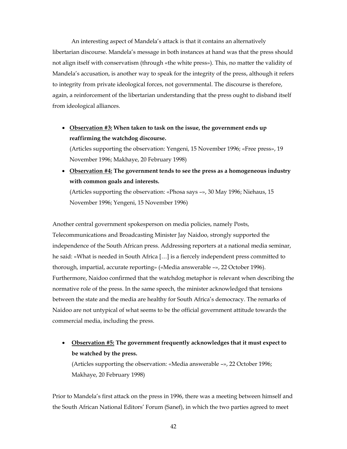An interesting aspect of Mandela's attack is that it contains an alternatively libertarian discourse. Mandela's message in both instances at hand was that the press should not align itself with conservatism (through «the white press»). This, no matter the validity of Mandela's accusation, is another way to speak for the integrity of the press, although it refers to integrity from private ideological forces, not governmental. The discourse is therefore, again, a reinforcement of the libertarian understanding that the press ought to disband itself from ideological alliances.

• **Observation #3: When taken to task on the issue, the government ends up reaffirming the watchdog discourse.**

(Articles supporting the observation: Yengeni, 15 November 1996; «Free press», 19 November 1996; Makhaye, 20 February 1998)

• **Observation #4: The government tends to see the press as a homogeneous industry with common goals and interests.**

(Articles supporting the observation: «Phosa says –», 30 May 1996; Niehaus, 15 November 1996; Yengeni, 15 November 1996)

Another central government spokesperson on media policies, namely Posts, Telecommunications and Broadcasting Minister Jay Naidoo, strongly supported the independence of the South African press. Addressing reporters at a national media seminar, he said: «What is needed in South Africa […] is a fiercely independent press committed to thorough, impartial, accurate reporting» («Media answerable –», 22 October 1996). Furthermore, Naidoo confirmed that the watchdog metaphor is relevant when describing the normative role of the press. In the same speech, the minister acknowledged that tensions between the state and the media are healthy for South Africa's democracy. The remarks of Naidoo are not untypical of what seems to be the official government attitude towards the commercial media, including the press.

• **Observation #5: The government frequently acknowledges that it must expect to be watched by the press.**

(Articles supporting the observation: «Media answerable –», 22 October 1996; Makhaye, 20 February 1998)

Prior to Mandela's first attack on the press in 1996, there was a meeting between himself and the South African National Editors' Forum (Sanef), in which the two parties agreed to meet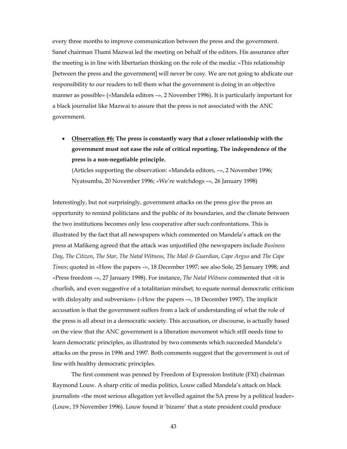every three months to improve communication between the press and the government. Sanef chairman Thami Mazwai led the meeting on behalf of the editors. His assurance after the meeting is in line with libertarian thinking on the role of the media: «This relationship [between the press and the government] will never be cosy. We are not going to abdicate our responsibility to our readers to tell them what the government is doing in an objective manner as possible» («Mandela editors –», 2 November 1996). It is particularly important for a black journalist like Mazwai to assure that the press is not associated with the ANC government.

• **Observation #6: The press is constantly wary that a closer relationship with the government must not ease the role of critical reporting. The independence of the press is a non-negotiable principle.**

(Articles supporting the observation: «Mandela editors, –», 2 November 1996; Nyatsumba, 20 November 1996; «We're watchdogs –», 26 January 1998)

Interestingly, but not surprisingly, government attacks on the press give the press an opportunity to remind politicians and the public of its boundaries, and the climate between the two institutions becomes only less cooperative after such confrontations. This is illustrated by the fact that all newspapers which commented on Mandela's attack on the press at Mafikeng agreed that the attack was unjustified (the newspapers include *Business Day*, *The Citizen*, *The Star*, *The Natal Witness*, *The Mail & Guardian*, *Cape Argus* and *The Cape Times*; quoted in «How the papers –», 18 December 1997; see also Sole, 25 January 1998; and «Press freedom –», 27 January 1998). For instance, *The Natal Witness* commented that «it is churlish, and even suggestive of a totalitarian mindset, to equate normal democratic criticism with disloyalty and subversion» («How the papers –», 18 December 1997). The implicit accusation is that the government suffers from a lack of understanding of what the role of the press is all about in a democratic society. This accusation, or discourse, is actually based on the view that the ANC government is a liberation movement which still needs time to learn democratic principles, as illustrated by two comments which succeeded Mandela's attacks on the press in 1996 and 1997. Both comments suggest that the government is out of line with healthy democratic principles.

The first comment was penned by Freedom of Expression Institute (FXI) chairman Raymond Louw. A sharp critic of media politics, Louw called Mandela's attack on black journalists «the most serious allegation yet levelled against the SA press by a political leader» (Louw, 19 November 1996). Louw found it 'bizarre' that a state president could produce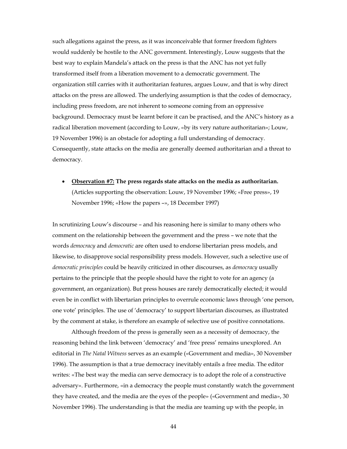such allegations against the press, as it was inconceivable that former freedom fighters would suddenly be hostile to the ANC government. Interestingly, Louw suggests that the best way to explain Mandela's attack on the press is that the ANC has not yet fully transformed itself from a liberation movement to a democratic government. The organization still carries with it authoritarian features, argues Louw, and that is why direct attacks on the press are allowed. The underlying assumption is that the codes of democracy, including press freedom, are not inherent to someone coming from an oppressive background. Democracy must be learnt before it can be practised, and the ANC's history as a radical liberation movement (according to Louw, «by its very nature authoritarian»; Louw, 19 November 1996) is an obstacle for adopting a full understanding of democracy. Consequently, state attacks on the media are generally deemed authoritarian and a threat to democracy.

• **Observation #7: The press regards state attacks on the media as authoritarian.** (Articles supporting the observation: Louw, 19 November 1996; «Free press», 19 November 1996; «How the papers –», 18 December 1997)

In scrutinizing Louw's discourse – and his reasoning here is similar to many others who comment on the relationship between the government and the press – we note that the words *democracy* and *democratic* are often used to endorse libertarian press models, and likewise, to disapprove social responsibility press models. However, such a selective use of *democratic principles* could be heavily criticized in other discourses, as *democracy* usually pertains to the principle that the people should have the right to vote for an agency (a government, an organization). But press houses are rarely democratically elected; it would even be in conflict with libertarian principles to overrule economic laws through 'one person, one vote' principles. The use of 'democracy' to support libertarian discourses, as illustrated by the comment at stake, is therefore an example of selective use of positive connotations.

Although freedom of the press is generally seen as a necessity of democracy, the reasoning behind the link between 'democracy' and 'free press' remains unexplored. An editorial in *The Natal Witness* serves as an example («Government and media», 30 November 1996). The assumption is that a true democracy inevitably entails a free media. The editor writes: «The best way the media can serve democracy is to adopt the role of a constructive adversary». Furthermore, «in a democracy the people must constantly watch the government they have created, and the media are the eyes of the people» («Government and media», 30 November 1996). The understanding is that the media are teaming up with the people, in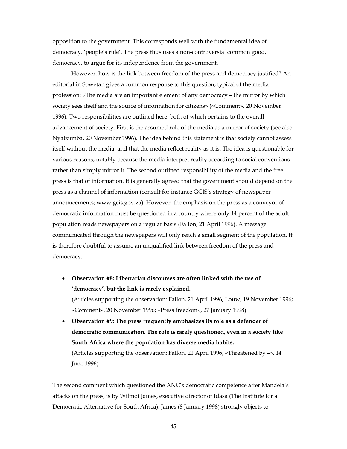opposition to the government. This corresponds well with the fundamental idea of democracy, 'people's rule'. The press thus uses a non-controversial common good, democracy, to argue for its independence from the government.

However, how is the link between freedom of the press and democracy justified? An editorial in Sowetan gives a common response to this question, typical of the media profession: «The media are an important element of any democracy – the mirror by which society sees itself and the source of information for citizens» («Comment», 20 November 1996). Two responsibilities are outlined here, both of which pertains to the overall advancement of society. First is the assumed role of the media as a mirror of society (see also Nyatsumba, 20 November 1996). The idea behind this statement is that society cannot assess itself without the media, and that the media reflect reality as it is. The idea is questionable for various reasons, notably because the media interpret reality according to social conventions rather than simply mirror it. The second outlined responsibility of the media and the free press is that of information. It is generally agreed that the government should depend on the press as a channel of information (consult for instance GCIS's strategy of newspaper announcements; www.gcis.gov.za). However, the emphasis on the press as a conveyor of democratic information must be questioned in a country where only 14 percent of the adult population reads newspapers on a regular basis (Fallon, 21 April 1996). A message communicated through the newspapers will only reach a small segment of the population. It is therefore doubtful to assume an unqualified link between freedom of the press and democracy.

- **Observation #8: Libertarian discourses are often linked with the use of 'democracy', but the link is rarely explained.** (Articles supporting the observation: Fallon, 21 April 1996; Louw, 19 November 1996; «Comment», 20 November 1996; «Press freedom», 27 January 1998)
- **Observation #9: The press frequently emphasizes its role as a defender of democratic communication. The role is rarely questioned, even in a society like South Africa where the population has diverse media habits.** (Articles supporting the observation: Fallon, 21 April 1996; «Threatened by –», 14 June 1996)

The second comment which questioned the ANC's democratic competence after Mandela's attacks on the press, is by Wilmot James, executive director of Idasa (The Institute for a Democratic Alternative for South Africa). James (8 January 1998) strongly objects to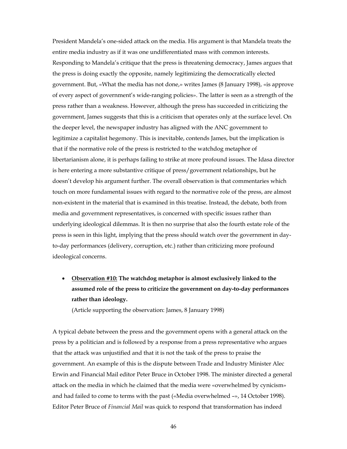President Mandela's one-sided attack on the media. His argument is that Mandela treats the entire media industry as if it was one undifferentiated mass with common interests. Responding to Mandela's critique that the press is threatening democracy, James argues that the press is doing exactly the opposite, namely legitimizing the democratically elected government. But, «What the media has not done,» writes James (8 January 1998), «is approve of every aspect of government's wide-ranging policies». The latter is seen as a strength of the press rather than a weakness. However, although the press has succeeded in criticizing the government, James suggests that this is a criticism that operates only at the surface level. On the deeper level, the newspaper industry has aligned with the ANC government to legitimize a capitalist hegemony. This is inevitable, contends James, but the implication is that if the normative role of the press is restricted to the watchdog metaphor of libertarianism alone, it is perhaps failing to strike at more profound issues. The Idasa director is here entering a more substantive critique of press/government relationships, but he doesn't develop his argument further. The overall observation is that commentaries which touch on more fundamental issues with regard to the normative role of the press, are almost non-existent in the material that is examined in this treatise. Instead, the debate, both from media and government representatives, is concerned with specific issues rather than underlying ideological dilemmas. It is then no surprise that also the fourth estate role of the press is seen in this light, implying that the press should watch over the government in dayto-day performances (delivery, corruption, etc.) rather than criticizing more profound ideological concerns.

• **Observation #10: The watchdog metaphor is almost exclusively linked to the assumed role of the press to criticize the government on day-to-day performances rather than ideology.**

(Article supporting the observation: James, 8 January 1998)

A typical debate between the press and the government opens with a general attack on the press by a politician and is followed by a response from a press representative who argues that the attack was unjustified and that it is not the task of the press to praise the government. An example of this is the dispute between Trade and Industry Minister Alec Erwin and Financial Mail editor Peter Bruce in October 1998. The minister directed a general attack on the media in which he claimed that the media were «overwhelmed by cynicism» and had failed to come to terms with the past («Media overwhelmed –», 14 October 1998). Editor Peter Bruce of *Financial Mail* was quick to respond that transformation has indeed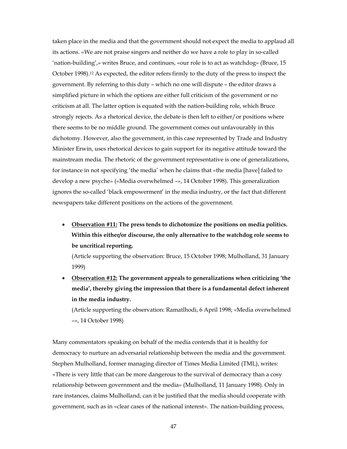taken place in the media and that the government should not expect the media to applaud all its actions. «We are not praise singers and neither do we have a role to play in so-called 'nation-building',» writes Bruce, and continues, «our role is to act as watchdog» (Bruce, 15 October 1998).12 As expected, the editor refers firmly to the duty of the press to inspect the government. By referring to this duty – which no one will dispute – the editor draws a simplified picture in which the options are either full criticism of the government or no criticism at all. The latter option is equated with the nation-building role, which Bruce strongly rejects. As a rhetorical device, the debate is then left to either/or positions where there seems to be no middle ground. The government comes out unfavourably in this dichotomy. However, also the government, in this case represented by Trade and Industry Minister Erwin, uses rhetorical devices to gain support for its negative attitude toward the mainstream media. The rhetoric of the government representative is one of generalizations, for instance in not specifying 'the media' when he claims that «the media [have] failed to develop a new psyche» («Media overwhelmed –», 14 October 1998). This generalization ignores the so-called 'black empowerment' in the media industry, or the fact that different newspapers take different positions on the actions of the government.

• **Observation #11: The press tends to dichotomize the positions on media politics. Within this either/or discourse, the only alternative to the watchdog role seems to be uncritical reporting.**

(Article supporting the observation: Bruce, 15 October 1998; Mulholland, 31 January 1999)

• **Observation #12: The government appeals to generalizations when criticizing 'the media', thereby giving the impression that there is a fundamental defect inherent in the media industry.**

(Article supporting the observation: Ramatlhodi, 6 April 1998; «Media overwhelmed –», 14 October 1998)

Many commentators speaking on behalf of the media contends that it is healthy for democracy to nurture an adversarial relationship between the media and the government. Stephen Mulholland, former managing director of Times Media Limited (TML), writes: «There is very little that can be more dangerous to the survival of democracy than a cosy relationship between government and the media» (Mulholland, 11 January 1998). Only in rare instances, claims Mulholland, can it be justified that the media should cooperate with government, such as in «clear cases of the national interest». The nation-building process,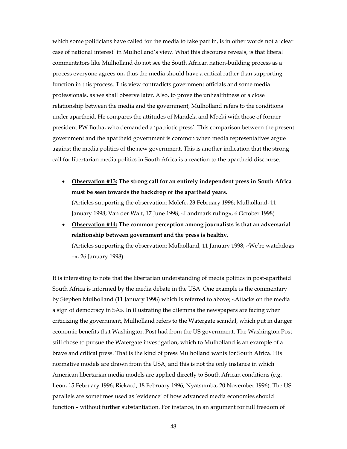which some politicians have called for the media to take part in, is in other words not a 'clear case of national interest' in Mulholland's view. What this discourse reveals, is that liberal commentators like Mulholland do not see the South African nation-building process as a process everyone agrees on, thus the media should have a critical rather than supporting function in this process. This view contradicts government officials and some media professionals, as we shall observe later. Also, to prove the unhealthiness of a close relationship between the media and the government, Mulholland refers to the conditions under apartheid. He compares the attitudes of Mandela and Mbeki with those of former president PW Botha, who demanded a 'patriotic press'. This comparison between the present government and the apartheid government is common when media representatives argue against the media politics of the new government. This is another indication that the strong call for libertarian media politics in South Africa is a reaction to the apartheid discourse.

- **Observation #13: The strong call for an entirely independent press in South Africa must be seen towards the backdrop of the apartheid years.**  (Articles supporting the observation: Molefe, 23 February 1996; Mulholland, 11 January 1998; Van der Walt, 17 June 1998; «Landmark ruling», 6 October 1998)
- **Observation #14: The common perception among journalists is that an adversarial relationship between government and the press is healthy.** (Articles supporting the observation: Mulholland, 11 January 1998; «We're watchdogs –», 26 January 1998)

It is interesting to note that the libertarian understanding of media politics in post-apartheid South Africa is informed by the media debate in the USA. One example is the commentary by Stephen Mulholland (11 January 1998) which is referred to above; «Attacks on the media a sign of democracy in SA». In illustrating the dilemma the newspapers are facing when criticizing the government, Mulholland refers to the Watergate scandal, which put in danger economic benefits that Washington Post had from the US government. The Washington Post still chose to pursue the Watergate investigation, which to Mulholland is an example of a brave and critical press. That is the kind of press Mulholland wants for South Africa. His normative models are drawn from the USA, and this is not the only instance in which American libertarian media models are applied directly to South African conditions (e.g. Leon, 15 February 1996; Rickard, 18 February 1996; Nyatsumba, 20 November 1996). The US parallels are sometimes used as 'evidence' of how advanced media economies should function – without further substantiation. For instance, in an argument for full freedom of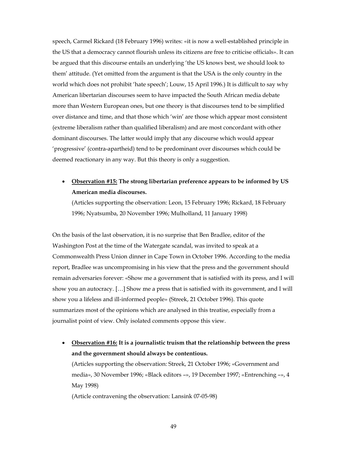speech, Carmel Rickard (18 February 1996) writes: «it is now a well-established principle in the US that a democracy cannot flourish unless its citizens are free to criticise officials». It can be argued that this discourse entails an underlying 'the US knows best, we should look to them' attitude. (Yet omitted from the argument is that the USA is the only country in the world which does not prohibit 'hate speech'; Louw, 15 April 1996.) It is difficult to say why American libertarian discourses seem to have impacted the South African media debate more than Western European ones, but one theory is that discourses tend to be simplified over distance and time, and that those which 'win' are those which appear most consistent (extreme liberalism rather than qualified liberalism) and are most concordant with other dominant discourses. The latter would imply that any discourse which would appear 'progressive' (contra-apartheid) tend to be predominant over discourses which could be deemed reactionary in any way. But this theory is only a suggestion.

• **Observation #15: The strong libertarian preference appears to be informed by US American media discourses.**

(Articles supporting the observation: Leon, 15 February 1996; Rickard, 18 February 1996; Nyatsumba, 20 November 1996; Mulholland, 11 January 1998)

On the basis of the last observation, it is no surprise that Ben Bradlee, editor of the Washington Post at the time of the Watergate scandal, was invited to speak at a Commonwealth Press Union dinner in Cape Town in October 1996. According to the media report, Bradlee was uncompromising in his view that the press and the government should remain adversaries forever: «Show me a government that is satisfied with its press, and I will show you an autocracy. […] Show me a press that is satisfied with its government, and I will show you a lifeless and ill-informed people» (Streek, 21 October 1996). This quote summarizes most of the opinions which are analysed in this treatise, especially from a journalist point of view. Only isolated comments oppose this view.

• **Observation #16: It is a journalistic truism that the relationship between the press and the government should always be contentious.**

(Articles supporting the observation: Streek, 21 October 1996; «Government and media», 30 November 1996; «Black editors –», 19 December 1997; «Entrenching –», 4 May 1998)

(Article contravening the observation: Lansink 07-05-98)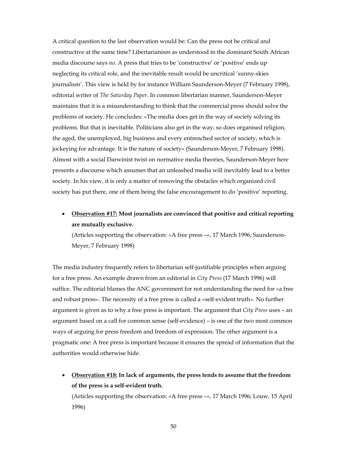A critical question to the last observation would be: Can the press not be critical and constructive at the same time? Libertarianism as understood in the dominant South African media discourse says *no*. A press that tries to be 'constructive' or 'positive' ends up neglecting its critical role, and the inevitable result would be uncritical 'sunny-skies journalism'. This view is held by for instance William Saunderson-Meyer (7 February 1998), editorial writer of *The Saturday Paper*. In common libertarian manner, Saunderson-Meyer maintains that it is a misunderstanding to think that the commercial press should solve the problems of society. He concludes: «The media does get in the way of society solving its problems. But that is inevitable. Politicians also get in the way; so does organised religion, the aged, the unemployed, big business and every entrenched sector of society, which is jockeying for advantage. It is the nature of society» (Saunderson-Meyer, 7 February 1998). Almost with a social Darwinist twist on normative media theories, Saunderson-Meyer here presents a discourse which assumes that an unleashed media will inevitably lead to a better society. In his view, it is only a matter of removing the obstacles which organized civil society has put there, one of them being the false encouragement to do 'positive' reporting.

• **Observation #17: Most journalists are convinced that positive and critical reporting are mutually exclusive.**

(Articles supporting the observation: «A free press –», 17 March 1996; Saunderson-Meyer, 7 February 1998)

The media industry frequently refers to libertarian self-justifiable principles when arguing for a free press. An example drawn from an editorial in *City Press* (17 March 1996) will suffice. The editorial blames the ANC government for not understanding the need for «a free and robust press». The necessity of a free press is called a «self-evident truth». No further argument is given as to why a free press is important. The argument that *City Press* uses – an argument based on a call for common sense (self-evidence) – is one of the two most common ways of arguing for press freedom and freedom of expression. The other argument is a pragmatic one: A free press is important because it ensures the spread of information that the authorities would otherwise hide.

• **Observation #18: In lack of arguments, the press tends to assume that the freedom of the press is a self-evident truth.**

(Articles supporting the observation: «A free press –», 17 March 1996; Louw, 15 April 1996)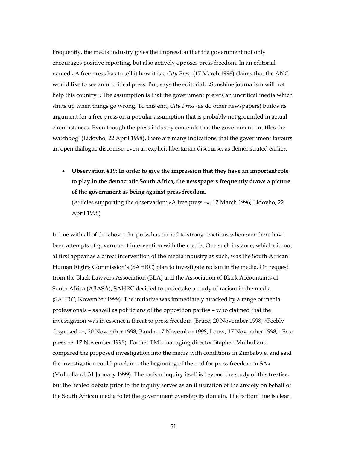Frequently, the media industry gives the impression that the government not only encourages positive reporting, but also actively opposes press freedom. In an editorial named «A free press has to tell it how it is», *City Press* (17 March 1996) claims that the ANC would like to see an uncritical press. But, says the editorial, «Sunshine journalism will not help this country». The assumption is that the government prefers an uncritical media which shuts up when things go wrong. To this end, *City Press* (as do other newspapers) builds its argument for a free press on a popular assumption that is probably not grounded in actual circumstances. Even though the press industry contends that the government 'muffles the watchdog' (Lidovho, 22 April 1998), there are many indications that the government favours an open dialogue discourse, even an explicit libertarian discourse, as demonstrated earlier.

• **Observation #19: In order to give the impression that they have an important role to play in the democratic South Africa, the newspapers frequently draws a picture of the government as being against press freedom.**

(Articles supporting the observation: «A free press –», 17 March 1996; Lidovho, 22 April 1998)

In line with all of the above, the press has turned to strong reactions whenever there have been attempts of government intervention with the media. One such instance, which did not at first appear as a direct intervention of the media industry as such, was the South African Human Rights Commission's (SAHRC) plan to investigate racism in the media. On request from the Black Lawyers Association (BLA) and the Association of Black Accountants of South Africa (ABASA), SAHRC decided to undertake a study of racism in the media (SAHRC, November 1999). The initiative was immediately attacked by a range of media professionals – as well as politicians of the opposition parties – who claimed that the investigation was in essence a threat to press freedom (Bruce, 20 November 1998; «Feebly disguised –», 20 November 1998; Banda, 17 November 1998; Louw, 17 November 1998; «Free press –», 17 November 1998). Former TML managing director Stephen Mulholland compared the proposed investigation into the media with conditions in Zimbabwe, and said the investigation could proclaim «the beginning of the end for press freedom in SA» (Mulholland, 31 January 1999). The racism inquiry itself is beyond the study of this treatise, but the heated debate prior to the inquiry serves as an illustration of the anxiety on behalf of the South African media to let the government overstep its domain. The bottom line is clear: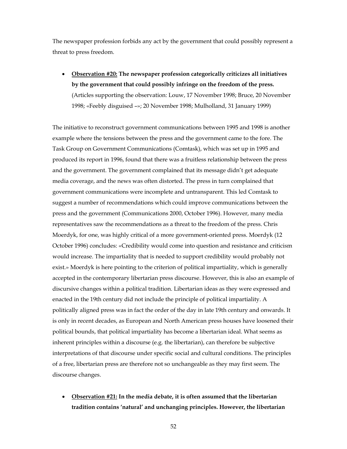The newspaper profession forbids any act by the government that could possibly represent a threat to press freedom.

• **Observation #20: The newspaper profession categorically criticizes all initiatives by the government that could possibly infringe on the freedom of the press.** (Articles supporting the observation: Louw, 17 November 1998; Bruce, 20 November 1998; «Feebly disguised –»; 20 November 1998; Mulholland, 31 January 1999)

The initiative to reconstruct government communications between 1995 and 1998 is another example where the tensions between the press and the government came to the fore. The Task Group on Government Communications (Comtask), which was set up in 1995 and produced its report in 1996, found that there was a fruitless relationship between the press and the government. The government complained that its message didn't get adequate media coverage, and the news was often distorted. The press in turn complained that government communications were incomplete and untransparent. This led Comtask to suggest a number of recommendations which could improve communications between the press and the government (Communications 2000, October 1996). However, many media representatives saw the recommendations as a threat to the freedom of the press. Chris Moerdyk, for one, was highly critical of a more government-oriented press. Moerdyk (12 October 1996) concludes: «Credibility would come into question and resistance and criticism would increase. The impartiality that is needed to support credibility would probably not exist.» Moerdyk is here pointing to the criterion of political impartiality, which is generally accepted in the contemporary libertarian press discourse. However, this is also an example of discursive changes within a political tradition. Libertarian ideas as they were expressed and enacted in the 19th century did not include the principle of political impartiality. A politically aligned press was in fact the order of the day in late 19th century and onwards. It is only in recent decades, as European and North American press houses have loosened their political bounds, that political impartiality has become a libertarian ideal. What seems as inherent principles within a discourse (e.g. the libertarian), can therefore be subjective interpretations of that discourse under specific social and cultural conditions. The principles of a free, libertarian press are therefore not so unchangeable as they may first seem. The discourse changes.

• **Observation #21: In the media debate, it is often assumed that the libertarian tradition contains 'natural' and unchanging principles. However, the libertarian**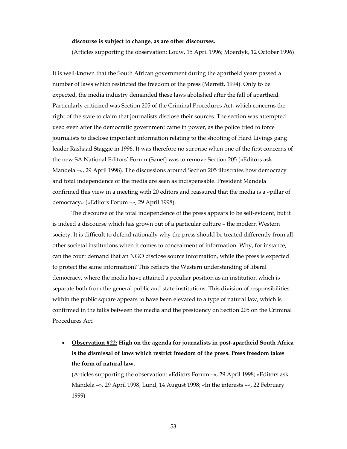#### **discourse is subject to change, as are other discourses.**

(Articles supporting the observation: Louw, 15 April 1996; Moerdyk, 12 October 1996)

It is well-known that the South African government during the apartheid years passed a number of laws which restricted the freedom of the press (Merrett, 1994). Only to be expected, the media industry demanded these laws abolished after the fall of apartheid. Particularly criticized was Section 205 of the Criminal Procedures Act, which concerns the right of the state to claim that journalists disclose their sources. The section was attempted used even after the democratic government came in power, as the police tried to force journalists to disclose important information relating to the shooting of Hard Livings gang leader Rashaad Staggie in 1996. It was therefore no surprise when one of the first concerns of the new SA National Editors' Forum (Sanef) was to remove Section 205 («Editors ask Mandela –», 29 April 1998). The discussions around Section 205 illustrates how democracy and total independence of the media are seen as indispensable. President Mandela confirmed this view in a meeting with 20 editors and reassured that the media is a «pillar of democracy» («Editors Forum –», 29 April 1998).

 The discourse of the total independence of the press appears to be self-evident, but it is indeed a discourse which has grown out of a particular culture – the modern Western society. It is difficult to defend rationally why the press should be treated differently from all other societal institutions when it comes to concealment of information. Why, for instance, can the court demand that an NGO disclose source information, while the press is expected to protect the same information? This reflects the Western understanding of liberal democracy, where the media have attained a peculiar position as an institution which is separate both from the general public and state institutions. This division of responsibilities within the public square appears to have been elevated to a type of natural law, which is confirmed in the talks between the media and the presidency on Section 205 on the Criminal Procedures Act.

• **Observation #22: High on the agenda for journalists in post-apartheid South Africa is the dismissal of laws which restrict freedom of the press. Press freedom takes the form of natural law.**

(Articles supporting the observation: «Editors Forum –», 29 April 1998; «Editors ask Mandela –», 29 April 1998; Lund, 14 August 1998; «In the interests –», 22 February 1999)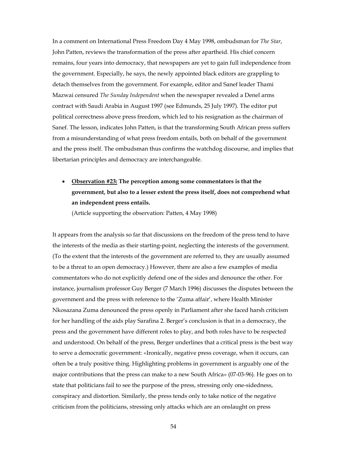In a comment on International Press Freedom Day 4 May 1998, ombudsman for *The Star*, John Patten, reviews the transformation of the press after apartheid. His chief concern remains, four years into democracy, that newspapers are yet to gain full independence from the government. Especially, he says, the newly appointed black editors are grappling to detach themselves from the government. For example, editor and Sanef leader Thami Mazwai censured *The Sunday Independent* when the newspaper revealed a Denel arms contract with Saudi Arabia in August 1997 (see Edmunds, 25 July 1997). The editor put political correctness above press freedom, which led to his resignation as the chairman of Sanef. The lesson, indicates John Patten, is that the transforming South African press suffers from a misunderstanding of what press freedom entails, both on behalf of the government and the press itself. The ombudsman thus confirms the watchdog discourse, and implies that libertarian principles and democracy are interchangeable.

## • **Observation #23: The perception among some commentators is that the government, but also to a lesser extent the press itself, does not comprehend what an independent press entails.**

(Article supporting the observation: Patten, 4 May 1998)

It appears from the analysis so far that discussions on the freedom of the press tend to have the interests of the media as their starting-point, neglecting the interests of the government. (To the extent that the interests of the government are referred to, they are usually assumed to be a threat to an open democracy.) However, there are also a few examples of media commentators who do not explicitly defend one of the sides and denounce the other. For instance, journalism professor Guy Berger (7 March 1996) discusses the disputes between the government and the press with reference to the 'Zuma affair', where Health Minister Nkosazana Zuma denounced the press openly in Parliament after she faced harsh criticism for her handling of the aids play Sarafina 2. Berger's conclusion is that in a democracy, the press and the government have different roles to play, and both roles have to be respected and understood. On behalf of the press, Berger underlines that a critical press is the best way to serve a democratic government: «Ironically, negative press coverage, when it occurs, can often be a truly positive thing. Highlighting problems in government is arguably one of the major contributions that the press can make to a new South Africa» (07-03-96). He goes on to state that politicians fail to see the purpose of the press, stressing only one-sidedness, conspiracy and distortion. Similarly, the press tends only to take notice of the negative criticism from the politicians, stressing only attacks which are an onslaught on press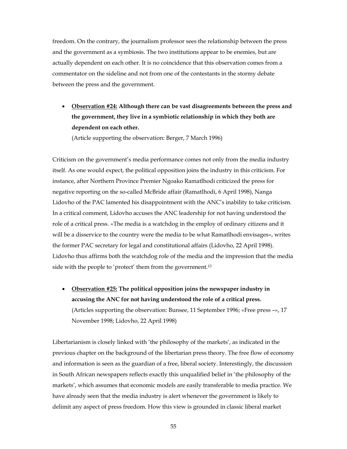freedom. On the contrary, the journalism professor sees the relationship between the press and the government as a symbiosis. The two institutions appear to be enemies, but are actually dependent on each other. It is no coincidence that this observation comes from a commentator on the sideline and not from one of the contestants in the stormy debate between the press and the government.

• **Observation #24: Although there can be vast disagreements between the press and the government, they live in a symbiotic relationship in which they both are dependent on each other.**

(Article supporting the observation: Berger, 7 March 1996)

Criticism on the government's media performance comes not only from the media industry itself. As one would expect, the political opposition joins the industry in this criticism. For instance, after Northern Province Premier Ngoako Ramatlhodi criticized the press for negative reporting on the so-called McBride affair (Ramatlhodi, 6 April 1998), Nanga Lidovho of the PAC lamented his disappointment with the ANC's inability to take criticism. In a critical comment, Lidovho accuses the ANC leadership for not having understood the role of a critical press. «The media is a watchdog in the employ of ordinary citizens and it will be a disservice to the country were the media to be what Ramatlhodi envisages», writes the former PAC secretary for legal and constitutional affairs (Lidovho, 22 April 1998). Lidovho thus affirms both the watchdog role of the media and the impression that the media side with the people to 'protect' them from the government.<sup>13</sup>

• **Observation #25: The political opposition joins the newspaper industry in accusing the ANC for not having understood the role of a critical press.**  (Articles supporting the observation: Bunsee, 11 September 1996; «Free press –», 17 November 1998; Lidovho, 22 April 1998)

Libertarianism is closely linked with 'the philosophy of the markets', as indicated in the previous chapter on the background of the libertarian press theory. The free flow of economy and information is seen as the guardian of a free, liberal society. Interestingly, the discussion in South African newspapers reflects exactly this unqualified belief in 'the philosophy of the markets', which assumes that economic models are easily transferable to media practice. We have already seen that the media industry is alert whenever the government is likely to delimit any aspect of press freedom. How this view is grounded in classic liberal market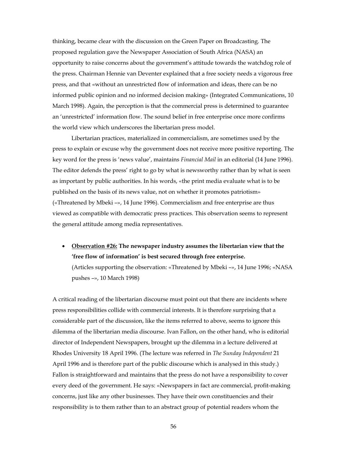thinking, became clear with the discussion on the Green Paper on Broadcasting. The proposed regulation gave the Newspaper Association of South Africa (NASA) an opportunity to raise concerns about the government's attitude towards the watchdog role of the press. Chairman Hennie van Deventer explained that a free society needs a vigorous free press, and that «without an unrestricted flow of information and ideas, there can be no informed public opinion and no informed decision making» (Integrated Communications, 10 March 1998). Again, the perception is that the commercial press is determined to guarantee an 'unrestricted' information flow. The sound belief in free enterprise once more confirms the world view which underscores the libertarian press model.

 Libertarian practices, materialized in commercialism, are sometimes used by the press to explain or excuse why the government does not receive more positive reporting. The key word for the press is 'news value', maintains *Financial Mail* in an editorial (14 June 1996). The editor defends the press' right to go by what is newsworthy rather than by what is seen as important by public authorities. In his words, «the print media evaluate what is to be published on the basis of its news value, not on whether it promotes patriotism» («Threatened by Mbeki –», 14 June 1996). Commercialism and free enterprise are thus viewed as compatible with democratic press practices. This observation seems to represent the general attitude among media representatives.

• **Observation #26: The newspaper industry assumes the libertarian view that the 'free flow of information' is best secured through free enterprise.**

(Articles supporting the observation: «Threatened by Mbeki –», 14 June 1996; «NASA pushes –», 10 March 1998)

A critical reading of the libertarian discourse must point out that there are incidents where press responsibilities collide with commercial interests. It is therefore surprising that a considerable part of the discussion, like the items referred to above, seems to ignore this dilemma of the libertarian media discourse. Ivan Fallon, on the other hand, who is editorial director of Independent Newspapers, brought up the dilemma in a lecture delivered at Rhodes University 18 April 1996. (The lecture was referred in *The Sunday Independent* 21 April 1996 and is therefore part of the public discourse which is analysed in this study.) Fallon is straightforward and maintains that the press do not have a responsibility to cover every deed of the government. He says: «Newspapers in fact are commercial, profit-making concerns, just like any other businesses. They have their own constituencies and their responsibility is to them rather than to an abstract group of potential readers whom the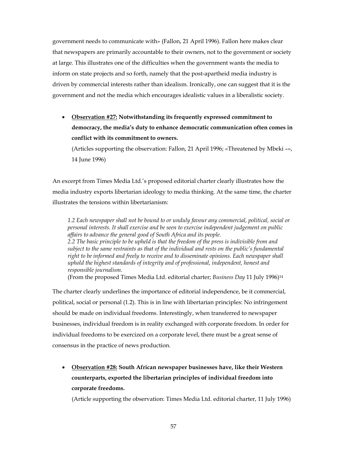government needs to communicate with» (Fallon, 21 April 1996). Fallon here makes clear that newspapers are primarily accountable to their owners, not to the government or society at large. This illustrates one of the difficulties when the government wants the media to inform on state projects and so forth, namely that the post-apartheid media industry is driven by commercial interests rather than idealism. Ironically, one can suggest that it is the government and not the media which encourages idealistic values in a liberalistic society.

• **Observation #27: Notwithstanding its frequently expressed commitment to democracy, the media's duty to enhance democratic communication often comes in conflict with its commitment to owners.**

(Articles supporting the observation: Fallon, 21 April 1996; «Threatened by Mbeki –», 14 June 1996)

An excerpt from Times Media Ltd.'s proposed editorial charter clearly illustrates how the media industry exports libertarian ideology to media thinking. At the same time, the charter illustrates the tensions within libertarianism:

*1.2 Each newspaper shall not be bound to or unduly favour any commercial, political, social or personal interests. It shall exercise and be seen to exercise independent judgement on public affairs to advance the general good of South Africa and its people. 2.2 The basic principle to be upheld is that the freedom of the press is indivisible from and subject to the same restraints as that of the individual and rests on the public's fundamental right to be informed and freely to receive and to disseminate opinions. Each newspaper shall uphold the highest standards of integrity and of professional, independent, honest and responsible journalism.*

(From the proposed Times Media Ltd. editorial charter; *Business Day* 11 July 1996)14

The charter clearly underlines the importance of editorial independence, be it commercial, political, social or personal (1.2). This is in line with libertarian principles: No infringement should be made on individual freedoms. Interestingly, when transferred to newspaper businesses, individual freedom is in reality exchanged with corporate freedom. In order for individual freedoms to be exercized on a corporate level, there must be a great sense of consensus in the practice of news production.

• **Observation #28: South African newspaper businesses have, like their Western counterparts, exported the libertarian principles of individual freedom into corporate freedoms.**

(Article supporting the observation: Times Media Ltd. editorial charter, 11 July 1996)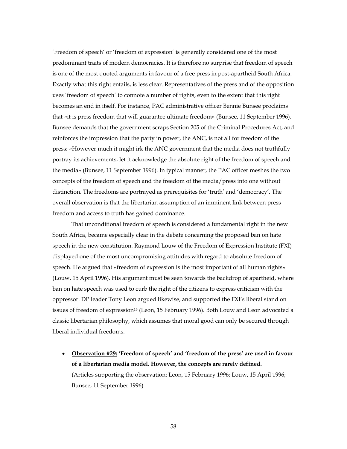'Freedom of speech' or 'freedom of expression' is generally considered one of the most predominant traits of modern democracies. It is therefore no surprise that freedom of speech is one of the most quoted arguments in favour of a free press in post-apartheid South Africa. Exactly what this right entails, is less clear. Representatives of the press and of the opposition uses 'freedom of speech' to connote a number of rights, even to the extent that this right becomes an end in itself. For instance, PAC administrative officer Bennie Bunsee proclaims that «it is press freedom that will guarantee ultimate freedom» (Bunsee, 11 September 1996). Bunsee demands that the government scraps Section 205 of the Criminal Procedures Act, and reinforces the impression that the party in power, the ANC, is not all for freedom of the press: «However much it might irk the ANC government that the media does not truthfully portray its achievements, let it acknowledge the absolute right of the freedom of speech and the media» (Bunsee, 11 September 1996). In typical manner, the PAC officer meshes the two concepts of the freedom of speech and the freedom of the media/press into one without distinction. The freedoms are portrayed as prerequisites for 'truth' and 'democracy'. The overall observation is that the libertarian assumption of an imminent link between press freedom and access to truth has gained dominance.

 That unconditional freedom of speech is considered a fundamental right in the new South Africa, became especially clear in the debate concerning the proposed ban on hate speech in the new constitution. Raymond Louw of the Freedom of Expression Institute (FXI) displayed one of the most uncompromising attitudes with regard to absolute freedom of speech. He argued that «freedom of expression is the most important of all human rights» (Louw, 15 April 1996). His argument must be seen towards the backdrop of apartheid, where ban on hate speech was used to curb the right of the citizens to express criticism with the oppressor. DP leader Tony Leon argued likewise, and supported the FXI's liberal stand on issues of freedom of expression15 (Leon, 15 February 1996). Both Louw and Leon advocated a classic libertarian philosophy, which assumes that moral good can only be secured through liberal individual freedoms.

• **Observation #29: 'Freedom of speech' and 'freedom of the press' are used in favour of a libertarian media model. However, the concepts are rarely defined.** (Articles supporting the observation: Leon, 15 February 1996; Louw, 15 April 1996; Bunsee, 11 September 1996)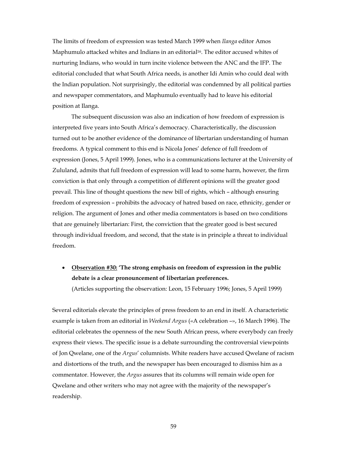The limits of freedom of expression was tested March 1999 when *Ilanga* editor Amos Maphumulo attacked whites and Indians in an editorial16. The editor accused whites of nurturing Indians, who would in turn incite violence between the ANC and the IFP. The editorial concluded that what South Africa needs, is another Idi Amin who could deal with the Indian population. Not surprisingly, the editorial was condemned by all political parties and newspaper commentators, and Maphumulo eventually had to leave his editorial position at Ilanga.

The subsequent discussion was also an indication of how freedom of expression is interpreted five years into South Africa's democracy. Characteristically, the discussion turned out to be another evidence of the dominance of libertarian understanding of human freedoms. A typical comment to this end is Nicola Jones' defence of full freedom of expression (Jones, 5 April 1999). Jones, who is a communications lecturer at the University of Zululand, admits that full freedom of expression will lead to some harm, however, the firm conviction is that only through a competition of different opinions will the greater good prevail. This line of thought questions the new bill of rights, which – although ensuring freedom of expression – prohibits the advocacy of hatred based on race, ethnicity, gender or religion. The argument of Jones and other media commentators is based on two conditions that are genuinely libertarian: First, the conviction that the greater good is best secured through individual freedom, and second, that the state is in principle a threat to individual freedom.

### • **Observation #30: 'The strong emphasis on freedom of expression in the public debate is a clear pronouncement of libertarian preferences.**

(Articles supporting the observation: Leon, 15 February 1996; Jones, 5 April 1999)

Several editorials elevate the principles of press freedom to an end in itself. A characteristic example is taken from an editorial in *Weekend Argus* («A celebration –», 16 March 1996). The editorial celebrates the openness of the new South African press, where everybody can freely express their views. The specific issue is a debate surrounding the controversial viewpoints of Jon Qwelane, one of the *Argus*' columnists. White readers have accused Qwelane of racism and distortions of the truth, and the newspaper has been encouraged to dismiss him as a commentator. However, the *Argus* assures that its columns will remain wide open for Qwelane and other writers who may not agree with the majority of the newspaper's readership.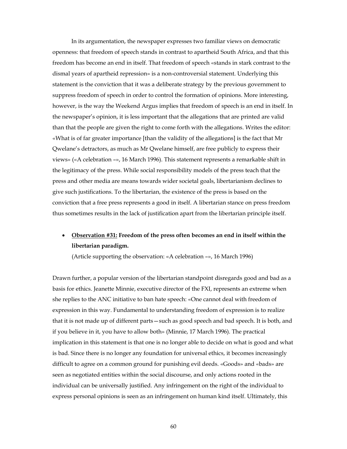In its argumentation, the newspaper expresses two familiar views on democratic openness: that freedom of speech stands in contrast to apartheid South Africa, and that this freedom has become an end in itself. That freedom of speech «stands in stark contrast to the dismal years of apartheid repression» is a non-controversial statement. Underlying this statement is the conviction that it was a deliberate strategy by the previous government to suppress freedom of speech in order to control the formation of opinions. More interesting, however, is the way the Weekend Argus implies that freedom of speech is an end in itself. In the newspaper's opinion, it is less important that the allegations that are printed are valid than that the people are given the right to come forth with the allegations. Writes the editor: «What is of far greater importance [than the validity of the allegations] is the fact that Mr Qwelane's detractors, as much as Mr Qwelane himself, are free publicly to express their views» («A celebration –», 16 March 1996). This statement represents a remarkable shift in the legitimacy of the press. While social responsibility models of the press teach that the press and other media are means towards wider societal goals, libertarianism declines to give such justifications. To the libertarian, the existence of the press is based on the conviction that a free press represents a good in itself. A libertarian stance on press freedom thus sometimes results in the lack of justification apart from the libertarian principle itself.

### • **Observation #31: Freedom of the press often becomes an end in itself within the libertarian paradigm.**

(Article supporting the observation: «A celebration –», 16 March 1996)

Drawn further, a popular version of the libertarian standpoint disregards good and bad as a basis for ethics. Jeanette Minnie, executive director of the FXI, represents an extreme when she replies to the ANC initiative to ban hate speech: «One cannot deal with freedom of expression in this way. Fundamental to understanding freedom of expression is to realize that it is not made up of different parts—such as good speech and bad speech. It is both, and if you believe in it, you have to allow both» (Minnie, 17 March 1996). The practical implication in this statement is that one is no longer able to decide on what is good and what is bad. Since there is no longer any foundation for universal ethics, it becomes increasingly difficult to agree on a common ground for punishing evil deeds. «Goods» and «bads» are seen as negotiated entities within the social discourse, and only actions rooted in the individual can be universally justified. Any infringement on the right of the individual to express personal opinions is seen as an infringement on human kind itself. Ultimately, this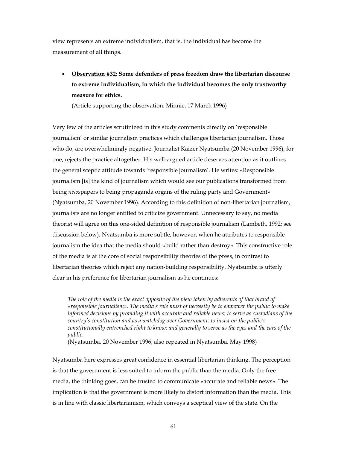view represents an extreme individualism, that is, the individual has become the measurement of all things.

• **Observation #32: Some defenders of press freedom draw the libertarian discourse to extreme individualism, in which the individual becomes the only trustworthy measure for ethics.**

(Article supporting the observation: Minnie, 17 March 1996)

Very few of the articles scrutinized in this study comments directly on 'responsible journalism' or similar journalism practices which challenges libertarian journalism. Those who do, are overwhelmingly negative. Journalist Kaizer Nyatsumba (20 November 1996), for one, rejects the practice altogether. His well-argued article deserves attention as it outlines the general sceptic attitude towards 'responsible journalism'. He writes: «Responsible journalism [is] the kind of journalism which would see our publications transformed from being *news*papers to being propaganda organs of the ruling party and Government» (Nyatsumba, 20 November 1996). According to this definition of non-libertarian journalism, journalists are no longer entitled to criticize government. Unnecessary to say, no media theorist will agree on this one-sided definition of responsible journalism (Lambeth, 1992; see discussion below). Nyatsumba is more subtle, however, when he attributes to responsible journalism the idea that the media should «build rather than destroy». This constructive role of the media is at the core of social responsibility theories of the press, in contrast to libertarian theories which reject any nation-building responsibility. Nyatsumba is utterly clear in his preference for libertarian journalism as he continues:

*The role of the media is the exact opposite of the view taken by adherents of that brand of «responsible journalism». The media's role must of necessity be to empower the public to make informed decisions by providing it with accurate and reliable news; to serve as custodians of the country's constitution and as a watchdog over Government; to insist on the public's constitutionally entrenched right to know; and generally to serve as the eyes and the ears of the public.*

(Nyatsumba, 20 November 1996; also repeated in Nyatsumba, May 1998)

Nyatsumba here expresses great confidence in essential libertarian thinking. The perception is that the government is less suited to inform the public than the media. Only the free media, the thinking goes, can be trusted to communicate «accurate and reliable news». The implication is that the government is more likely to distort information than the media. This is in line with classic libertarianism, which conveys a sceptical view of the state. On the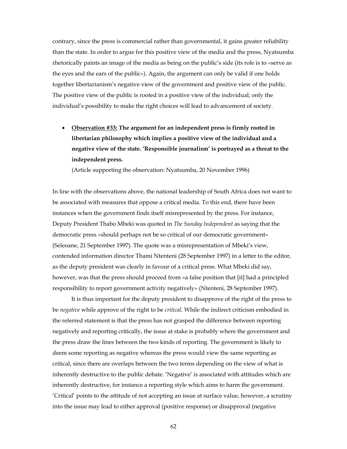contrary, since the press is commercial rather than governmental, it gains greater reliability than the state. In order to argue for this positive view of the media and the press, Nyatsumba rhetorically paints an image of the media as being on the public's side (its role is to «serve as the eyes and the ears of the public»). Again, the argument can only be valid if one holds together libertarianism's negative view of the government and positive view of the public. The positive view of the public is rooted in a positive view of the individual; only the individual's possibility to make the right choices will lead to advancement of society.

• **Observation #33: The argument for an independent press is firmly rooted in libertarian philosophy which implies a positive view of the individual and a negative view of the state. 'Responsible journalism' is portrayed as a threat to the independent press.** 

(Article supporting the observation: Nyatsumba, 20 November 1996)

In line with the observations above, the national leadership of South Africa does not want to be associated with measures that oppose a critical media. To this end, there have been instances when the government finds itself misrepresented by the press. For instance, Deputy President Thabo Mbeki was quoted in *The Sunday Independent* as saying that the democratic press «should perhaps not be so critical of our democratic government» (Seleoane, 21 September 1997). The quote was a misrepresentation of Mbeki's view, contended information director Thami Ntenteni (28 September 1997) in a letter to the editor, as the deputy president was clearly in favour of a critical press. What Mbeki did say, however, was that the press should proceed from «a false position that [it] had a principled responsibility to report government activity negatively» (Ntenteni, 28 September 1997).

It is thus important for the deputy president to disapprove of the right of the press to be *negative* while approve of the right to be *critical*. While the indirect criticism embodied in the referred statement is that the press has not grasped the difference between reporting negatively and reporting critically, the issue at stake is probably where the government and the press draw the lines between the two kinds of reporting. The government is likely to deem some reporting as negative whereas the press would view the same reporting as critical, since there are overlaps between the two terms depending on the view of what is inherently destructive to the public debate. 'Negative' is associated with attitudes which are inherently destructive, for instance a reporting style which aims to harm the government. 'Critical' points to the attitude of not accepting an issue at surface value, however, a scrutiny into the issue may lead to either approval (positive response) or disapproval (negative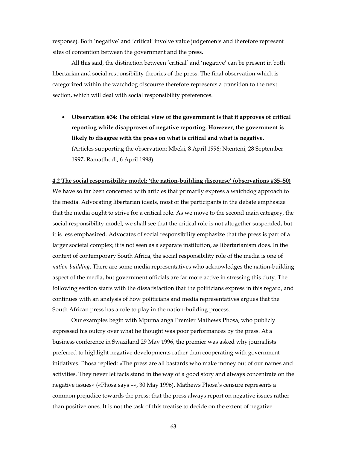response). Both 'negative' and 'critical' involve value judgements and therefore represent sites of contention between the government and the press.

All this said, the distinction between 'critical' and 'negative' can be present in both libertarian and social responsibility theories of the press. The final observation which is categorized within the watchdog discourse therefore represents a transition to the next section, which will deal with social responsibility preferences.

• **Observation #34: The official view of the government is that it approves of critical reporting while disapproves of negative reporting. However, the government is likely to disagree with the press on what is critical and what is negative.**  (Articles supporting the observation: Mbeki, 8 April 1996; Ntenteni, 28 September 1997; Ramatlhodi, 6 April 1998)

#### **4.2 The social responsibility model: 'the nation-building discourse' (observations #35–50)**

We have so far been concerned with articles that primarily express a watchdog approach to the media. Advocating libertarian ideals, most of the participants in the debate emphasize that the media ought to strive for a critical role. As we move to the second main category, the social responsibility model, we shall see that the critical role is not altogether suspended, but it is less emphasized. Advocates of social responsibility emphasize that the press is part of a larger societal complex; it is not seen as a separate institution, as libertarianism does. In the context of contemporary South Africa, the social responsibility role of the media is one of *nation-building*. There are some media representatives who acknowledges the nation-building aspect of the media, but government officials are far more active in stressing this duty. The following section starts with the dissatisfaction that the politicians express in this regard, and continues with an analysis of how politicians and media representatives argues that the South African press has a role to play in the nation-building process.

 Our examples begin with Mpumalanga Premier Mathews Phosa, who publicly expressed his outcry over what he thought was poor performances by the press. At a business conference in Swaziland 29 May 1996, the premier was asked why journalists preferred to highlight negative developments rather than cooperating with government initiatives. Phosa replied: «The press are all bastards who make money out of our names and activities. They never let facts stand in the way of a good story and always concentrate on the negative issues» («Phosa says –», 30 May 1996). Mathews Phosa's censure represents a common prejudice towards the press: that the press always report on negative issues rather than positive ones. It is not the task of this treatise to decide on the extent of negative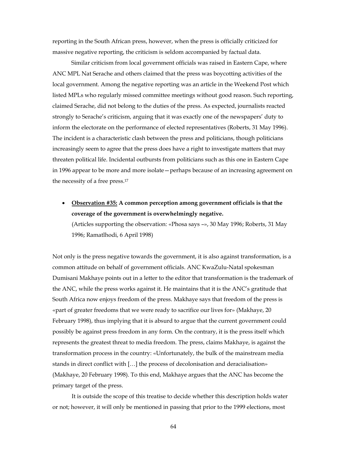reporting in the South African press, however, when the press is officially criticized for massive negative reporting, the criticism is seldom accompanied by factual data.

 Similar criticism from local government officials was raised in Eastern Cape, where ANC MPL Nat Serache and others claimed that the press was boycotting activities of the local government. Among the negative reporting was an article in the Weekend Post which listed MPLs who regularly missed committee meetings without good reason. Such reporting, claimed Serache, did not belong to the duties of the press. As expected, journalists reacted strongly to Serache's criticism, arguing that it was exactly one of the newspapers' duty to inform the electorate on the performance of elected representatives (Roberts, 31 May 1996). The incident is a characteristic clash between the press and politicians, though politicians increasingly seem to agree that the press does have a right to investigate matters that may threaten political life. Incidental outbursts from politicians such as this one in Eastern Cape in 1996 appear to be more and more isolate—perhaps because of an increasing agreement on the necessity of a free press.17

• **Observation #35: A common perception among government officials is that the coverage of the government is overwhelmingly negative.** (Articles supporting the observation: «Phosa says –», 30 May 1996; Roberts, 31 May 1996; Ramatlhodi, 6 April 1998)

Not only is the press negative towards the government, it is also against transformation, is a common attitude on behalf of government officials. ANC KwaZulu-Natal spokesman Dumisani Makhaye points out in a letter to the editor that transformation is the trademark of the ANC, while the press works against it. He maintains that it is the ANC's gratitude that South Africa now enjoys freedom of the press. Makhaye says that freedom of the press is «part of greater freedoms that we were ready to sacrifice our lives for» (Makhaye, 20 February 1998), thus implying that it is absurd to argue that the current government could possibly be against press freedom in any form. On the contrary, it is the press itself which represents the greatest threat to media freedom. The press, claims Makhaye, is against the transformation process in the country: «Unfortunately, the bulk of the mainstream media stands in direct conflict with […] the process of decolonisation and deracialisation» (Makhaye, 20 February 1998). To this end, Makhaye argues that the ANC has become the primary target of the press.

 It is outside the scope of this treatise to decide whether this description holds water or not; however, it will only be mentioned in passing that prior to the 1999 elections, most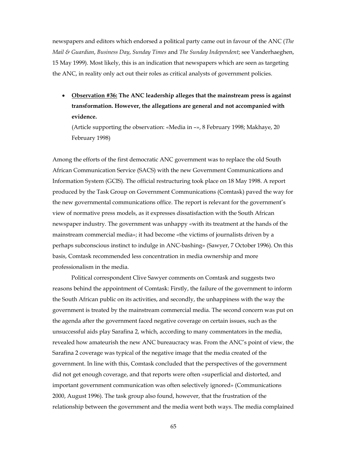newspapers and editors which endorsed a political party came out in favour of the ANC (*The Mail & Guardian*, *Business Day*, *Sunday Times* and *The Sunday Independent*; see Vanderhaeghen, 15 May 1999). Most likely, this is an indication that newspapers which are seen as targeting the ANC, in reality only act out their roles as critical analysts of government policies.

• **Observation #36: The ANC leadership alleges that the mainstream press is against transformation. However, the allegations are general and not accompanied with evidence.**

(Article supporting the observation: «Media in –», 8 February 1998; Makhaye, 20 February 1998)

Among the efforts of the first democratic ANC government was to replace the old South African Communication Service (SACS) with the new Government Communications and Information System (GCIS). The official restructuring took place on 18 May 1998. A report produced by the Task Group on Government Communications (Comtask) paved the way for the new governmental communications office. The report is relevant for the government's view of normative press models, as it expresses dissatisfaction with the South African newspaper industry. The government was unhappy «with its treatment at the hands of the mainstream commercial media»; it had become «the victims of journalists driven by a perhaps subconscious instinct to indulge in ANC-bashing» (Sawyer, 7 October 1996). On this basis, Comtask recommended less concentration in media ownership and more professionalism in the media.

Political correspondent Clive Sawyer comments on Comtask and suggests two reasons behind the appointment of Comtask: Firstly, the failure of the government to inform the South African public on its activities, and secondly, the unhappiness with the way the government is treated by the mainstream commercial media. The second concern was put on the agenda after the government faced negative coverage on certain issues, such as the unsuccessful aids play Sarafina 2, which, according to many commentators in the media, revealed how amateurish the new ANC bureaucracy was. From the ANC's point of view, the Sarafina 2 coverage was typical of the negative image that the media created of the government. In line with this, Comtask concluded that the perspectives of the government did not get enough coverage, and that reports were often «superficial and distorted, and important government communication was often selectively ignored» (Communications 2000, August 1996). The task group also found, however, that the frustration of the relationship between the government and the media went both ways. The media complained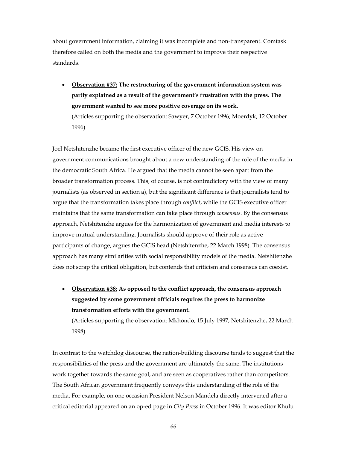about government information, claiming it was incomplete and non-transparent. Comtask therefore called on both the media and the government to improve their respective standards.

• **Observation #37: The restructuring of the government information system was partly explained as a result of the government's frustration with the press. The government wanted to see more positive coverage on its work.** (Articles supporting the observation: Sawyer, 7 October 1996; Moerdyk, 12 October 1996)

Joel Netshitenzhe became the first executive officer of the new GCIS. His view on government communications brought about a new understanding of the role of the media in the democratic South Africa. He argued that the media cannot be seen apart from the broader transformation process. This, of course, is not contradictory with the view of many journalists (as observed in section a), but the significant difference is that journalists tend to argue that the transformation takes place through *conflict*, while the GCIS executive officer maintains that the same transformation can take place through *consensus*. By the consensus approach, Netshitenzhe argues for the harmonization of government and media interests to improve mutual understanding. Journalists should approve of their role as active participants of change, argues the GCIS head (Netshitenzhe, 22 March 1998). The consensus approach has many similarities with social responsibility models of the media. Netshitenzhe does not scrap the critical obligation, but contends that criticism and consensus can coexist.

• **Observation #38: As opposed to the conflict approach, the consensus approach suggested by some government officials requires the press to harmonize transformation efforts with the government.**

(Articles supporting the observation: Mkhondo, 15 July 1997; Netshitenzhe, 22 March 1998)

In contrast to the watchdog discourse, the nation-building discourse tends to suggest that the responsibilities of the press and the government are ultimately the same. The institutions work together towards the same goal, and are seen as cooperatives rather than competitors. The South African government frequently conveys this understanding of the role of the media. For example, on one occasion President Nelson Mandela directly intervened after a critical editorial appeared on an op-ed page in *City Press* in October 1996. It was editor Khulu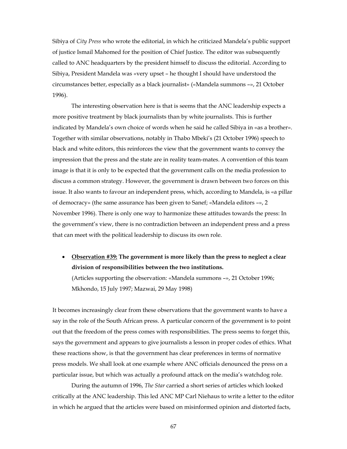Sibiya of *City Press* who wrote the editorial, in which he criticized Mandela's public support of justice Ismail Mahomed for the position of Chief Justice. The editor was subsequently called to ANC headquarters by the president himself to discuss the editorial. According to Sibiya, President Mandela was «very upset – he thought I should have understood the circumstances better, especially as a black journalist» («Mandela summons –», 21 October 1996).

The interesting observation here is that is seems that the ANC leadership expects a more positive treatment by black journalists than by white journalists. This is further indicated by Mandela's own choice of words when he said he called Sibiya in «as a brother». Together with similar observations, notably in Thabo Mbeki's (21 October 1996) speech to black and white editors, this reinforces the view that the government wants to convey the impression that the press and the state are in reality team-mates. A convention of this team image is that it is only to be expected that the government calls on the media profession to discuss a common strategy. However, the government is drawn between two forces on this issue. It also wants to favour an independent press, which, according to Mandela, is «a pillar of democracy» (the same assurance has been given to Sanef; «Mandela editors –», 2 November 1996). There is only one way to harmonize these attitudes towards the press: In the government's view, there is no contradiction between an independent press and a press that can meet with the political leadership to discuss its own role.

• **Observation #39: The government is more likely than the press to neglect a clear division of responsibilities between the two institutions.**

(Articles supporting the observation: «Mandela summons –», 21 October 1996; Mkhondo, 15 July 1997; Mazwai, 29 May 1998)

It becomes increasingly clear from these observations that the government wants to have a say in the role of the South African press. A particular concern of the government is to point out that the freedom of the press comes with responsibilities. The press seems to forget this, says the government and appears to give journalists a lesson in proper codes of ethics. What these reactions show, is that the government has clear preferences in terms of normative press models. We shall look at one example where ANC officials denounced the press on a particular issue, but which was actually a profound attack on the media's watchdog role.

 During the autumn of 1996, *The Star* carried a short series of articles which looked critically at the ANC leadership. This led ANC MP Carl Niehaus to write a letter to the editor in which he argued that the articles were based on misinformed opinion and distorted facts,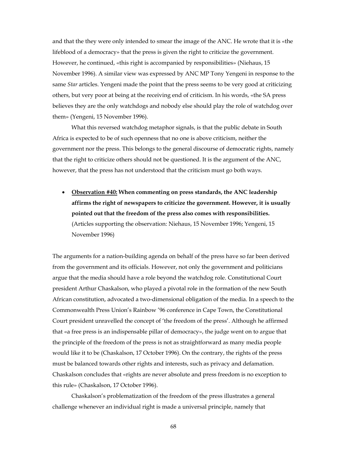and that the they were only intended to smear the image of the ANC. He wrote that it is «the lifeblood of a democracy» that the press is given the right to criticize the government. However, he continued, «this right is accompanied by responsibilities» (Niehaus, 15 November 1996). A similar view was expressed by ANC MP Tony Yengeni in response to the same *Star* articles. Yengeni made the point that the press seems to be very good at criticizing others, but very poor at being at the receiving end of criticism. In his words, «the SA press believes they are the only watchdogs and nobody else should play the role of watchdog over them» (Yengeni, 15 November 1996).

What this reversed watchdog metaphor signals, is that the public debate in South Africa is expected to be of such openness that no one is above criticism, neither the government nor the press. This belongs to the general discourse of democratic rights, namely that the right to criticize others should not be questioned. It is the argument of the ANC, however, that the press has not understood that the criticism must go both ways.

• **Observation #40: When commenting on press standards, the ANC leadership affirms the right of newspapers to criticize the government. However, it is usually pointed out that the freedom of the press also comes with responsibilities.** (Articles supporting the observation: Niehaus, 15 November 1996; Yengeni, 15 November 1996)

The arguments for a nation-building agenda on behalf of the press have so far been derived from the government and its officials. However, not only the government and politicians argue that the media should have a role beyond the watchdog role. Constitutional Court president Arthur Chaskalson, who played a pivotal role in the formation of the new South African constitution, advocated a two-dimensional obligation of the media. In a speech to the Commonwealth Press Union's Rainbow '96 conference in Cape Town, the Constitutional Court president unravelled the concept of 'the freedom of the press'. Although he affirmed that «a free press is an indispensable pillar of democracy», the judge went on to argue that the principle of the freedom of the press is not as straightforward as many media people would like it to be (Chaskalson, 17 October 1996). On the contrary, the rights of the press must be balanced towards other rights and interests, such as privacy and defamation. Chaskalson concludes that «rights are never absolute and press freedom is no exception to this rule» (Chaskalson, 17 October 1996).

 Chaskalson's problematization of the freedom of the press illustrates a general challenge whenever an individual right is made a universal principle, namely that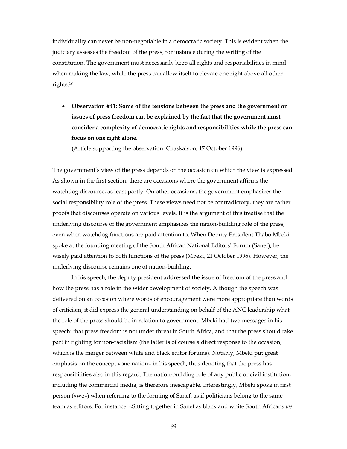individuality can never be non-negotiable in a democratic society. This is evident when the judiciary assesses the freedom of the press, for instance during the writing of the constitution. The government must necessarily keep all rights and responsibilities in mind when making the law, while the press can allow itself to elevate one right above all other rights.18

• **Observation #41: Some of the tensions between the press and the government on issues of press freedom can be explained by the fact that the government must consider a complexity of democratic rights and responsibilities while the press can focus on one right alone.**

(Article supporting the observation: Chaskalson, 17 October 1996)

The government's view of the press depends on the occasion on which the view is expressed. As shown in the first section, there are occasions where the government affirms the watchdog discourse, as least partly. On other occasions, the government emphasizes the social responsibility role of the press. These views need not be contradictory, they are rather proofs that discourses operate on various levels. It is the argument of this treatise that the underlying discourse of the government emphasizes the nation-building role of the press, even when watchdog functions are paid attention to. When Deputy President Thabo Mbeki spoke at the founding meeting of the South African National Editors' Forum (Sanef), he wisely paid attention to both functions of the press (Mbeki, 21 October 1996). However, the underlying discourse remains one of nation-building.

In his speech, the deputy president addressed the issue of freedom of the press and how the press has a role in the wider development of society. Although the speech was delivered on an occasion where words of encouragement were more appropriate than words of criticism, it did express the general understanding on behalf of the ANC leadership what the role of the press should be in relation to government. Mbeki had two messages in his speech: that press freedom is not under threat in South Africa, and that the press should take part in fighting for non-racialism (the latter is of course a direct response to the occasion, which is the merger between white and black editor forums). Notably, Mbeki put great emphasis on the concept «one nation» in his speech, thus denoting that the press has responsibilities also in this regard. The nation-building role of any public or civil institution, including the commercial media, is therefore inescapable. Interestingly, Mbeki spoke in first person («we») when referring to the forming of Sanef, as if politicians belong to the same team as editors. For instance: «Sitting together in Sanef as black and white South Africans *we*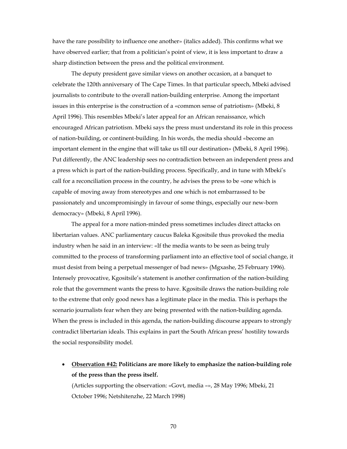have the rare possibility to influence one another» (italics added). This confirms what we have observed earlier; that from a politician's point of view, it is less important to draw a sharp distinction between the press and the political environment.

The deputy president gave similar views on another occasion, at a banquet to celebrate the 120th anniversary of The Cape Times. In that particular speech, Mbeki advised journalists to contribute to the overall nation-building enterprise. Among the important issues in this enterprise is the construction of a «common sense of patriotism» (Mbeki, 8 April 1996). This resembles Mbeki's later appeal for an African renaissance, which encouraged African patriotism. Mbeki says the press must understand its role in this process of nation-building, or continent-building. In his words, the media should «become an important element in the engine that will take us till our destination» (Mbeki, 8 April 1996). Put differently, the ANC leadership sees no contradiction between an independent press and a press which is part of the nation-building process. Specifically, and in tune with Mbeki's call for a reconciliation process in the country, he advises the press to be «one which is capable of moving away from stereotypes and one which is not embarrassed to be passionately and uncompromisingly in favour of some things, especially our new-born democracy» (Mbeki, 8 April 1996).

 The appeal for a more nation-minded press sometimes includes direct attacks on libertarian values. ANC parliamentary caucus Baleka Kgositsile thus provoked the media industry when he said in an interview: «If the media wants to be seen as being truly committed to the process of transforming parliament into an effective tool of social change, it must desist from being a perpetual messenger of bad news» (Mgxashe, 25 February 1996). Intensely provocative, Kgositsile's statement is another confirmation of the nation-building role that the government wants the press to have. Kgositsile draws the nation-building role to the extreme that only good news has a legitimate place in the media. This is perhaps the scenario journalists fear when they are being presented with the nation-building agenda. When the press is included in this agenda, the nation-building discourse appears to strongly contradict libertarian ideals. This explains in part the South African press' hostility towards the social responsibility model.

• **Observation #42: Politicians are more likely to emphasize the nation-building role of the press than the press itself.** 

(Articles supporting the observation: «Govt, media –», 28 May 1996; Mbeki, 21 October 1996; Netshitenzhe, 22 March 1998)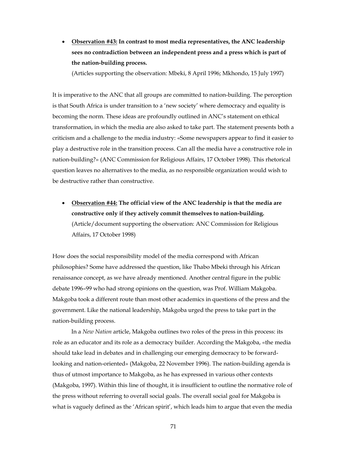• **Observation #43: In contrast to most media representatives, the ANC leadership sees no contradiction between an independent press and a press which is part of the nation-building process.**

(Articles supporting the observation: Mbeki, 8 April 1996; Mkhondo, 15 July 1997)

It is imperative to the ANC that all groups are committed to nation-building. The perception is that South Africa is under transition to a 'new society' where democracy and equality is becoming the norm. These ideas are profoundly outlined in ANC's statement on ethical transformation, in which the media are also asked to take part. The statement presents both a criticism and a challenge to the media industry: «Some newspapers appear to find it easier to play a destructive role in the transition process. Can all the media have a constructive role in nation-building?» (ANC Commission for Religious Affairs, 17 October 1998). This rhetorical question leaves no alternatives to the media, as no responsible organization would wish to be destructive rather than constructive.

• **Observation #44: The official view of the ANC leadership is that the media are constructive only if they actively commit themselves to nation-building.** (Article/document supporting the observation: ANC Commission for Religious Affairs, 17 October 1998)

How does the social responsibility model of the media correspond with African philosophies? Some have addressed the question, like Thabo Mbeki through his African renaissance concept, as we have already mentioned. Another central figure in the public debate 1996–99 who had strong opinions on the question, was Prof. William Makgoba. Makgoba took a different route than most other academics in questions of the press and the government. Like the national leadership, Makgoba urged the press to take part in the nation-building process.

In a *New Nation* article, Makgoba outlines two roles of the press in this process: its role as an educator and its role as a democracy builder. According the Makgoba, «the media should take lead in debates and in challenging our emerging democracy to be forwardlooking and nation-oriented» (Makgoba, 22 November 1996). The nation-building agenda is thus of utmost importance to Makgoba, as he has expressed in various other contexts (Makgoba, 1997). Within this line of thought, it is insufficient to outline the normative role of the press without referring to overall social goals. The overall social goal for Makgoba is what is vaguely defined as the 'African spirit', which leads him to argue that even the media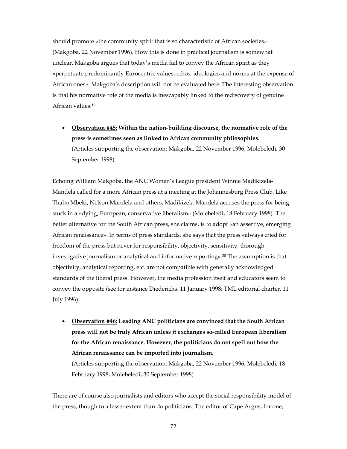should promote «the community spirit that is so characteristic of African societies» (Makgoba, 22 November 1996). How this is done in practical journalism is somewhat unclear. Makgoba argues that today's media fail to convey the African spirit as they «perpetuate predominantly Eurocentric values, ethos, ideologies and norms at the expense of African ones». Makgoba's description will not be evaluated here. The interesting observation is that his normative role of the media is inescapably linked to the rediscovery of genuine African values.19

• **Observation #45: Within the nation-building discourse, the normative role of the press is sometimes seen as linked to African community philosophies.** (Articles supporting the observation: Makgoba, 22 November 1996; Molebeledi, 30 September 1998)

Echoing William Makgoba, the ANC Women's League president Winnie Madikizela-Mandela called for a more African press at a meeting at the Johannesburg Press Club. Like Thabo Mbeki, Nelson Mandela and others, Madikizela-Mandela accuses the press for being stuck in a «dying, European, conservative liberalism» (Molebeledi, 18 February 1998). The better alternative for the South African press, she claims, is to adopt «an assertive, emerging African renaissance». In terms of press standards, she says that the press «always cried for freedom of the press but never for responsibility, objectivity, sensitivity, thorough investigative journalism or analytical and informative reporting».20 The assumption is that objectivity, analytical reporting, etc. are not compatible with generally acknowledged standards of the liberal press. However, the media profession itself and educators seem to convey the opposite (see for instance Diederichs, 11 January 1998; TML editorial charter, 11 July 1996).

• **Observation #46: Leading ANC politicians are convinced that the South African press will not be truly African unless it exchanges so-called European liberalism for the African renaissance. However, the politicians do not spell out how the African renaissance can be imported into journalism.** 

(Articles supporting the observation: Makgoba, 22 November 1996; Molebeledi, 18 February 1998; Molebeledi, 30 September 1998)

There are of course also journalists and editors who accept the social responsibility model of the press, though to a lesser extent than do politicians. The editor of Cape Argus, for one,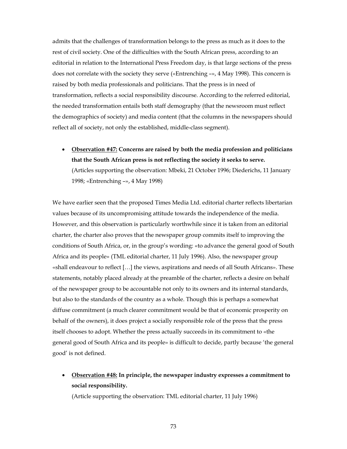admits that the challenges of transformation belongs to the press as much as it does to the rest of civil society. One of the difficulties with the South African press, according to an editorial in relation to the International Press Freedom day, is that large sections of the press does not correlate with the society they serve («Entrenching –», 4 May 1998). This concern is raised by both media professionals and politicians. That the press is in need of transformation, reflects a social responsibility discourse. According to the referred editorial, the needed transformation entails both staff demography (that the newsroom must reflect the demographics of society) and media content (that the columns in the newspapers should reflect all of society, not only the established, middle-class segment).

• **Observation #47: Concerns are raised by both the media profession and politicians that the South African press is not reflecting the society it seeks to serve.**  (Articles supporting the observation: Mbeki, 21 October 1996; Diederichs, 11 January 1998; «Entrenching –», 4 May 1998)

We have earlier seen that the proposed Times Media Ltd. editorial charter reflects libertarian values because of its uncompromising attitude towards the independence of the media. However, and this observation is particularly worthwhile since it is taken from an editorial charter, the charter also proves that the newspaper group commits itself to improving the conditions of South Africa, or, in the group's wording: «to advance the general good of South Africa and its people» (TML editorial charter, 11 July 1996). Also, the newspaper group «shall endeavour to reflect […] the views, aspirations and needs of all South Africans». These statements, notably placed already at the preamble of the charter, reflects a desire on behalf of the newspaper group to be accountable not only to its owners and its internal standards, but also to the standards of the country as a whole. Though this is perhaps a somewhat diffuse commitment (a much clearer commitment would be that of economic prosperity on behalf of the owners), it does project a socially responsible role of the press that the press itself chooses to adopt. Whether the press actually succeeds in its commitment to «the general good of South Africa and its people» is difficult to decide, partly because 'the general good' is not defined.

• **Observation #48: In principle, the newspaper industry expresses a commitment to social responsibility.**

(Article supporting the observation: TML editorial charter, 11 July 1996)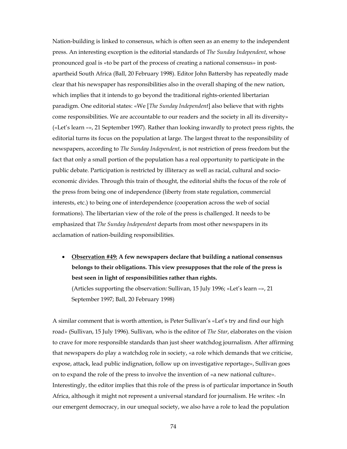Nation-building is linked to consensus, which is often seen as an enemy to the independent press. An interesting exception is the editorial standards of *The Sunday Independent*, whose pronounced goal is «to be part of the process of creating a national consensus» in postapartheid South Africa (Ball, 20 February 1998). Editor John Battersby has repeatedly made clear that his newspaper has responsibilities also in the overall shaping of the new nation, which implies that it intends to go beyond the traditional rights-oriented libertarian paradigm. One editorial states: «We [*The Sunday Independent*] also believe that with rights come responsibilities. We are accountable to our readers and the society in all its diversity» («Let's learn –», 21 September 1997). Rather than looking inwardly to protect press rights, the editorial turns its focus on the population at large. The largest threat to the responsibility of newspapers, according to *The Sunday Independent*, is not restriction of press freedom but the fact that only a small portion of the population has a real opportunity to participate in the public debate. Participation is restricted by illiteracy as well as racial, cultural and socioeconomic divides. Through this train of thought, the editorial shifts the focus of the role of the press from being one of independence (liberty from state regulation, commercial interests, etc.) to being one of interdependence (cooperation across the web of social formations). The libertarian view of the role of the press is challenged. It needs to be emphasized that *The Sunday Independent* departs from most other newspapers in its acclamation of nation-building responsibilities.

• **Observation #49: A few newspapers declare that building a national consensus belongs to their obligations. This view presupposes that the role of the press is best seen in light of responsibilities rather than rights.**

(Articles supporting the observation: Sullivan, 15 July 1996; «Let's learn –», 21 September 1997; Ball, 20 February 1998)

A similar comment that is worth attention, is Peter Sullivan's «Let's try and find our high road» (Sullivan, 15 July 1996). Sullivan, who is the editor of *The Star*, elaborates on the vision to crave for more responsible standards than just sheer watchdog journalism. After affirming that newspapers do play a watchdog role in society, «a role which demands that we criticise, expose, attack, lead public indignation, follow up on investigative reportage», Sullivan goes on to expand the role of the press to involve the invention of «a new national culture». Interestingly, the editor implies that this role of the press is of particular importance in South Africa, although it might not represent a universal standard for journalism. He writes: «In our emergent democracy, in our unequal society, we also have a role to lead the population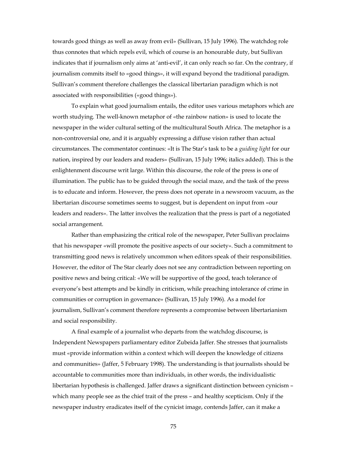towards good things as well as away from evil» (Sullivan, 15 July 1996). The watchdog role thus connotes that which repels evil, which of course is an honourable duty, but Sullivan indicates that if journalism only aims at 'anti-evil', it can only reach so far. On the contrary, if journalism commits itself to «good things», it will expand beyond the traditional paradigm. Sullivan's comment therefore challenges the classical libertarian paradigm which is not associated with responsibilities («good things»).

 To explain what good journalism entails, the editor uses various metaphors which are worth studying. The well-known metaphor of «the rainbow nation» is used to locate the newspaper in the wider cultural setting of the multicultural South Africa. The metaphor is a non-controversial one, and it is arguably expressing a diffuse vision rather than actual circumstances. The commentator continues: «It is The Star's task to be a *guiding light* for our nation, inspired by our leaders and readers» (Sullivan, 15 July 1996; italics added). This is the enlightenment discourse writ large. Within this discourse, the role of the press is one of illumination. The public has to be guided through the social maze, and the task of the press is to educate and inform. However, the press does not operate in a newsroom vacuum, as the libertarian discourse sometimes seems to suggest, but is dependent on input from «our leaders and readers». The latter involves the realization that the press is part of a negotiated social arrangement.

 Rather than emphasizing the critical role of the newspaper, Peter Sullivan proclaims that his newspaper «will promote the positive aspects of our society». Such a commitment to transmitting good news is relatively uncommon when editors speak of their responsibilities. However, the editor of The Star clearly does not see any contradiction between reporting on positive news and being critical: «We will be supportive of the good, teach tolerance of everyone's best attempts and be kindly in criticism, while preaching intolerance of crime in communities or corruption in governance» (Sullivan, 15 July 1996). As a model for journalism, Sullivan's comment therefore represents a compromise between libertarianism and social responsibility.

 A final example of a journalist who departs from the watchdog discourse, is Independent Newspapers parliamentary editor Zubeida Jaffer. She stresses that journalists must «provide information within a context which will deepen the knowledge of citizens and communities» (Jaffer, 5 February 1998). The understanding is that journalists should be accountable to communities more than individuals, in other words, the individualistic libertarian hypothesis is challenged. Jaffer draws a significant distinction between cynicism – which many people see as the chief trait of the press – and healthy scepticism. Only if the newspaper industry eradicates itself of the cynicist image, contends Jaffer, can it make a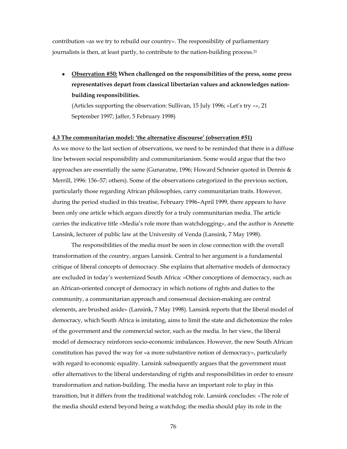contribution «as we try to rebuild our country». The responsibility of parliamentary journalists is then, at least partly, to contribute to the nation-building process.21

• **Observation #50: When challenged on the responsibilities of the press, some press representatives depart from classical libertarian values and acknowledges nationbuilding responsibilities.**

(Articles supporting the observation: Sullivan, 15 July 1996; «Let's try –», 21 September 1997; Jaffer, 5 February 1998)

#### **4.3 The communitarian model: 'the alternative discourse' (observation #51)**

As we move to the last section of observations, we need to be reminded that there is a diffuse line between social responsibility and communitarianism. Some would argue that the two approaches are essentially the same (Gunaratne, 1996; Howard Schneier quoted in Dennis & Merrill, 1996: 156–57; others). Some of the observations categorized in the previous section, particularly those regarding African philosophies, carry communitarian traits. However, during the period studied in this treatise, February 1996–April 1999, there appears to have been only one article which argues directly for a truly communitarian media. The article carries the indicative title «Media's role more than watchdogging», and the author is Annette Lansink, lecturer of public law at the University of Venda (Lansink, 7 May 1998).

The responsibilities of the media must be seen in close connection with the overall transformation of the country, argues Lansink. Central to her argument is a fundamental critique of liberal concepts of democracy. She explains that alternative models of democracy are excluded in today's westernized South Africa: «Other conceptions of democracy, such as an African-oriented concept of democracy in which notions of rights and duties to the community, a communitarian approach and consensual decision-making are central elements, are brushed aside» (Lansink, 7 May 1998). Lansink reports that the liberal model of democracy, which South Africa is imitating, aims to limit the state and dichotomize the roles of the government and the commercial sector, such as the media. In her view, the liberal model of democracy reinforces socio-economic imbalances. However, the new South African constitution has paved the way for «a more substantive notion of democracy», particularly with regard to economic equality. Lansink subsequently argues that the government must offer alternatives to the liberal understanding of rights and responsibilities in order to ensure transformation and nation-building. The media have an important role to play in this transition, but it differs from the traditional watchdog role. Lansink concludes: «The role of the media should extend beyond being a watchdog; the media should play its role in the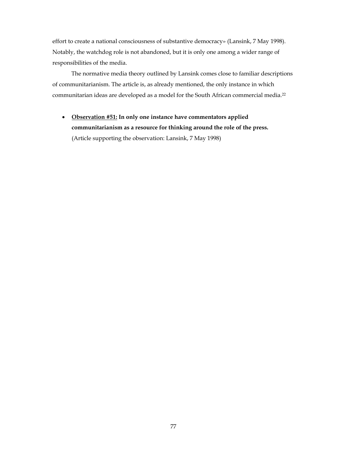effort to create a national consciousness of substantive democracy» (Lansink, 7 May 1998). Notably, the watchdog role is not abandoned, but it is only one among a wider range of responsibilities of the media.

The normative media theory outlined by Lansink comes close to familiar descriptions of communitarianism. The article is, as already mentioned, the only instance in which communitarian ideas are developed as a model for the South African commercial media.22

• **Observation #51: In only one instance have commentators applied communitarianism as a resource for thinking around the role of the press.** (Article supporting the observation: Lansink, 7 May 1998)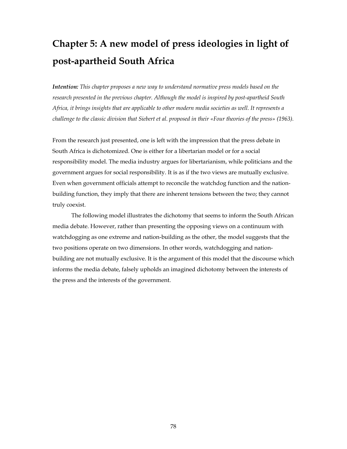# **Chapter 5: A new model of press ideologies in light of post-apartheid South Africa**

*Intention: This chapter proposes a new way to understand normative press models based on the research presented in the previous chapter. Although the model is inspired by post-apartheid South Africa, it brings insights that are applicable to other modern media societies as well. It represents a challenge to the classic division that Siebert et al. proposed in their «Four theories of the press» (1963).*

From the research just presented, one is left with the impression that the press debate in South Africa is dichotomized. One is either for a libertarian model or for a social responsibility model. The media industry argues for libertarianism, while politicians and the government argues for social responsibility. It is as if the two views are mutually exclusive. Even when government officials attempt to reconcile the watchdog function and the nationbuilding function, they imply that there are inherent tensions between the two; they cannot truly coexist.

The following model illustrates the dichotomy that seems to inform the South African media debate. However, rather than presenting the opposing views on a continuum with watchdogging as one extreme and nation-building as the other, the model suggests that the two positions operate on two dimensions. In other words, watchdogging and nationbuilding are not mutually exclusive. It is the argument of this model that the discourse which informs the media debate, falsely upholds an imagined dichotomy between the interests of the press and the interests of the government.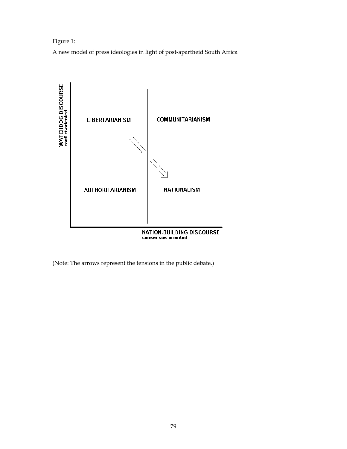### Figure 1:

A new model of press ideologies in light of post-apartheid South Africa



(Note: The arrows represent the tensions in the public debate.)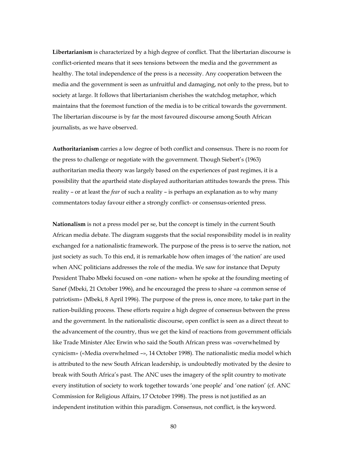**Libertarianism** is characterized by a high degree of conflict. That the libertarian discourse is conflict-oriented means that it sees tensions between the media and the government as healthy. The total independence of the press is a necessity. Any cooperation between the media and the government is seen as unfruitful and damaging, not only to the press, but to society at large. It follows that libertarianism cherishes the watchdog metaphor, which maintains that the foremost function of the media is to be critical towards the government. The libertarian discourse is by far the most favoured discourse among South African journalists, as we have observed.

**Authoritarianism** carries a low degree of both conflict and consensus. There is no room for the press to challenge or negotiate with the government. Though Siebert's (1963) authoritarian media theory was largely based on the experiences of past regimes, it is a possibility that the apartheid state displayed authoritarian attitudes towards the press. This reality – or at least the *fear* of such a reality – is perhaps an explanation as to why many commentators today favour either a strongly conflict- or consensus-oriented press.

**Nationalism** is not a press model per se, but the concept is timely in the current South African media debate. The diagram suggests that the social responsibility model is in reality exchanged for a nationalistic framework. The purpose of the press is to serve the nation, not just society as such. To this end, it is remarkable how often images of 'the nation' are used when ANC politicians addresses the role of the media. We saw for instance that Deputy President Thabo Mbeki focused on «one nation» when he spoke at the founding meeting of Sanef (Mbeki, 21 October 1996), and he encouraged the press to share «a common sense of patriotism» (Mbeki, 8 April 1996). The purpose of the press is, once more, to take part in the nation-building process. These efforts require a high degree of consensus between the press and the government. In the nationalistic discourse, open conflict is seen as a direct threat to the advancement of the country, thus we get the kind of reactions from government officials like Trade Minister Alec Erwin who said the South African press was «overwhelmed by cynicism» («Media overwhelmed –», 14 October 1998). The nationalistic media model which is attributed to the new South African leadership, is undoubtedly motivated by the desire to break with South Africa's past. The ANC uses the imagery of the split country to motivate every institution of society to work together towards 'one people' and 'one nation' (cf. ANC Commission for Religious Affairs, 17 October 1998). The press is not justified as an independent institution within this paradigm. Consensus, not conflict, is the keyword.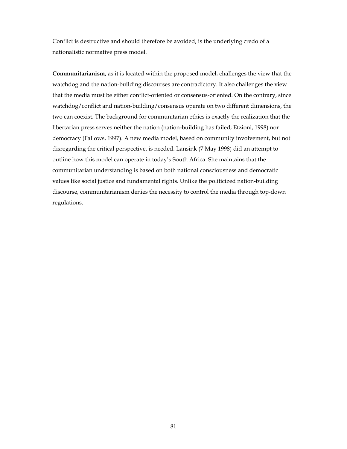Conflict is destructive and should therefore be avoided, is the underlying credo of a nationalistic normative press model.

**Communitarianism**, as it is located within the proposed model, challenges the view that the watchdog and the nation-building discourses are contradictory. It also challenges the view that the media must be either conflict-oriented or consensus-oriented. On the contrary, since watchdog/conflict and nation-building/consensus operate on two different dimensions, the two can coexist. The background for communitarian ethics is exactly the realization that the libertarian press serves neither the nation (nation-building has failed; Etzioni, 1998) nor democracy (Fallows, 1997). A new media model, based on community involvement, but not disregarding the critical perspective, is needed. Lansink (7 May 1998) did an attempt to outline how this model can operate in today's South Africa. She maintains that the communitarian understanding is based on both national consciousness and democratic values like social justice and fundamental rights. Unlike the politicized nation-building discourse, communitarianism denies the necessity to control the media through top-down regulations.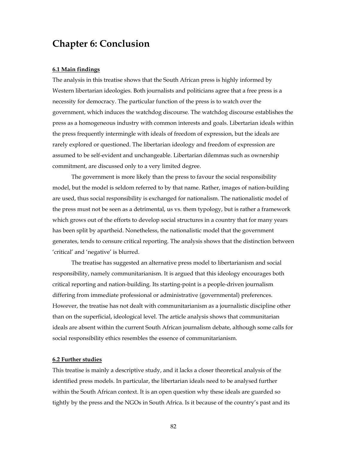## **Chapter 6: Conclusion**

#### **6.1 Main findings**

The analysis in this treatise shows that the South African press is highly informed by Western libertarian ideologies. Both journalists and politicians agree that a free press is a necessity for democracy. The particular function of the press is to watch over the government, which induces the watchdog discourse. The watchdog discourse establishes the press as a homogeneous industry with common interests and goals. Libertarian ideals within the press frequently intermingle with ideals of freedom of expression, but the ideals are rarely explored or questioned. The libertarian ideology and freedom of expression are assumed to be self-evident and unchangeable. Libertarian dilemmas such as ownership commitment, are discussed only to a very limited degree.

The government is more likely than the press to favour the social responsibility model, but the model is seldom referred to by that name. Rather, images of nation-building are used, thus social responsibility is exchanged for nationalism. The nationalistic model of the press must not be seen as a detrimental, us vs. them typology, but is rather a framework which grows out of the efforts to develop social structures in a country that for many years has been split by apartheid. Nonetheless, the nationalistic model that the government generates, tends to censure critical reporting. The analysis shows that the distinction between 'critical' and 'negative' is blurred.

The treatise has suggested an alternative press model to libertarianism and social responsibility, namely communitarianism. It is argued that this ideology encourages both critical reporting and nation-building. Its starting-point is a people-driven journalism differing from immediate professional or administrative (governmental) preferences. However, the treatise has not dealt with communitarianism as a journalistic discipline other than on the superficial, ideological level. The article analysis shows that communitarian ideals are absent within the current South African journalism debate, although some calls for social responsibility ethics resembles the essence of communitarianism.

#### **6.2 Further studies**

This treatise is mainly a descriptive study, and it lacks a closer theoretical analysis of the identified press models. In particular, the libertarian ideals need to be analysed further within the South African context. It is an open question why these ideals are guarded so tightly by the press and the NGOs in South Africa. Is it because of the country's past and its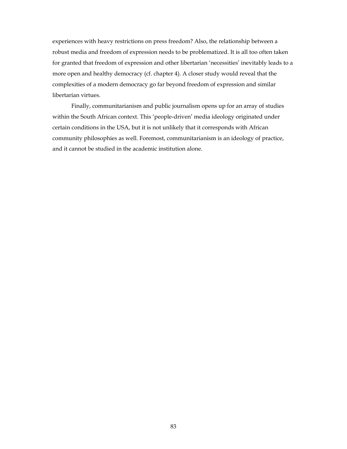experiences with heavy restrictions on press freedom? Also, the relationship between a robust media and freedom of expression needs to be problematized. It is all too often taken for granted that freedom of expression and other libertarian 'necessities' inevitably leads to a more open and healthy democracy (cf. chapter 4). A closer study would reveal that the complexities of a modern democracy go far beyond freedom of expression and similar libertarian virtues.

Finally, communitarianism and public journalism opens up for an array of studies within the South African context. This 'people-driven' media ideology originated under certain conditions in the USA, but it is not unlikely that it corresponds with African community philosophies as well. Foremost, communitarianism is an ideology of practice, and it cannot be studied in the academic institution alone.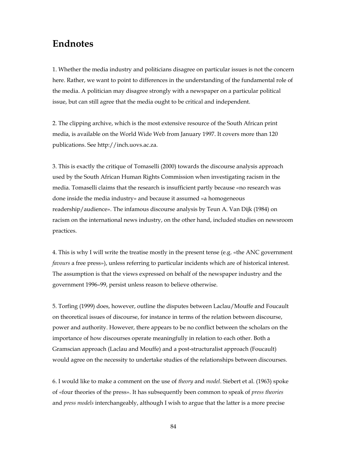## **Endnotes**

1. Whether the media industry and politicians disagree on particular issues is not the concern here. Rather, we want to point to differences in the understanding of the fundamental role of the media. A politician may disagree strongly with a newspaper on a particular political issue, but can still agree that the media ought to be critical and independent.

2. The clipping archive, which is the most extensive resource of the South African print media, is available on the World Wide Web from January 1997. It covers more than 120 publications. See http://inch.uovs.ac.za.

3. This is exactly the critique of Tomaselli (2000) towards the discourse analysis approach used by the South African Human Rights Commission when investigating racism in the media. Tomaselli claims that the research is insufficient partly because «no research was done inside the media industry» and because it assumed «a homogeneous readership/audience». The infamous discourse analysis by Teun A. Van Dijk (1984) on racism on the international news industry, on the other hand, included studies on newsroom practices.

4. This is why I will write the treatise mostly in the present tense (e.g. «the ANC government *favours* a free press»), unless referring to particular incidents which are of historical interest. The assumption is that the views expressed on behalf of the newspaper industry and the government 1996–99, persist unless reason to believe otherwise.

5. Torfing (1999) does, however, outline the disputes between Laclau/Mouffe and Foucault on theoretical issues of discourse, for instance in terms of the relation between discourse, power and authority. However, there appears to be no conflict between the scholars on the importance of how discourses operate meaningfully in relation to each other. Both a Gramscian approach (Laclau and Mouffe) and a post-structuralist approach (Foucault) would agree on the necessity to undertake studies of the relationships between discourses.

6. I would like to make a comment on the use of *theory* and *model*. Siebert et al. (1963) spoke of «four theories of the press». It has subsequently been common to speak of *press theories* and *press models* interchangeably, although I wish to argue that the latter is a more precise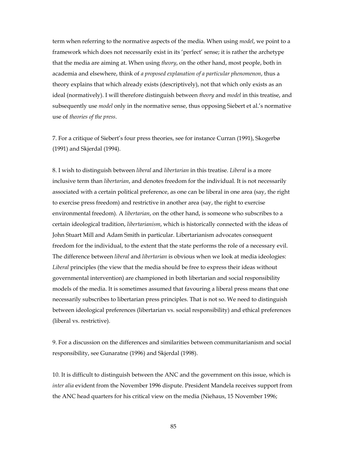term when referring to the normative aspects of the media. When using *model*, we point to a framework which does not necessarily exist in its 'perfect' sense; it is rather the archetype that the media are aiming at. When using *theory*, on the other hand, most people, both in academia and elsewhere, think of *a proposed explanation of a particular phenomenon*, thus a theory explains that which already exists (descriptively), not that which only exists as an ideal (normatively). I will therefore distinguish between *theory* and *model* in this treatise, and subsequently use *model* only in the normative sense, thus opposing Siebert et al.'s normative use of *theories of the press*.

7. For a critique of Siebert's four press theories, see for instance Curran (1991), Skogerbø (1991) and Skjerdal (1994).

8. I wish to distinguish between *liberal* and *libertarian* in this treatise. *Liberal* is a more inclusive term than *libertarian*, and denotes freedom for the individual. It is not necessarily associated with a certain political preference, as one can be liberal in one area (say, the right to exercise press freedom) and restrictive in another area (say, the right to exercise environmental freedom). A *libertarian*, on the other hand, is someone who subscribes to a certain ideological tradition, *libertarianism*, which is historically connected with the ideas of John Stuart Mill and Adam Smith in particular. Libertarianism advocates consequent freedom for the individual, to the extent that the state performs the role of a necessary evil. The difference between *liberal* and *libertarian* is obvious when we look at media ideologies: *Liberal* principles (the view that the media should be free to express their ideas without governmental intervention) are championed in both libertarian and social responsibility models of the media. It is sometimes assumed that favouring a liberal press means that one necessarily subscribes to libertarian press principles. That is not so. We need to distinguish between ideological preferences (libertarian vs. social responsibility) and ethical preferences (liberal vs. restrictive).

9. For a discussion on the differences and similarities between communitarianism and social responsibility, see Gunaratne (1996) and Skjerdal (1998).

10. It is difficult to distinguish between the ANC and the government on this issue, which is *inter alia* evident from the November 1996 dispute. President Mandela receives support from the ANC head quarters for his critical view on the media (Niehaus, 15 November 1996;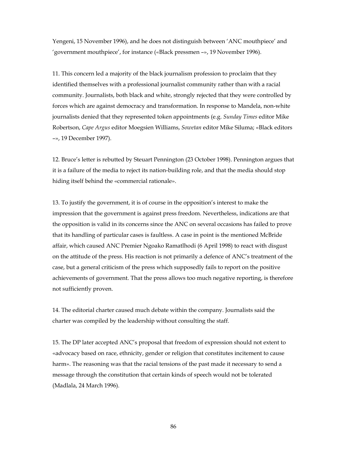Yengeni, 15 November 1996), and he does not distinguish between 'ANC mouthpiece' and 'government mouthpiece', for instance («Black pressmen –», 19 November 1996).

11. This concern led a majority of the black journalism profession to proclaim that they identified themselves with a professional journalist community rather than with a racial community. Journalists, both black and white, strongly rejected that they were controlled by forces which are against democracy and transformation. In response to Mandela, non-white journalists denied that they represented token appointments (e.g. *Sunday Times* editor Mike Robertson, *Cape Argus* editor Moegsien Williams, *Sowetan* editor Mike Siluma; «Black editors –», 19 December 1997).

12. Bruce's letter is rebutted by Steuart Pennington (23 October 1998). Pennington argues that it is a failure of the media to reject its nation-building role, and that the media should stop hiding itself behind the «commercial rationale».

13. To justify the government, it is of course in the opposition's interest to make the impression that the government is against press freedom. Nevertheless, indications are that the opposition is valid in its concerns since the ANC on several occasions has failed to prove that its handling of particular cases is faultless. A case in point is the mentioned McBride affair, which caused ANC Premier Ngoako Ramatlhodi (6 April 1998) to react with disgust on the attitude of the press. His reaction is not primarily a defence of ANC's treatment of the case, but a general criticism of the press which supposedly fails to report on the positive achievements of government. That the press allows too much negative reporting, is therefore not sufficiently proven.

14. The editorial charter caused much debate within the company. Journalists said the charter was compiled by the leadership without consulting the staff.

15. The DP later accepted ANC's proposal that freedom of expression should not extent to «advocacy based on race, ethnicity, gender or religion that constitutes incitement to cause harm». The reasoning was that the racial tensions of the past made it necessary to send a message through the constitution that certain kinds of speech would not be tolerated (Madlala, 24 March 1996).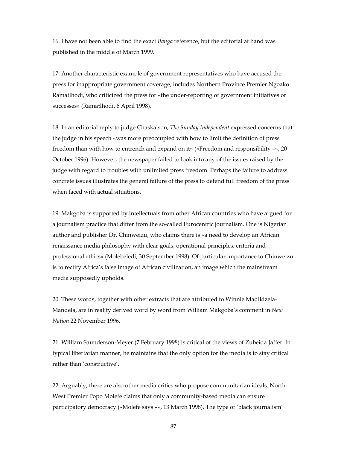16. I have not been able to find the exact *Ilanga* reference, but the editorial at hand was published in the middle of March 1999.

17. Another characteristic example of government representatives who have accused the press for inappropriate government coverage, includes Northern Province Premier Ngoako Ramatlhodi, who criticized the press for «the under-reporting of government initiatives or successes» (Ramatlhodi, 6 April 1998).

18. In an editorial reply to judge Chaskalson, *The Sunday Independent* expressed concerns that the judge in his speech «was more preoccupied with how to limit the definition of press freedom than with how to entrench and expand on it» («Freedom and responsibility –», 20 October 1996). However, the newspaper failed to look into any of the issues raised by the judge with regard to troubles with unlimited press freedom. Perhaps the failure to address concrete issues illustrates the general failure of the press to defend full freedom of the press when faced with actual situations.

19. Makgoba is supported by intellectuals from other African countries who have argued for a journalism practice that differ from the so-called Eurocentric journalism. One is Nigerian author and publisher Dr. Chinweizu, who claims there is «a need to develop an African renaissance media philosophy with clear goals, operational principles, criteria and professional ethics» (Molebeledi, 30 September 1998). Of particular importance to Chinweizu is to rectify Africa's false image of African civilization, an image which the mainstream media supposedly upholds.

20. These words, together with other extracts that are attributed to Winnie Madikizela-Mandela, are in reality derived word by word from William Makgoba's comment in *New Nation* 22 November 1996.

21. William Saunderson-Meyer (7 February 1998) is critical of the views of Zubeida Jaffer. In typical libertarian manner, he maintains that the only option for the media is to stay critical rather than 'constructive'.

22. Arguably, there are also other media critics who propose communitarian ideals. North-West Premier Popo Molefe claims that only a community-based media can ensure participatory democracy («Molefe says –», 13 March 1998). The type of 'black journalism'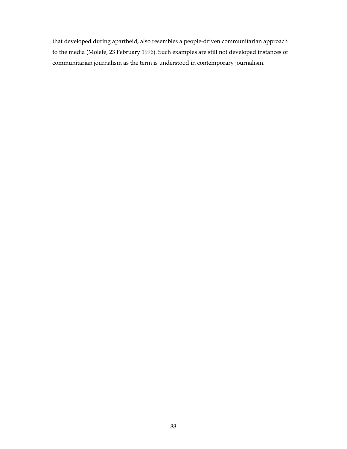that developed during apartheid, also resembles a people-driven communitarian approach to the media (Molefe, 23 February 1996). Such examples are still not developed instances of communitarian journalism as the term is understood in contemporary journalism.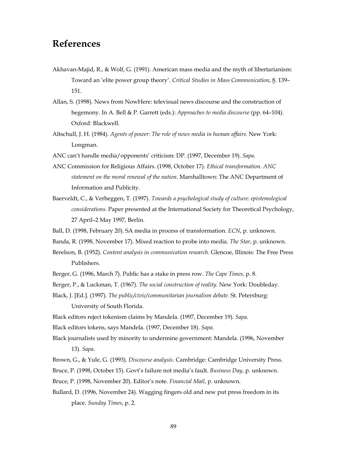### **References**

- Akhavan-Majid, R., & Wolf, G. (1991). American mass media and the myth of libertarianism: Toward an 'elite power group theory'. *Critical Studies in Mass Communication*, 8. 139– 151.
- Allan, S. (1998). News from NowHere: televisual news discourse and the construction of hegemony. In A. Bell & P. Garrett (eds.): *Approaches to media discourse* (pp. 64–104). Oxford: Blackwell.
- Altschull, J. H. (1984). *Agents of power: The role of news media in human affairs*. New York: Longman.
- ANC can't handle media/opponents' criticism: DP. (1997, December 19). *Sapa*.
- ANC Commission for Religious Affairs. (1998, October 17). *Ethical transformation. ANC statement on the moral renewal of the nation*. Marshalltown: The ANC Department of Information and Publicity.
- Baerveldt, C., & Verheggen, T. (1997). *Towards a psychological study of culture: epistemological considerations*. Paper presented at the International Society for Theoretical Psychology, 27 April–2 May 1997, Berlin.
- Ball, D. (1998, February 20). SA media in process of transformation. *ECN*, p. unknown.
- Banda, R. (1998, November 17). Mixed reaction to probe into media. *The Star*, p. unknown.
- Berelson, B. (1952). *Content analysis in communication research*. Glencoe, Illinois: The Free Press Publishers.
- Berger, G. (1996, March 7). Public has a stake in press row. *The Cape Times*, p. 8.
- Berger, P., & Luckman, T. (1967). *The social construction of reality*. New York: Doubleday.
- Black, J. [Ed.]. (1997). *The public/civic/communitarian journalism debate.* St. Petersburg: University of South Florida.

Black editors reject tokenism claims by Mandela. (1997, December 19). *Sapa*.

Black editors tokens, says Mandela. (1997, December 18). *Sapa*.

- Black journalists used by minority to undermine government: Mandela. (1996, November 13). *Sapa*.
- Brown, G., & Yule, G. (1993). *Discourse analysis*. Cambridge: Cambridge University Press.

Bruce, P. (1998, October 15). Govt's failure not media's fault. *Business Day*, p. unknown.

- Bruce, P. (1998, November 20). Editor's note. *Financial Mail*, p. unknown.
- Bullard, D. (1996, November 24). Wagging fingers old and new put press freedom in its place. *Sunday Times*, p. 2.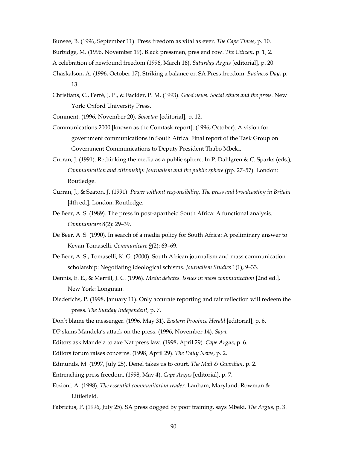Bunsee, B. (1996, September 11). Press freedom as vital as ever. *The Cape Times*, p. 10. Burbidge, M. (1996, November 19). Black pressmen, pres end row. *The Citizen*, p. 1, 2.

A celebration of newfound freedom (1996, March 16). *Saturday Argus* [editorial], p. 20.

- Chaskalson, A. (1996, October 17). Striking a balance on SA Press freedom. *Business Day*, p. 13.
- Christians, C., Ferré, J. P., & Fackler, P. M. (1993). *Good news. Social ethics and the press.* New York: Oxford University Press.

Comment. (1996, November 20). *Sowetan* [editorial], p. 12.

- Communications 2000 [known as the Comtask report]. (1996, October). A vision for government communications in South Africa. Final report of the Task Group on Government Communications to Deputy President Thabo Mbeki.
- Curran, J. (1991). Rethinking the media as a public sphere. In P. Dahlgren & C. Sparks (eds.), *Communication and citizenship: Journalism and the public sphere* (pp. 27–57). London: Routledge.
- Curran, J., & Seaton, J. (1991). *Power without responsibility. The press and broadcasting in Britain* [4th ed.]. London: Routledge.
- De Beer, A. S. (1989). The press in post-apartheid South Africa: A functional analysis. *Communicare* 8(2): 29–39.
- De Beer, A. S. (1990). In search of a media policy for South Africa: A preliminary answer to Keyan Tomaselli. *Communicare* 9(2): 63–69.
- De Beer, A. S., Tomaselli, K. G. (2000). South African journalism and mass communication scholarship: Negotiating ideological schisms. *Journalism Studies* 1(1), 9–33.
- Dennis, E. E., & Merrill, J. C. (1996). *Media debates. Issues in mass communication* [2nd ed.]. New York: Longman.
- Diederichs, P. (1998, January 11). Only accurate reporting and fair reflection will redeem the press. *The Sunday Independent*, p. 7.
- Don't blame the messenger. (1996, May 31). *Eastern Province Herald* [editorial], p. 6.
- DP slams Mandela's attack on the press. (1996, November 14). *Sapa*.
- Editors ask Mandela to axe Nat press law. (1998, April 29). *Cape Argus*, p. 6.
- Editors forum raises concerns. (1998, April 29). *The Daily News*, p. 2.
- Edmunds, M. (1997, July 25). Denel takes us to court. *The Mail & Guardian*, p. 2.
- Entrenching press freedom. (1998, May 4). *Cape Argus* [editorial], p. 7.
- Etzioni. A. (1998). *The essential communitarian reader*. Lanham, Maryland: Rowman & Littlefield.

Fabricius, P. (1996, July 25). SA press dogged by poor training, says Mbeki. *The Argus*, p. 3.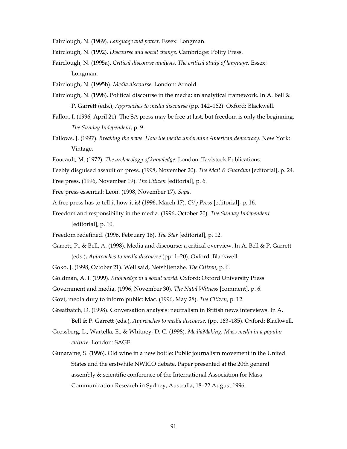Fairclough, N. (1989). *Language and power*. Essex: Longman.

- Fairclough, N. (1992). *Discourse and social change*. Cambridge: Polity Press.
- Fairclough, N. (1995a). *Critical discourse analysis. The critical study of language*. Essex: Longman.

Fairclough, N. (1995b). *Media discourse*. London: Arnold.

- Fairclough, N. (1998). Political discourse in the media: an analytical framework. In A. Bell & P. Garrett (eds.), *Approaches to media discourse* (pp. 142–162). Oxford: Blackwell.
- Fallon, I. (1996, April 21). The SA press may be free at last, but freedom is only the beginning. *The Sunday Independent*, p. 9.
- Fallows, J. (1997). *Breaking the news. How the media undermine American democracy*. New York: Vintage.
- Foucault, M. (1972). *The archaeology of knowledge*. London: Tavistock Publications.
- Feebly disguised assault on press. (1998, November 20). *The Mail & Guardian* [editorial], p. 24.
- Free press. (1996, November 19). *The Citizen* [editorial], p. 6.
- Free press essential: Leon. (1998, November 17). *Sapa*.
- A free press has to tell it how it is! (1996, March 17). *City Press* [editorial], p. 16.
- Freedom and responsibility in the media. (1996, October 20). *The Sunday Independent* [editorial], p. 10.
- Freedom redefined. (1996, February 16). *The Star* [editorial], p. 12.
- Garrett, P., & Bell, A. (1998). Media and discourse: a critical overview. In A. Bell & P. Garrett (eds.), *Approaches to media discourse* (pp. 1–20). Oxford: Blackwell.
- Goko, J. (1998, October 21). Well said, Netshitenzhe. *The Citizen*, p. 6.
- Goldman, A. I. (1999). *Knowledge in a social world*. Oxford: Oxford University Press.
- Government and media. (1996, November 30). *The Natal Witness* [comment], p. 6.
- Govt, media duty to inform public: Mac. (1996, May 28). *The Citizen*, p. 12.
- Greatbatch, D. (1998). Conversation analysis: neutralism in British news interviews. In A. Bell & P. Garrett (eds.), *Approaches to media discourse*, (pp. 163–185). Oxford: Blackwell.
- Grossberg, L., Wartella, E., & Whitney, D. C. (1998). *MediaMaking. Mass media in a popular culture.* London: SAGE.
- Gunaratne, S. (1996). Old wine in a new bottle: Public journalism movement in the United States and the erstwhile NWICO debate. Paper presented at the 20th general assembly & scientific conference of the International Association for Mass Communication Research in Sydney, Australia, 18–22 August 1996.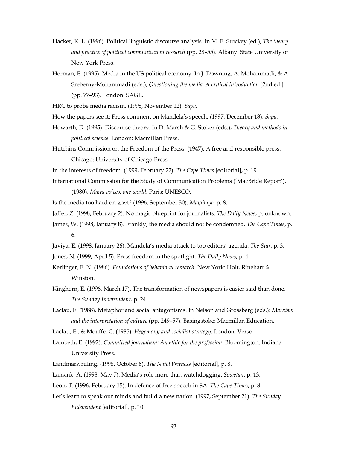- Hacker, K. L. (1996). Political linguistic discourse analysis. In M. E. Stuckey (ed.), *The theory and practice of political communication research* (pp. 28–55). Albany: State University of New York Press.
- Herman, E. (1995). Media in the US political economy. In J. Downing, A. Mohammadi, & A. Sreberny-Mohammadi (eds.), *Questioning the media. A critical introduction* [2nd ed.] (pp. 77–93). London: SAGE.

HRC to probe media racism. (1998, November 12). *Sapa*.

How the papers see it: Press comment on Mandela's speech. (1997, December 18). *Sapa*.

- Howarth, D. (1995). Discourse theory*.* In D. Marsh & G. Stoker (eds.), *Theory and methods in political science*. London: Macmillan Press.
- Hutchins Commission on the Freedom of the Press. (1947). A free and responsible press. Chicago: University of Chicago Press.

In the interests of freedom. (1999, February 22). *The Cape Times* [editorial], p. 19.

International Commission for the Study of Communication Problems ('MacBride Report'). (1980). *Many voices, one world*. Paris: UNESCO.

Is the media too hard on govt? (1996, September 30). *Mayibuye*, p. 8.

- Jaffer, Z. (1998, February 2). No magic blueprint for journalists. *The Daily News*, p. unknown.
- James, W. (1998, January 8). Frankly, the media should not be condemned. *The Cape Times*, p. 6.
- Javiya, E. (1998, January 26). Mandela's media attack to top editors' agenda. *The Star*, p. 3.
- Jones, N. (1999, April 5). Press freedom in the spotlight. *The Daily News*, p. 4.
- Kerlinger, F. N. (1986). *Foundations of behavioral research*. New York: Holt, Rinehart & Winston.
- Kinghorn, E. (1996, March 17). The transformation of newspapers is easier said than done. *The Sunday Independent*, p. 24.
- Laclau, E. (1988). Metaphor and social antagonisms. In Nelson and Grossberg (eds.): *Marxism and the interpretation of culture* (pp. 249–57). Basingstoke: Macmillan Education.
- Laclau, E., & Mouffe, C. (1985). *Hegemony and socialist strategy*. London: Verso.
- Lambeth, E. (1992). *Committed journalism: An ethic for the profession*. Bloomington: Indiana University Press.
- Landmark ruling. (1998, October 6). *The Natal Witness* [editorial], p. 8.

Lansink. A. (1998, May 7). Media's role more than watchdogging. *Sowetan*, p. 13.

- Leon, T. (1996, February 15). In defence of free speech in SA. *The Cape Times*, p. 8.
- Let's learn to speak our minds and build a new nation. (1997, September 21). *The Sunday Independent* [editorial], p. 10.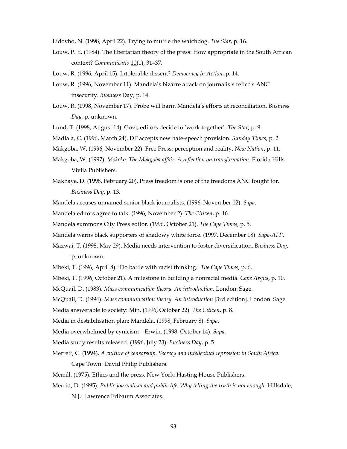Lidovho, N. (1998, April 22). Trying to muffle the watchdog. *The Star*, p. 16.

Louw, P. E. (1984). The libertarian theory of the press: How appropriate in the South African context? *Communicatio* 10(1), 31–37.

Louw, R. (1996, April 15). Intolerable dissent? *Democracy in Action*, p. 14.

- Louw, R. (1996, November 11). Mandela's bizarre attack on journalists reflects ANC insecurity. *Business* Day, p. 14.
- Louw, R. (1998, November 17). Probe will harm Mandela's efforts at reconciliation. *Business Day*, p. unknown.

Lund, T. (1998, August 14). Govt, editors decide to 'work together'. *The Star*, p. 9.

Madlala, C. (1996, March 24). DP accepts new hate-speech provision. *Sunday Times*, p. 2.

Makgoba, W. (1996, November 22). Free Press: perception and reality. *New Nation*, p. 11.

- Makgoba, W. (1997). *Mokoko. The Makgoba affair. A reflection on transformation*. Florida Hills: Vivlia Publishers.
- Makhaye, D. (1998, February 20). Press freedom is one of the freedoms ANC fought for. *Business Day*, p. 13.

Mandela accuses unnamed senior black journalists. (1996, November 12). *Sapa*.

Mandela editors agree to talk. (1996, November 2). *The Citizen*, p. 16.

- Mandela summons City Press editor. (1996, October 21). *The Cape Times*, p. 5.
- Mandela warns black supporters of shadowy white force. (1997, December 18). *Sapa-AFP*.
- Mazwai, T. (1998, May 29). Media needs intervention to foster diversification. *Business Day*, p. unknown.
- Mbeki, T. (1996, April 8). 'Do battle with racist thinking.' *The Cape Times*, p. 6.
- Mbeki, T. (1996, October 21). A milestone in building a nonracial media. *Cape Argus*, p. 10.
- McQuail, D. (1983). *Mass communication theory. An introduction*. London: Sage.
- McQuail, D. (1994). *Mass communication theory. An introduction* [3rd edition]. London: Sage.
- Media answerable to society: Min. (1996, October 22). *The Citizen*, p. 8.
- Media in destabilisation plan: Mandela. (1998, February 8). *Sapa*.
- Media overwhelmed by cynicism Erwin. (1998, October 14). *Sapa*.
- Media study results released. (1996, July 23). *Business Day*, p. 5.
- Merrett, C. (1994). *A culture of censorship. Secrecy and intellectual repression in South Africa*.

Cape Town: David Philip Publishers.

Merrill, (1975). Ethics and the press. New York: Hasting House Publishers.

Merritt, D. (1995). *Public journalism and public life. Why telling the truth is not enough*. Hillsdale,

N.J.: Lawrence Erlbaum Associates.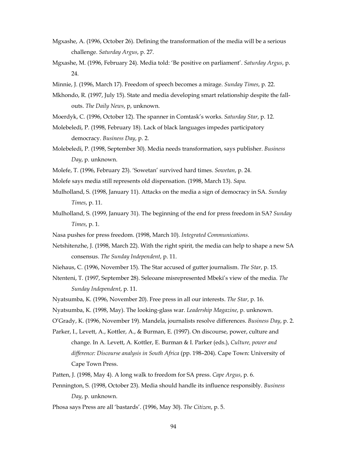- Mgxashe, A. (1996, October 26). Defining the transformation of the media will be a serious challenge. *Saturday Argus*, p. 27.
- Mgxashe, M. (1996, February 24). Media told: 'Be positive on parliament'. *Saturday Argus*, p. 24.
- Minnie, J. (1996, March 17). Freedom of speech becomes a mirage. *Sunday Times*, p. 22.
- Mkhondo, R. (1997, July 15). State and media developing smart relationship despite the fallouts. *The Daily News*, p, unknown.
- Moerdyk, C. (1996, October 12). The spanner in Comtask's works. *Saturday Star*, p. 12.
- Molebeledi, P. (1998, February 18). Lack of black languages impedes participatory democracy. *Business Day*, p. 2.
- Molebeledi, P. (1998, September 30). Media needs transformation, says publisher. *Business Day*, p. unknown.
- Molefe, T. (1996, February 23). 'Sowetan' survived hard times. *Sowetan*, p. 24.
- Molefe says media still represents old dispensation. (1998, March 13). *Sapa*.
- Mulholland, S. (1998, January 11). Attacks on the media a sign of democracy in SA. *Sunday Times*, p. 11.
- Mulholland, S. (1999, January 31). The beginning of the end for press freedom in SA? *Sunday Times*, p. 1.
- Nasa pushes for press freedom. (1998, March 10). *Integrated Communications*.
- Netshitenzhe, J. (1998, March 22). With the right spirit, the media can help to shape a new SA consensus. *The Sunday Independent*, p. 11.
- Niehaus, C. (1996, November 15). The Star accused of gutter journalism. *The Star*, p. 15.
- Ntenteni, T. (1997, September 28). Seleoane misrepresented Mbeki's view of the media. *The Sunday Independent*, p. 11.
- Nyatsumba, K. (1996, November 20). Free press in all our interests. *The Star*, p. 16.
- Nyatsumba, K. (1998, May). The looking-glass war. *Leadership Magazine*, p. unknown.
- O'Grady, K. (1996, November 19). Mandela, journalists resolve differences. *Business Day*, p. 2.
- Parker, I., Levett, A., Kottler, A., & Burman, E. (1997). On discourse, power, culture and change. In A. Levett, A. Kottler, E. Burman & I. Parker (eds.), *Culture, power and difference: Discourse analysis in South Africa* (pp. 198–204). Cape Town: University of Cape Town Press.
- Patten, J. (1998, May 4). A long walk to freedom for SA press. *Cape Argus*, p. 6.
- Pennington, S. (1998, October 23). Media should handle its influence responsibly. *Business Day*, p. unknown.
- Phosa says Press are all 'bastards'. (1996, May 30). *The Citizen*, p. 5.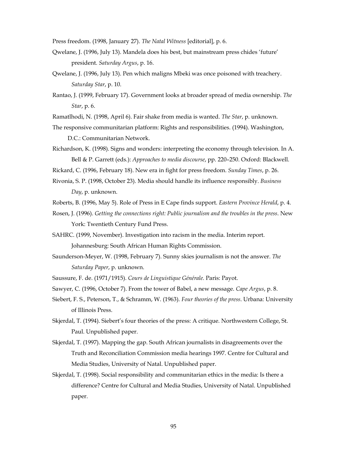Press freedom. (1998, January 27). *The Natal Witness* [editorial], p. 6.

- Qwelane, J. (1996, July 13). Mandela does his best, but mainstream press chides 'future' president. *Saturday Argus*, p. 16.
- Qwelane, J. (1996, July 13). Pen which maligns Mbeki was once poisoned with treachery. *Saturday Star*, p. 10.
- Rantao, J. (1999, February 17). Government looks at broader spread of media ownership. *The Star*, p. 6.
- Ramatlhodi, N. (1998, April 6). Fair shake from media is wanted. *The Star*, p. unknown.
- The responsive communitarian platform: Rights and responsibilities. (1994). Washington,

D.C.: Communitarian Network.

Richardson, K. (1998). Signs and wonders: interpreting the economy through television*.* In A. Bell & P. Garrett (eds.): *Approaches to media discourse*, pp. 220–250. Oxford: Blackwell.

Rickard, C. (1996, February 18). New era in fight for press freedom. *Sunday Times*, p. 26.

- Rivonia, S. P. (1998, October 23). Media should handle its influence responsibly. *Business Day*, p. unknown.
- Roberts, B. (1996, May 5). Role of Press in E Cape finds support. *Eastern Province Herald*, p. 4.
- Rosen, J. (1996). *Getting the connections right: Public journalism and the troubles in the press*. New York: Twentieth Century Fund Press.
- SAHRC. (1999, November). Investigation into racism in the media. Interim report. Johannesburg: South African Human Rights Commission.
- Saunderson-Meyer, W. (1998, February 7). Sunny skies journalism is not the answer. *The Saturday Paper*, p. unknown.
- Saussure, F. de. (1971/1915). *Cours de Linguistique Générale.* Paris: Payot.
- Sawyer, C. (1996, October 7). From the tower of Babel, a new message. *Cape Argus*, p. 8.
- Siebert, F. S., Peterson, T., & Schramm, W. (1963). *Four theories of the press*. Urbana: University of Illinois Press.
- Skjerdal, T. (1994). Siebert's four theories of the press: A critique. Northwestern College, St. Paul. Unpublished paper.
- Skjerdal, T. (1997). Mapping the gap. South African journalists in disagreements over the Truth and Reconciliation Commission media hearings 1997. Centre for Cultural and Media Studies, University of Natal. Unpublished paper.
- Skjerdal, T. (1998). Social responsibility and communitarian ethics in the media: Is there a difference? Centre for Cultural and Media Studies, University of Natal. Unpublished paper.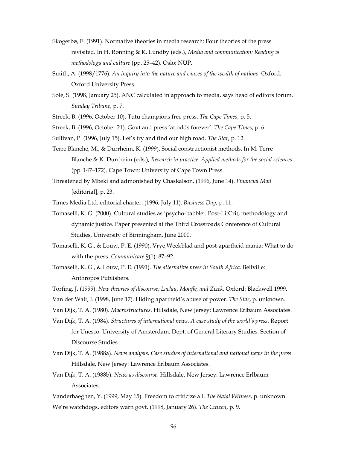- Skogerbø, E. (1991). Normative theories in media research: Four theories of the press revisited. In H. Rønning & K. Lundby (eds.), *Media and communication: Reading is methodology and culture* (pp. 25–42). Oslo: NUP.
- Smith, A. (1998/1776). *An inquiry into the nature and causes of the wealth of nations*. Oxford: Oxford University Press.
- Sole, S. (1998, January 25). ANC calculated in approach to media, says head of editors forum. *Sunday Tribune*, p. 7.
- Streek, B. (1996, October 10). Tutu champions free press. *The Cape Times*, p. 5.
- Streek, B. (1996, October 21). Govt and press 'at odds forever'. *The Cape Times*, p. 6.
- Sullivan, P. (1996, July 15). Let's try and find our high road. *The Star*, p. 12.
- Terre Blanche, M., & Durrheim, K. (1999). Social constructionist methods. In M. Terre Blanche & K. Durrheim (eds.), *Research in practice. Applied methods for the social sciences* (pp. 147–172). Cape Town: University of Cape Town Press.

Threatened by Mbeki and admonished by Chaskalson. (1996, June 14). *Financial Mail* [editorial], p. 23.

Times Media Ltd. editorial charter. (1996, July 11). *Business Day*, p. 11.

- Tomaselli, K. G. (2000). Cultural studies as 'psycho-babble'. Post-LitCrit, methodology and dynamic justice. Paper presented at the Third Crossroads Conference of Cultural Studies, University of Birmingham, June 2000.
- Tomaselli, K. G., & Louw, P. E. (1990). Vrye Weekblad and post-apartheid mania: What to do with the press. *Communicare* 9(1): 87-92.

Tomaselli, K. G., & Louw, P. E. (1991). *The alternative press in South Africa*. Bellville: Anthropos Publishers.

- Torfing, J. (1999). *New theories of discourse: Laclau, Mouffe, and Zizek.* Oxford: Blackwell 1999.
- Van der Walt, J. (1998, June 17). Hiding apartheid's abuse of power. *The Star*, p. unknown.
- Van Dijk, T. A. (1980). *Macrostructures*. Hillsdale, New Jersey: Lawrence Erlbaum Associates.
- Van Dijk, T. A. (1984). *Structures of international news. A case study of the world's press*. Report for Unesco. University of Amsterdam. Dept. of General Literary Studies. Section of Discourse Studies.
- Van Dijk, T. A. (1988a). *News analysis. Case studies of international and national news in the press*. Hillsdale, New Jersey: Lawrence Erlbaum Associates.
- Van Dijk, T. A. (1988b). *News as discourse*. Hillsdale, New Jersey: Lawrence Erlbaum Associates.
- Vanderhaeghen, Y. (1999, May 15). Freedom to criticize all. *The Natal Witness*, p. unknown. We're watchdogs, editors warn govt. (1998, January 26). *The Citizen*, p. 9.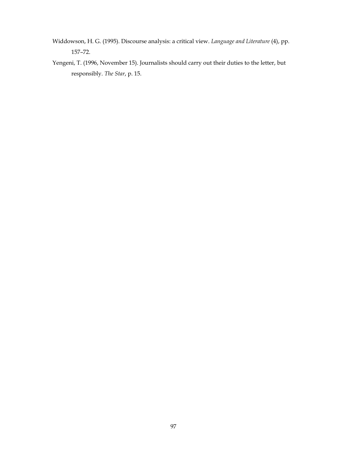- Widdowson, H. G. (1995). Discourse analysis: a critical view. *Language and Literature* (4), pp. 157–72.
- Yengeni, T. (1996, November 15). Journalists should carry out their duties to the letter, but responsibly. *The Star*, p. 15.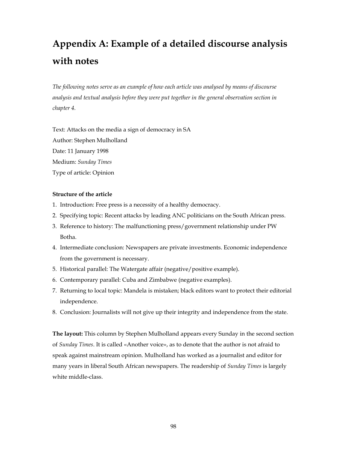# **Appendix A: Example of a detailed discourse analysis with notes**

*The following notes serve as an example of how each article was analysed by means of discourse analysis and textual analysis before they were put together in the general observation section in chapter 4.* 

Text: Attacks on the media a sign of democracy in SA Author: Stephen Mulholland Date: 11 January 1998 Medium: *Sunday Times* Type of article: Opinion

### **Structure of the article**

- 1. Introduction: Free press is a necessity of a healthy democracy.
- 2. Specifying topic: Recent attacks by leading ANC politicians on the South African press.
- 3. Reference to history: The malfunctioning press/government relationship under PW Botha.
- 4. Intermediate conclusion: Newspapers are private investments. Economic independence from the government is necessary.
- 5. Historical parallel: The Watergate affair (negative/positive example).
- 6. Contemporary parallel: Cuba and Zimbabwe (negative examples).
- 7. Returning to local topic: Mandela is mistaken; black editors want to protect their editorial independence.
- 8. Conclusion: Journalists will not give up their integrity and independence from the state.

**The layout:** This column by Stephen Mulholland appears every Sunday in the second section of *Sunday Times*. It is called «Another voice», as to denote that the author is not afraid to speak against mainstream opinion. Mulholland has worked as a journalist and editor for many years in liberal South African newspapers. The readership of *Sunday Times* is largely white middle-class.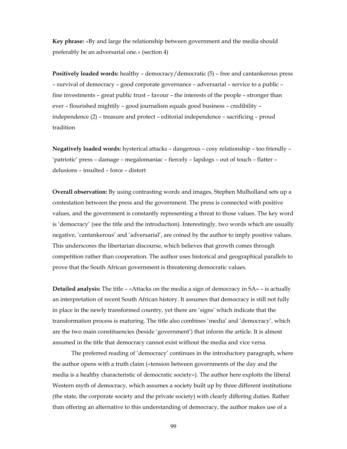**Key phrase:** «By and large the relationship between government and the media should preferably be an adversarial one.» (section 4)

**Positively loaded words:** healthy – democracy/democratic (5) – free and cantankerous press – survival of democracy – good corporate governance – adversarial – service to a public – fine investments – great public trust – favour – the interests of the people – stronger than ever – flourished mightily – good journalism equals good business – credibility – independence (2) – treasure and protect – editorial independence – sacrificing – proud tradition

**Negatively loaded words:** hysterical attacks – dangerous – cosy relationship – too friendly – 'patriotic' press – damage – megalomaniac – fiercely – lapdogs – out of touch – flatter – delusions – insulted – force – distort

**Overall observation:** By using contrasting words and images, Stephen Mulholland sets up a contestation between the press and the government. The press is connected with positive values, and the government is constantly representing a threat to those values. The key word is 'democracy' (see the title and the introduction). Interestingly, two words which are usually negative, 'cantankerous' and 'adversarial', are coined by the author to imply positive values. This underscores the libertarian discourse, which believes that growth comes through competition rather than cooperation. The author uses historical and geographical parallels to prove that the South African government is threatening democratic values.

**Detailed analysis:** The title – «Attacks on the media a sign of democracy in SA» – is actually an interpretation of recent South African history. It assumes that democracy is still not fully in place in the newly transformed country, yet there are 'signs' which indicate that the transformation process is maturing. The title also combines 'media' and 'democracy', which are the two main constituencies (beside 'government') that inform the article. It is almost assumed in the title that democracy cannot exist without the media and vice versa.

The preferred reading of 'democracy' continues in the introductory paragraph, where the author opens with a truth claim («tension between governments of the day and the media is a healthy characteristic of democratic society»). The author here exploits the liberal Western myth of democracy, which assumes a society built up by three different institutions (the state, the corporate society and the private society) with clearly differing duties. Rather than offering an alternative to this understanding of democracy, the author makes use of a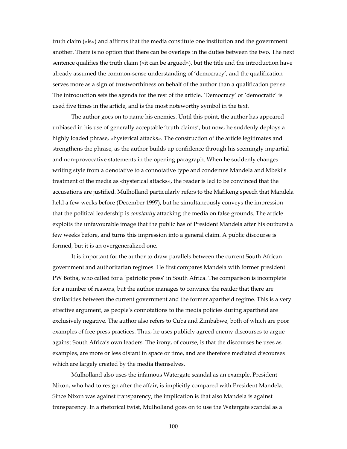truth claim («is») and affirms that the media constitute one institution and the government another. There is no option that there can be overlaps in the duties between the two. The next sentence qualifies the truth claim («it can be argued»), but the title and the introduction have already assumed the common-sense understanding of 'democracy', and the qualification serves more as a sign of trustworthiness on behalf of the author than a qualification per se. The introduction sets the agenda for the rest of the article. 'Democracy' or 'democratic' is used five times in the article, and is the most noteworthy symbol in the text.

The author goes on to name his enemies. Until this point, the author has appeared unbiased in his use of generally acceptable 'truth claims', but now, he suddenly deploys a highly loaded phrase, «hysterical attacks». The construction of the article legitimates and strengthens the phrase, as the author builds up confidence through his seemingly impartial and non-provocative statements in the opening paragraph. When he suddenly changes writing style from a denotative to a connotative type and condemns Mandela and Mbeki's treatment of the media as «hysterical attacks», the reader is led to be convinced that the accusations are justified. Mulholland particularly refers to the Mafikeng speech that Mandela held a few weeks before (December 1997), but he simultaneously conveys the impression that the political leadership is *constantly* attacking the media on false grounds. The article exploits the unfavourable image that the public has of President Mandela after his outburst a few weeks before, and turns this impression into a general claim. A public discourse is formed, but it is an overgeneralized one.

It is important for the author to draw parallels between the current South African government and authoritarian regimes. He first compares Mandela with former president PW Botha, who called for a 'patriotic press' in South Africa. The comparison is incomplete for a number of reasons, but the author manages to convince the reader that there are similarities between the current government and the former apartheid regime. This is a very effective argument, as people's connotations to the media policies during apartheid are exclusively negative. The author also refers to Cuba and Zimbabwe, both of which are poor examples of free press practices. Thus, he uses publicly agreed enemy discourses to argue against South Africa's own leaders. The irony, of course, is that the discourses he uses as examples, are more or less distant in space or time, and are therefore mediated discourses which are largely created by the media themselves.

Mulholland also uses the infamous Watergate scandal as an example. President Nixon, who had to resign after the affair, is implicitly compared with President Mandela. Since Nixon was against transparency, the implication is that also Mandela is against transparency. In a rhetorical twist, Mulholland goes on to use the Watergate scandal as a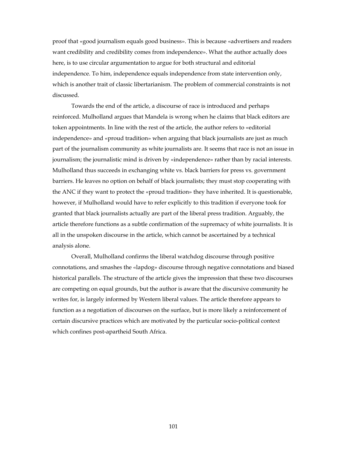proof that «good journalism equals good business». This is because «advertisers and readers want credibility and credibility comes from independence». What the author actually does here, is to use circular argumentation to argue for both structural and editorial independence. To him, independence equals independence from state intervention only, which is another trait of classic libertarianism. The problem of commercial constraints is not discussed.

Towards the end of the article, a discourse of race is introduced and perhaps reinforced. Mulholland argues that Mandela is wrong when he claims that black editors are token appointments. In line with the rest of the article, the author refers to «editorial independence» and «proud tradition» when arguing that black journalists are just as much part of the journalism community as white journalists are. It seems that race is not an issue in journalism; the journalistic mind is driven by «independence» rather than by racial interests. Mulholland thus succeeds in exchanging white vs. black barriers for press vs. government barriers. He leaves no option on behalf of black journalists; they must stop cooperating with the ANC if they want to protect the «proud tradition» they have inherited. It is questionable, however, if Mulholland would have to refer explicitly to this tradition if everyone took for granted that black journalists actually are part of the liberal press tradition. Arguably, the article therefore functions as a subtle confirmation of the supremacy of white journalists. It is all in the unspoken discourse in the article, which cannot be ascertained by a technical analysis alone.

 Overall, Mulholland confirms the liberal watchdog discourse through positive connotations, and smashes the «lapdog» discourse through negative connotations and biased historical parallels. The structure of the article gives the impression that these two discourses are competing on equal grounds, but the author is aware that the discursive community he writes for, is largely informed by Western liberal values. The article therefore appears to function as a negotiation of discourses on the surface, but is more likely a reinforcement of certain discursive practices which are motivated by the particular socio-political context which confines post-apartheid South Africa.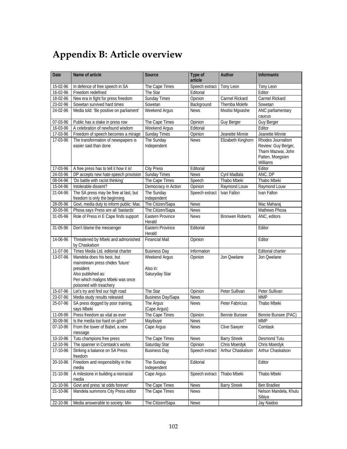## **Appendix B: Article overview**

| Date                      | Name of article                                                                                                                                                  | Source                                      | Type of<br>article | Author                 | <b>Informants</b>                                                                              |
|---------------------------|------------------------------------------------------------------------------------------------------------------------------------------------------------------|---------------------------------------------|--------------------|------------------------|------------------------------------------------------------------------------------------------|
| 15-02-96                  | In defence of free speech in SA                                                                                                                                  | The Cape Times                              | Speech extract     | Tony Leon              | Tony Leon                                                                                      |
| $16 - 02 - 96$            | Freedom redefined                                                                                                                                                | The Star                                    | Editorial          |                        | Editor                                                                                         |
| 18-02-96                  | New era in fight for press freedom                                                                                                                               | Sunday Times                                | Opinion            | Carmel Rickard         | Carmel Rickard                                                                                 |
| 23-02-96                  | Sowetan survived hard times                                                                                                                                      | Sowetan                                     | Background         | Themba Molefe          | Sowetan                                                                                        |
| 24-02-96                  | Media told: 'Be positive on parliament'                                                                                                                          | Weekend Argus                               | <b>News</b>        | Mxolisi Mgxashe        | ANC parliamentary<br>caucus                                                                    |
| 07-03-96                  | Public has a stake in press row                                                                                                                                  | The Cape Times                              | Opinion            | <b>Guy Berger</b>      | <b>Guy Berger</b>                                                                              |
| 16-03-96                  | A celebration of newfound wisdom                                                                                                                                 | Weekend Argus                               | Editorial          |                        | Editor                                                                                         |
| 17-03-96                  | Freedom of speech becomes a mirage                                                                                                                               | Sunday Times                                | Opinion            | Jeanette Minnie        | Jeanette Minnie                                                                                |
| 17-03-96                  | The transformation of newspapers is<br>easier said than done                                                                                                     | The Sunday<br>Independent                   | <b>News</b>        | Elizabeth Kinghorn     | Rhodes Journalism<br>Review: Guy Berger,<br>Thami Mazwai, John<br>Patten, Moegsien<br>Williams |
| 17-03-96                  | A free press has to tell it how it is!                                                                                                                           | <b>City Press</b>                           | Editorial          |                        | Editor                                                                                         |
| 24-03-96                  | DP accepts new hate-speech provision                                                                                                                             | <b>Sunday Times</b>                         | <b>News</b>        | Cyril Madlala          | ANC, DP                                                                                        |
| 08-04-96                  | 'Do battle with racist thinking'                                                                                                                                 | The Cape Times                              | Speech             | Thabo Mbeki            | Thabo Mbeki                                                                                    |
| 15-04-96                  | Intolerable dissent?                                                                                                                                             | Democracy in Action                         | Opinion            | Raymond Louw           | Raymond Louw                                                                                   |
| 21-04-96                  | The SA press may be free at last, but<br>freedom is only the beginning                                                                                           | The Sunday<br>Independent                   | Speech extract     | Ivan Fallon            | Ivan Fallon                                                                                    |
| 28-05-96                  | Govt, media duty to inform public: Mac                                                                                                                           | The Citizen/Sapa                            | <b>News</b>        |                        | Mac Maharaj                                                                                    |
| $30 - 05 - 96$            | Phosa says Press are all 'bastards'                                                                                                                              | The Citizen/Sapa                            | <b>News</b>        |                        | Mathews Phosa                                                                                  |
| 31-05-96                  | Role of Press in E Cape finds support                                                                                                                            | Eastern Province<br>Herald                  | <b>News</b>        | <b>Bronwen Roberts</b> | ANC, editors                                                                                   |
| 31-05-96                  | Don't blame the messenger                                                                                                                                        | Eastern Province<br>Herald                  | Editorial          |                        | Editor                                                                                         |
| 14-06-96                  | Threatened by Mbeki and admonished<br>by Chaskalson                                                                                                              | <b>Financial Mail</b>                       | Opinion            |                        | Editor                                                                                         |
| 11-07-96                  | Times Media Ltd. editorial charter                                                                                                                               | <b>Business Day</b>                         | Information        |                        | Editorial charter                                                                              |
| 13-07-96                  | Mandela does his best, but<br>mainstream press chides 'future'<br>president<br>Also published as:<br>Pen which maligns Mbeki was once<br>poisoned with treachery | Weekend Argus<br>Also in:<br>Saturyday Star | Opinion            | Jon Qwelane            | Jon Qwelane                                                                                    |
| 15-07-96                  | Let's try and find our high road                                                                                                                                 | The Star                                    | Opinion            | Peter Sullivan         | Peter Sullivan                                                                                 |
| 23-07-96                  | Media study results released                                                                                                                                     | <b>Business Day/Sapa</b>                    | <b>News</b>        |                        | <b>MMP</b>                                                                                     |
| 25-07-96                  | SA press dogged by poor training,<br>says Mbeki                                                                                                                  | The Argus<br>(Cape Argus)                   | <b>News</b>        | Peter Fabricius        | Thabo Mbeki                                                                                    |
| 11-09-96                  | Press freedom as vital as ever                                                                                                                                   | The Cape Times                              | Opinion            | Bennie Bunsee          | Bennie Bunsee (PAC)                                                                            |
| 30-09-96                  | Is the media too hard on govt?                                                                                                                                   | Mayibuye                                    | <b>News</b>        |                        | <b>MMP</b>                                                                                     |
| 07-10-96                  | From the tower of Babel, a new<br>message                                                                                                                        | Cape Argus                                  | <b>News</b>        | <b>Clive Sawyer</b>    | Comtask                                                                                        |
| 10-10-96                  | Tutu champions free press                                                                                                                                        | The Cape Times                              | <b>News</b>        | <b>Barry Streek</b>    | Desmond Tutu                                                                                   |
| $\overline{12} - 10 - 96$ | The spanner in Comtask's works                                                                                                                                   | Saturday Star                               | Opinion            | Chris Moerdyk          | Chris Moerdyk                                                                                  |
| 17-10-96                  | Striking a balance on SA Press<br>freedom                                                                                                                        | <b>Business Day</b>                         | Speech extract     | Arthur Chaskalson      | Arthur Chaskalson                                                                              |
| 20-10-96                  | Freedom and responsibility in the<br>media                                                                                                                       | The Sunday<br>Independent                   | Editorial          |                        | Editor                                                                                         |
| 21-10-96                  | A milestone in building a nonracial<br>media                                                                                                                     | Cape Argus                                  | Speech extract     | Thabo Mbeki            | Thabo Mbeki                                                                                    |
| $21 - 10 - 96$            | Govt and press 'at odds forever'                                                                                                                                 | The Cape Times                              | <b>News</b>        | <b>Barry Streek</b>    | Ben Bradlee                                                                                    |
| 21-10-96                  | Mandela summons City Press editor                                                                                                                                | The Cape Times                              | <b>News</b>        |                        | Nelson Mandela, Khulu<br>Sibiya                                                                |
| 22-10-96                  | Media answerable to society: Min                                                                                                                                 | The Citizen/Sapa                            | <b>News</b>        |                        | Jay Naidoo                                                                                     |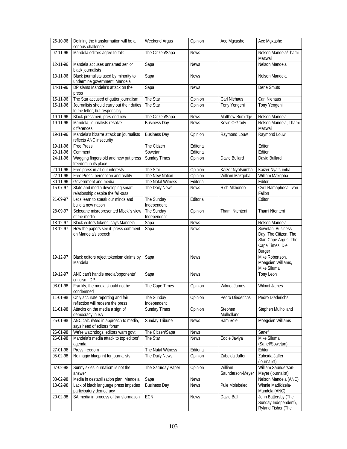| 26-10-96       | Defining the transformation will be a<br>serious challenge                  | Weekend Argus             | Opinion     | Ace Mgxashe                 | Ace Mgxashe                                                                                      |
|----------------|-----------------------------------------------------------------------------|---------------------------|-------------|-----------------------------|--------------------------------------------------------------------------------------------------|
| 02-11-96       | Mandela editors agree to talk                                               | The Citizen/Sapa          | <b>News</b> |                             | Nelson Mandela/Thami<br>Mazwai                                                                   |
| 12-11-96       | Mandela accuses unnamed senior<br>black journalists                         | Sapa                      | <b>News</b> |                             | Nelson Mandela                                                                                   |
| 13-11-96       | Black journalists used by minority to<br>undermine government: Mandela      | Sapa                      | <b>News</b> |                             | Nelson Mandela                                                                                   |
| 14-11-96       | DP slams Mandela's attack on the<br>press                                   | Sapa                      | <b>News</b> |                             | Dene Smuts                                                                                       |
| 15-11-96       | The Star accused of gutter journalism                                       | The Star                  | Opinion     | Carl Niehaus                | Carl Niehaus                                                                                     |
| 15-11-96       | Journalists should carry out their duties<br>to the letter, but responsibly | The Star                  | Opinion     | Tony Yengeni                | Tony Yengeni                                                                                     |
| 19-11-96       | Black pressmen, pres end row                                                | The Citizen/Sapa          | <b>News</b> | Matthew Burbidge            | Nelson Mandela                                                                                   |
| 19-11-96       | Mandela, journalists resolve<br>differences                                 | <b>Business Day</b>       | <b>News</b> | Kevin O'Grady               | Nelson Mandela, Thami<br>Mazwai                                                                  |
| 19-11-96       | Mandela's bizarre attack on journalists<br>reflects ANC insecurity          | <b>Business Day</b>       | Opinion     | Raymond Louw                | Raymond Louw                                                                                     |
| 19-11-96       | <b>Free Press</b>                                                           | The Citizen               | Editorial   |                             | Editor                                                                                           |
| 20-11-96       | Comment                                                                     | Sowetan                   | Editorial   |                             | Editor                                                                                           |
| 24-11-96       | Wagging fingers old and new put press<br>freedom in its place               | <b>Sunday Times</b>       | Opinion     | David Bullard               | David Bullard                                                                                    |
| $20 - 11 - 96$ | Free press in all our interests                                             | The Star                  | Opinion     | Kaizer Nyatsumba            | Kaizer Nyatsumba                                                                                 |
| 22-11-96       | Free Press: perception and reality                                          | The New Nation            | Opinion     | William Makgoba             | William Makgoba                                                                                  |
| 30-11-96       | Government and media                                                        | The Natal Witness         | Editorial   |                             | Editor                                                                                           |
| 15-07-97       | State and media developing smart<br>relationship despite the fall-outs      | The Daily News            | <b>News</b> | Rich Mkhondo                | Cyril Ramaphosa, Ivan<br>Fallon                                                                  |
| 21-09-97       | Let's learn to speak our minds and<br>build a new nation                    | The Sunday<br>Independent | Editorial   |                             | Editor                                                                                           |
| 28-09-97       | Seleoane misrepresented Mbeki's view<br>of the media                        | The Sunday<br>Independent | Opinion     | Thami Ntenteni              | Thami Ntenteni                                                                                   |
| 18-12-97       | Black editors tokens, says Mandela                                          | Sapa                      | <b>News</b> |                             | Nelson Mandela                                                                                   |
| 18-12-97       | How the papers see it: press comment<br>on Mandela's speech                 | Sapa                      | <b>News</b> |                             | Sowetan, Business<br>Day, The Citizen, The<br>Star, Cape Argus, The<br>Cape Times, Die<br>Burger |
| 19-12-97       | Black editors reject tokenism claims by<br>Mandela                          | Sapa                      | <b>News</b> |                             | Mike Robertson,<br>Moegsien Williams,<br>Mike Siluma                                             |
| 19-12-97       | ANC can't handle media/opponents'<br>criticism: DP                          | Sapa                      | <b>News</b> |                             | Tony Leon                                                                                        |
| 08-01-98       | Frankly, the media should not be<br>condemned                               | The Cape Times            | Opinion     | Wilmot James                | Wilmot James                                                                                     |
| 11-01-98       | Only accurate reporting and fair<br>reflection will redeem the press        | The Sunday<br>Independent | Opinion     | Pedro Diederichs            | Pedro Diederichs                                                                                 |
| 11-01-98       | Attacks on the media a sign of<br>democracy in SA                           | Sunday Times              | Opinion     | Stephen<br>Mulholland       | Stephen Mulholland                                                                               |
| 25-01-98       | ANC calculated in approach to media,<br>says head of editors forum          | <b>Sunday Tribune</b>     | <b>News</b> | Sam Sole                    | Moegsien Williams                                                                                |
| 26-01-98       | We're watchdogs, editors warn govt                                          | The Citizen/Sapa          | <b>News</b> |                             | Sanef                                                                                            |
| 26-01-98       | Mandela's media attack to top editors'<br>agenda                            | The Star                  | <b>News</b> | Eddie Javiya                | Mike Siluma<br>(Sanef/Sowetan)                                                                   |
| 27-01-98       | Press freedom                                                               | The Natal Witness         | Editorial   |                             | Editor                                                                                           |
| 05-02-98       | No magic blueprint for journalists                                          | The Daily News            | Opinion     | Zubeida Jaffer              | Zubeida Jaffer<br>(journalist)                                                                   |
| 07-02-98       | Sunny skies journalism is not the<br>answer                                 | The Saturday Paper        | Opinion     | William<br>Saunderson-Meyer | William Saunderson-<br>Meyer (journalist)                                                        |
| 08-02-98       | Media in destabilisation plan: Mandela                                      | Sapa                      | <b>News</b> |                             | Nelson Mandela (ANC)                                                                             |
| 18-02-98       | Lack of black language press impedes<br>participatory democracy             | <b>Business Day</b>       | <b>News</b> | Pule Molebeledi             | Winnie Madikizela-<br>Mandela (ANC)                                                              |
| 20-02-98       | SA media in process of transformation                                       | ECN                       | <b>News</b> | David Ball                  | John Battersby (The                                                                              |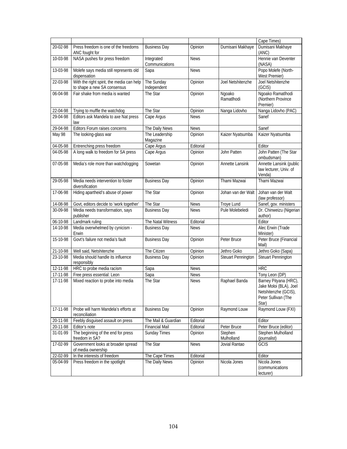|          |                                                                          |                              |             |                           | Cape Times)                                                                                             |
|----------|--------------------------------------------------------------------------|------------------------------|-------------|---------------------------|---------------------------------------------------------------------------------------------------------|
| 20-02-98 | Press freedom is one of the freedoms<br>ANC fought for                   | <b>Business Day</b>          | Opinion     | Dumisani Makhaye          | Dumisani Makhaye<br>(ANC)                                                                               |
| 10-03-98 | NASA pushes for press freedom                                            | Integrated<br>Communications | <b>News</b> |                           | Hennie van Deventer<br>(NASA)                                                                           |
| 13-03-98 | Molefe says media still represents old<br>dispensation                   | Sapa                         | <b>News</b> |                           | Popo Molefe (North-<br>West Premier)                                                                    |
| 22-03-98 | With the right spirit, the media can help<br>to shape a new SA consensus | The Sunday<br>Independent    | Opinion     | Joel Netshitenzhe         | Joel Netshitenzhe<br>(GCIS)                                                                             |
| 06-04-98 | Fair shake from media is wanted                                          | The Star                     | Opinion     | Ngoako<br>Ramatlhodi      | Ngoako Ramatlhodi<br>(Northern Province<br>Premier)                                                     |
| 22-04-98 | Trying to muffle the watchdog                                            | The Star                     | Opinion     | Nanga Lidovho             | Nanga Lidovho (PAC)                                                                                     |
| 29-04-98 | Editors ask Mandela to axe Nat press<br>law                              | Cape Argus                   | <b>News</b> |                           | Sanef                                                                                                   |
| 29-04-98 | Editors Forum raises concerns                                            | The Daily News               | <b>News</b> |                           | Sanef                                                                                                   |
| May 98   | The looking-glass war                                                    | The Leadership<br>Magazine   | Opinion     | Kaizer Nyatsumba          | Kaizer Nyatsumba                                                                                        |
| 04-05-98 | Entrenching press freedom                                                | Cape Argus                   | Editorial   |                           | Editor                                                                                                  |
| 04-05-98 | A long walk to freedom for SA press                                      | Cape Argus                   | Opinion     | John Patten               | John Patten (The Star<br>ombudsman)                                                                     |
| 07-05-98 | Media's role more than watchdogging                                      | Sowetan                      | Opinion     | Annette Lansink           | Annette Lansink (public<br>law lecturer, Univ. of<br>Venda)                                             |
| 29-05-98 | Media needs intervention to foster<br>diversification                    | <b>Business Day</b>          | Opinion     | Thami Mazwai              | Thami Mazwai                                                                                            |
| 17-06-98 | Hiding apartheid's abuse of power                                        | The Star                     | Opinion     | Johan van der Walt        | Johan van der Walt<br>(law professor)                                                                   |
| 14-08-98 | Govt, editors decide to 'work together'                                  | The Star                     | <b>News</b> | Troye Lund                | Sanef, gov. ministers                                                                                   |
| 30-09-98 | Media needs transformation, says<br>publisher                            | <b>Business Day</b>          | <b>News</b> | Pule Molebeledi           | Dr. Chinweizu (Nigerian<br>author)                                                                      |
| 06-10-98 | Landmark ruling                                                          | The Natal Witness            | Editorial   |                           | Editor                                                                                                  |
| 14-10-98 | Media overwhelmed by cynicism -<br>Erwin                                 | <b>Business Day</b>          | <b>News</b> |                           | Alec Erwin (Trade<br>Minister)                                                                          |
| 15-10-98 | Govt's failure not media's fault                                         | <b>Business Day</b>          | Opinion     | Peter Bruce               | Peter Bruce (Financial<br>Mail)                                                                         |
| 21-10-98 | Well said, Netshitenzhe                                                  | The Citizen                  | Opinion     | Jethro Goko               | Jethro Goko (Sapa)                                                                                      |
| 23-10-98 | Media should handle its influence<br>responsibly                         | <b>Business Day</b>          | Opinion     | <b>Steuart Pennington</b> | Steuart Pennington                                                                                      |
| 12-11-98 | HRC to probe media racism                                                | Sapa                         | <b>News</b> |                           | <b>HRC</b>                                                                                              |
| 17-11-98 | Free press essential: Leon                                               | Sapa                         | <b>News</b> |                           | Tony Leon (DP)                                                                                          |
| 17-11-98 | Mixed reaction to probe into media                                       | The Star                     | <b>News</b> | Raphael Banda             | Barney Pityana (HRC),<br>Jake Moloi (BLA), Joel<br>Netshitenzhe (GCIS),<br>Peter Sullivan (The<br>Star) |
| 17-11-98 | Probe will harm Mandela's efforts at<br>reconciliation                   | <b>Business Day</b>          | Opinion     | Raymond Louw              | Raymond Louw (FXI)                                                                                      |
| 20-11-98 | Feebly disguised assault on press                                        | The Mail & Guardian          | Editorial   |                           | Editor                                                                                                  |
| 20-11-98 | Editor's note                                                            | <b>Financial Mail</b>        | Editorial   | Peter Bruce               | Peter Bruce (editor)                                                                                    |
| 31-01-99 | The beginning of the end for press<br>freedom in SA?                     | Sunday Times                 | Opinion     | Stephen<br>Mulholland     | Stephen Mulholland<br>(journalist)                                                                      |
| 17-02-99 | Government looks at broader spread<br>of media ownership                 | The Star                     | <b>News</b> | Jovial Rantao             | GCIS                                                                                                    |
| 22-02-99 | In the interests of freedom                                              | The Cape Times               | Editorial   |                           | Editor                                                                                                  |
| 05-04-99 | Press freedom in the spotlight                                           | The Daily News               | Opinion     | Nicola Jones              | Nicola Jones<br>(communications<br>lecturer)                                                            |